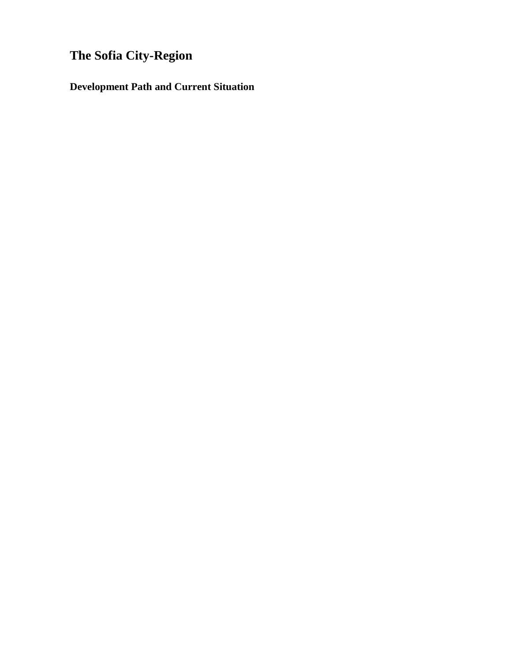# **The Sofia City-Region**

**Development Path and Current Situation**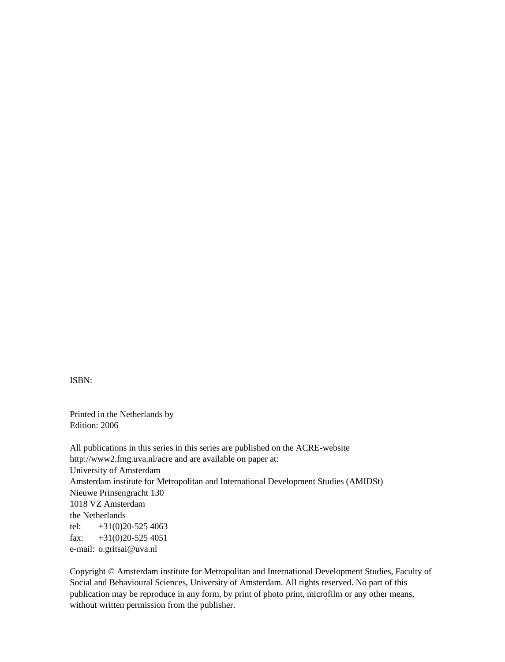ISBN:

Printed in the Netherlands by Edition: 2006

All publications in this series in this series are published on the ACRE-website http://www2.fmg.uva.nl/acre and are available on paper at: University of Amsterdam Amsterdam institute for Metropolitan and International Development Studies (AMIDSt) Nieuwe Prinsengracht 130 1018 VZ Amsterdam the Netherlands tel:  $+31(0)20-5254063$ fax:  $+31(0)20-5254051$ e-mail: o.gritsai@uva.nl

Copyright © Amsterdam institute for Metropolitan and International Development Studies, Faculty of Social and Behavioural Sciences, University of Amsterdam. All rights reserved. No part of this publication may be reproduce in any form, by print of photo print, microfilm or any other means, without written permission from the publisher.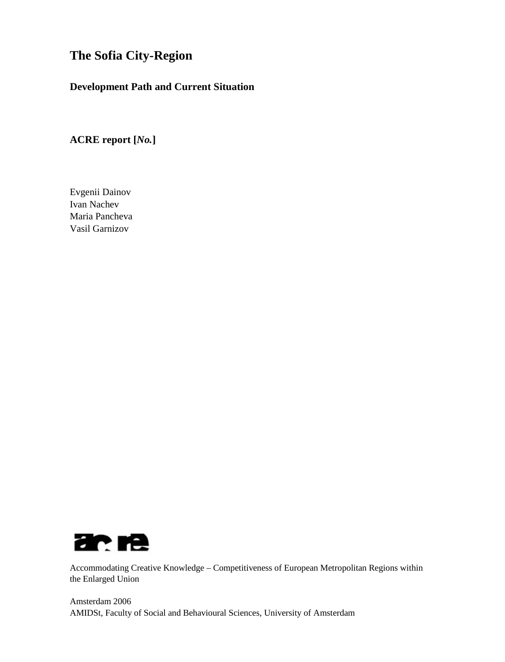# **The Sofia City-Region**

## **Development Path and Current Situation**

# **ACRE report [***No.***]**

Evgenii Dainov Ivan Nachev Maria Pancheva Vasil Garnizov



Accommodating Creative Knowledge – Competitiveness of European Metropolitan Regions within the Enlarged Union

Amsterdam 2006 AMIDSt, Faculty of Social and Behavioural Sciences, University of Amsterdam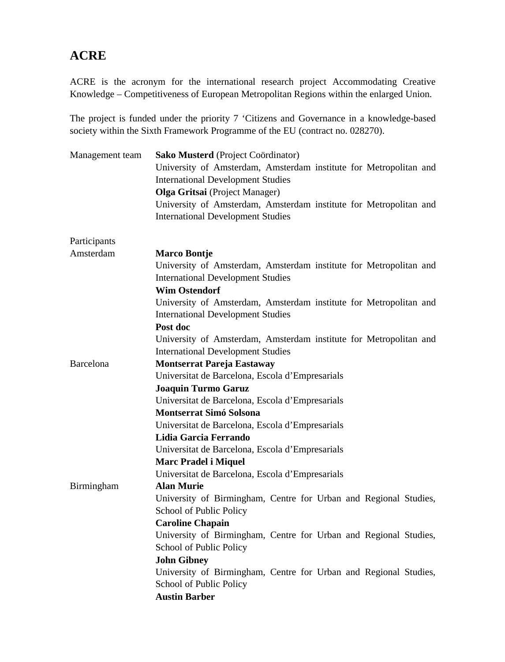# **ACRE**

ACRE is the acronym for the international research project Accommodating Creative Knowledge – Competitiveness of European Metropolitan Regions within the enlarged Union.

The project is funded under the priority 7 'Citizens and Governance in a knowledge-based society within the Sixth Framework Programme of the EU (contract no. 028270).

| Management team  | Sako Musterd (Project Coördinator)                                |
|------------------|-------------------------------------------------------------------|
|                  | University of Amsterdam, Amsterdam institute for Metropolitan and |
|                  | <b>International Development Studies</b>                          |
|                  | Olga Gritsai (Project Manager)                                    |
|                  | University of Amsterdam, Amsterdam institute for Metropolitan and |
|                  | <b>International Development Studies</b>                          |
| Participants     |                                                                   |
| Amsterdam        | <b>Marco Bontje</b>                                               |
|                  | University of Amsterdam, Amsterdam institute for Metropolitan and |
|                  | <b>International Development Studies</b>                          |
|                  | <b>Wim Ostendorf</b>                                              |
|                  | University of Amsterdam, Amsterdam institute for Metropolitan and |
|                  | <b>International Development Studies</b>                          |
|                  | Post doc                                                          |
|                  | University of Amsterdam, Amsterdam institute for Metropolitan and |
|                  | <b>International Development Studies</b>                          |
| <b>Barcelona</b> | <b>Montserrat Pareja Eastaway</b>                                 |
|                  | Universitat de Barcelona, Escola d'Empresarials                   |
|                  | <b>Joaquin Turmo Garuz</b>                                        |
|                  | Universitat de Barcelona, Escola d'Empresarials                   |
|                  | <b>Montserrat Simó Solsona</b>                                    |
|                  | Universitat de Barcelona, Escola d'Empresarials                   |
|                  | Lidia Garcia Ferrando                                             |
|                  | Universitat de Barcelona, Escola d'Empresarials                   |
|                  | <b>Marc Pradel i Miquel</b>                                       |
|                  | Universitat de Barcelona, Escola d'Empresarials                   |
| Birmingham       | <b>Alan Murie</b>                                                 |
|                  | University of Birmingham, Centre for Urban and Regional Studies,  |
|                  | School of Public Policy                                           |
|                  | <b>Caroline Chapain</b>                                           |
|                  | University of Birmingham, Centre for Urban and Regional Studies,  |
|                  | School of Public Policy                                           |
|                  | <b>John Gibney</b>                                                |
|                  | University of Birmingham, Centre for Urban and Regional Studies,  |
|                  | School of Public Policy                                           |
|                  | <b>Austin Barber</b>                                              |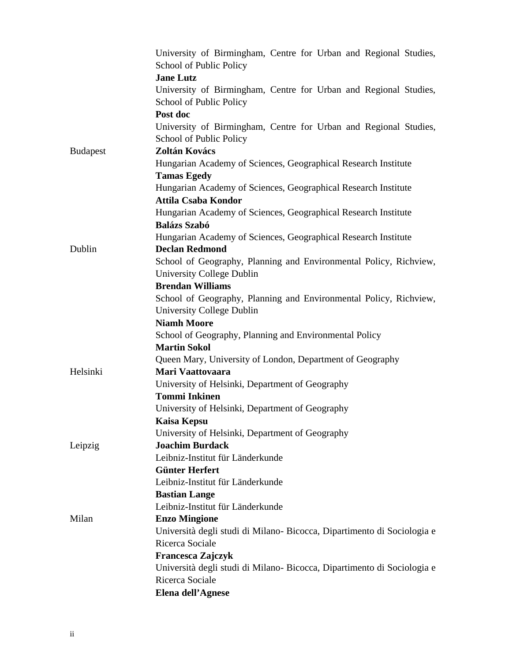|                 | University of Birmingham, Centre for Urban and Regional Studies,              |
|-----------------|-------------------------------------------------------------------------------|
|                 | School of Public Policy                                                       |
|                 | <b>Jane Lutz</b>                                                              |
|                 | University of Birmingham, Centre for Urban and Regional Studies,              |
|                 | School of Public Policy                                                       |
|                 | Post doc                                                                      |
|                 | University of Birmingham, Centre for Urban and Regional Studies,              |
|                 | School of Public Policy                                                       |
| <b>Budapest</b> | Zoltán Kovács                                                                 |
|                 | Hungarian Academy of Sciences, Geographical Research Institute                |
|                 | <b>Tamas Egedy</b>                                                            |
|                 | Hungarian Academy of Sciences, Geographical Research Institute                |
|                 | <b>Attila Csaba Kondor</b>                                                    |
|                 | Hungarian Academy of Sciences, Geographical Research Institute                |
|                 | <b>Balázs Szabó</b>                                                           |
|                 | Hungarian Academy of Sciences, Geographical Research Institute                |
| Dublin          | <b>Declan Redmond</b>                                                         |
|                 | School of Geography, Planning and Environmental Policy, Richview,             |
|                 | University College Dublin                                                     |
|                 | <b>Brendan Williams</b>                                                       |
|                 | School of Geography, Planning and Environmental Policy, Richview,             |
|                 | University College Dublin<br><b>Niamh Moore</b>                               |
|                 |                                                                               |
|                 | School of Geography, Planning and Environmental Policy<br><b>Martin Sokol</b> |
|                 | Queen Mary, University of London, Department of Geography                     |
| Helsinki        | Mari Vaattovaara                                                              |
|                 | University of Helsinki, Department of Geography                               |
|                 | <b>Tommi Inkinen</b>                                                          |
|                 | University of Helsinki, Department of Geography                               |
|                 | <b>Kaisa Kepsu</b>                                                            |
|                 | University of Helsinki, Department of Geography                               |
| Leipzig         | <b>Joachim Burdack</b>                                                        |
|                 | Leibniz-Institut für Länderkunde                                              |
|                 | <b>Günter Herfert</b>                                                         |
|                 | Leibniz-Institut für Länderkunde                                              |
|                 | <b>Bastian Lange</b>                                                          |
|                 | Leibniz-Institut für Länderkunde                                              |
| Milan           | <b>Enzo Mingione</b>                                                          |
|                 | Università degli studi di Milano-Bicocca, Dipartimento di Sociologia e        |
|                 | Ricerca Sociale                                                               |
|                 | Francesca Zajczyk                                                             |
|                 | Università degli studi di Milano-Bicocca, Dipartimento di Sociologia e        |
|                 | Ricerca Sociale                                                               |
|                 | Elena dell'Agnese                                                             |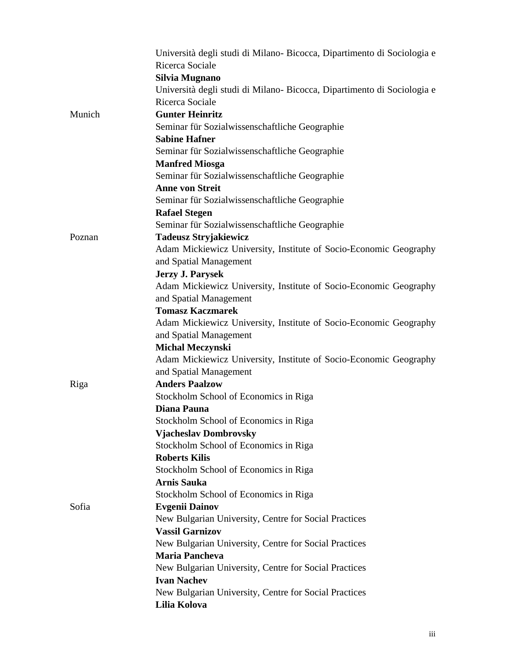|        | Università degli studi di Milano-Bicocca, Dipartimento di Sociologia e |
|--------|------------------------------------------------------------------------|
|        | Ricerca Sociale                                                        |
|        | Silvia Mugnano                                                         |
|        | Università degli studi di Milano-Bicocca, Dipartimento di Sociologia e |
|        | Ricerca Sociale                                                        |
| Munich | <b>Gunter Heinritz</b>                                                 |
|        | Seminar für Sozialwissenschaftliche Geographie                         |
|        | <b>Sabine Hafner</b>                                                   |
|        | Seminar für Sozialwissenschaftliche Geographie                         |
|        | <b>Manfred Miosga</b>                                                  |
|        | Seminar für Sozialwissenschaftliche Geographie                         |
|        | <b>Anne von Streit</b>                                                 |
|        | Seminar für Sozialwissenschaftliche Geographie                         |
|        | <b>Rafael Stegen</b>                                                   |
|        | Seminar für Sozialwissenschaftliche Geographie                         |
| Poznan | <b>Tadeusz Stryjakiewicz</b>                                           |
|        | Adam Mickiewicz University, Institute of Socio-Economic Geography      |
|        | and Spatial Management                                                 |
|        | <b>Jerzy J. Parysek</b>                                                |
|        | Adam Mickiewicz University, Institute of Socio-Economic Geography      |
|        | and Spatial Management                                                 |
|        | <b>Tomasz Kaczmarek</b>                                                |
|        | Adam Mickiewicz University, Institute of Socio-Economic Geography      |
|        | and Spatial Management                                                 |
|        | <b>Michal Meczynski</b>                                                |
|        | Adam Mickiewicz University, Institute of Socio-Economic Geography      |
|        | and Spatial Management                                                 |
| Riga   | <b>Anders Paalzow</b>                                                  |
|        | Stockholm School of Economics in Riga                                  |
|        | <b>Diana Pauna</b>                                                     |
|        | Stockholm School of Economics in Riga                                  |
|        | <b>Vjacheslav Dombrovsky</b>                                           |
|        | Stockholm School of Economics in Riga                                  |
|        | <b>Roberts Kilis</b>                                                   |
|        | Stockholm School of Economics in Riga                                  |
|        | <b>Arnis Sauka</b>                                                     |
|        | Stockholm School of Economics in Riga                                  |
| Sofia  | <b>Evgenii Dainov</b>                                                  |
|        | New Bulgarian University, Centre for Social Practices                  |
|        | <b>Vassil Garnizov</b>                                                 |
|        | New Bulgarian University, Centre for Social Practices                  |
|        | <b>Maria Pancheva</b>                                                  |
|        | New Bulgarian University, Centre for Social Practices                  |
|        | <b>Ivan Nachev</b>                                                     |
|        | New Bulgarian University, Centre for Social Practices                  |
|        | Lilia Kolova                                                           |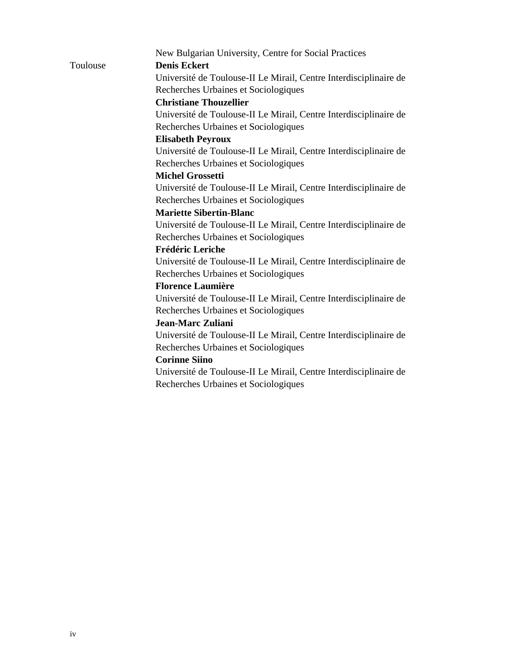|          | New Bulgarian University, Centre for Social Practices             |
|----------|-------------------------------------------------------------------|
| Toulouse | <b>Denis Eckert</b>                                               |
|          | Université de Toulouse-II Le Mirail, Centre Interdisciplinaire de |
|          | Recherches Urbaines et Sociologiques                              |
|          | <b>Christiane Thouzellier</b>                                     |
|          | Université de Toulouse-II Le Mirail, Centre Interdisciplinaire de |
|          | Recherches Urbaines et Sociologiques                              |
|          | <b>Elisabeth Peyroux</b>                                          |
|          | Université de Toulouse-II Le Mirail, Centre Interdisciplinaire de |
|          | Recherches Urbaines et Sociologiques                              |
|          | <b>Michel Grossetti</b>                                           |
|          | Université de Toulouse-II Le Mirail, Centre Interdisciplinaire de |
|          | Recherches Urbaines et Sociologiques                              |
|          | <b>Mariette Sibertin-Blanc</b>                                    |
|          | Université de Toulouse-II Le Mirail, Centre Interdisciplinaire de |
|          | Recherches Urbaines et Sociologiques                              |
|          | <b>Frédéric Leriche</b>                                           |
|          | Université de Toulouse-II Le Mirail, Centre Interdisciplinaire de |
|          | Recherches Urbaines et Sociologiques                              |
|          | <b>Florence Laumière</b>                                          |
|          | Université de Toulouse-II Le Mirail, Centre Interdisciplinaire de |
|          | Recherches Urbaines et Sociologiques                              |
|          | Jean-Marc Zuliani                                                 |
|          | Université de Toulouse-II Le Mirail, Centre Interdisciplinaire de |
|          | Recherches Urbaines et Sociologiques                              |
|          | <b>Corinne Siino</b>                                              |
|          | Université de Toulouse-II Le Mirail, Centre Interdisciplinaire de |
|          | Recherches Urbaines et Sociologiques                              |
|          |                                                                   |
|          |                                                                   |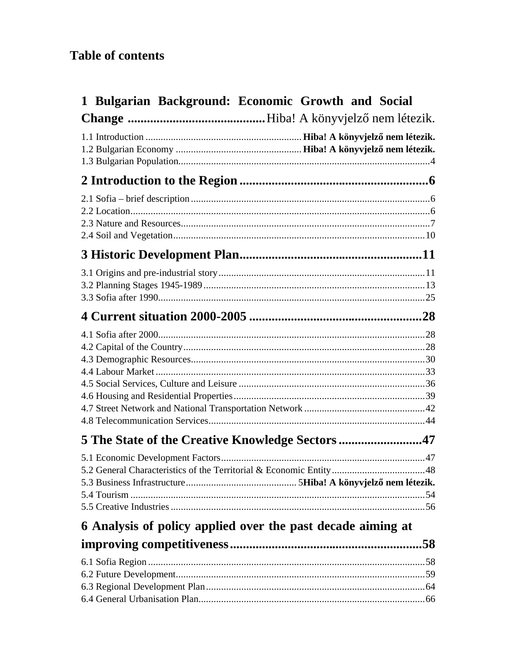# **Table of contents**

| 1 Bulgarian Background: Economic Growth and Social          |  |  |  |  |
|-------------------------------------------------------------|--|--|--|--|
|                                                             |  |  |  |  |
|                                                             |  |  |  |  |
|                                                             |  |  |  |  |
|                                                             |  |  |  |  |
|                                                             |  |  |  |  |
|                                                             |  |  |  |  |
|                                                             |  |  |  |  |
| 5 The State of the Creative Knowledge Sectors 47            |  |  |  |  |
|                                                             |  |  |  |  |
| 6 Analysis of policy applied over the past decade aiming at |  |  |  |  |
|                                                             |  |  |  |  |
|                                                             |  |  |  |  |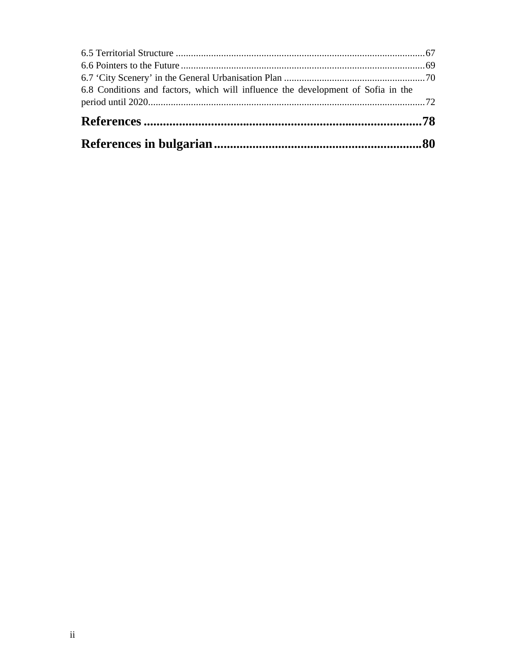| 6.8 Conditions and factors, which will influence the development of Sofia in the |  |
|----------------------------------------------------------------------------------|--|
|                                                                                  |  |
|                                                                                  |  |
|                                                                                  |  |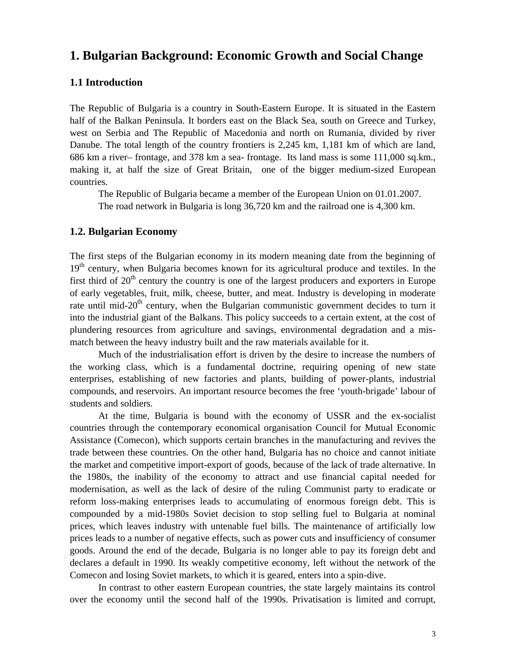# **1. Bulgarian Background: Economic Growth and Social Change**

## **1.1 Introduction**

The Republic of Bulgaria is a country in South-Eastern Europe. It is situated in the Eastern half of the Balkan Peninsula. It borders east on the Black Sea, south on Greece and Turkey, west on Serbia and The Republic of Macedonia and north on Rumania, divided by river Danube. The total length of the country frontiers is 2,245 km, 1,181 km of which are land, 686 km a river– frontage, and 378 km a sea- frontage. Its land mass is some 111,000 sq.km., making it, at half the size of Great Britain, one of the bigger medium-sized European countries.

The Republic of Bulgaria became a member of the European Union on 01.01.2007. The road network in Bulgaria is long 36,720 km and the railroad one is 4,300 km.

### **1.2. Bulgarian Economy**

The first steps of the Bulgarian economy in its modern meaning date from the beginning of 19<sup>th</sup> century, when Bulgaria becomes known for its agricultural produce and textiles. In the first third of  $20<sup>th</sup>$  century the country is one of the largest producers and exporters in Europe of early vegetables, fruit, milk, cheese, butter, and meat. Industry is developing in moderate rate until mid-20<sup>th</sup> century, when the Bulgarian communistic government decides to turn it into the industrial giant of the Balkans. This policy succeeds to a certain extent, at the cost of plundering resources from agriculture and savings, environmental degradation and a mismatch between the heavy industry built and the raw materials available for it.

Much of the industrialisation effort is driven by the desire to increase the numbers of the working class, which is a fundamental doctrine, requiring opening of new state enterprises, establishing of new factories and plants, building of power-plants, industrial compounds, and reservoirs. An important resource becomes the free 'youth-brigade' labour of students and soldiers.

At the time, Bulgaria is bound with the economy of USSR and the ex-socialist countries through the contemporary economical organisation Council for Mutual Economic Assistance (Comecon), which supports certain branches in the manufacturing and revives the trade between these countries. On the other hand, Bulgaria has no choice and cannot initiate the market and competitive import-export of goods, because of the lack of trade alternative. In the 1980s, the inability of the economy to attract and use financial capital needed for modernisation, as well as the lack of desire of the ruling Communist party to eradicate or reform loss-making enterprises leads to accumulating of enormous foreign debt. This is compounded by a mid-1980s Soviet decision to stop selling fuel to Bulgaria at nominal prices, which leaves industry with untenable fuel bills. The maintenance of artificially low prices leads to a number of negative effects, such as power cuts and insufficiency of consumer goods. Around the end of the decade, Bulgaria is no longer able to pay its foreign debt and declares a default in 1990. Its weakly competitive economy, left without the network of the Comecon and losing Soviet markets, to which it is geared, enters into a spin-dive.

In contrast to other eastern European countries, the state largely maintains its control over the economy until the second half of the 1990s. Privatisation is limited and corrupt,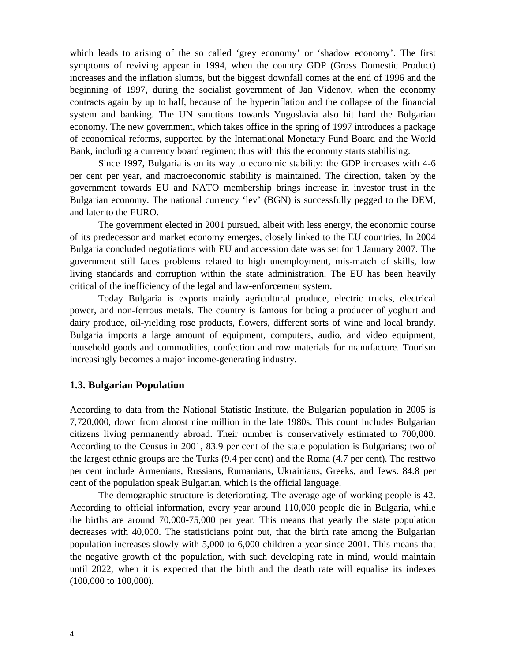which leads to arising of the so called 'grey economy' or 'shadow economy'. The first symptoms of reviving appear in 1994, when the country GDP (Gross Domestic Product) increases and the inflation slumps, but the biggest downfall comes at the end of 1996 and the beginning of 1997, during the socialist government of Jan Videnov, when the economy contracts again by up to half, because of the hyperinflation and the collapse of the financial system and banking. The UN sanctions towards Yugoslavia also hit hard the Bulgarian economy. The new government, which takes office in the spring of 1997 introduces a package of economical reforms, supported by the International Monetary Fund Board and the World Bank, including a currency board regimen; thus with this the economy starts stabilising.

Since 1997, Bulgaria is on its way to economic stability: the GDP increases with 4-6 per cent per year, and macroeconomic stability is maintained. The direction, taken by the government towards EU and NATO membership brings increase in investor trust in the Bulgarian economy. The national currency 'lev' (BGN) is successfully pegged to the DEM, and later to the EURO.

The government elected in 2001 pursued, albeit with less energy, the economic course of its predecessor and market economy emerges, closely linked to the EU countries. In 2004 Bulgaria concluded negotiations with EU and accession date was set for 1 January 2007. The government still faces problems related to high unemployment, mis-match of skills, low living standards and corruption within the state administration. The EU has been heavily critical of the inefficiency of the legal and law-enforcement system.

Today Bulgaria is exports mainly agricultural produce, electric trucks, electrical power, and non-ferrous metals. The country is famous for being a producer of yoghurt and dairy produce, oil-yielding rose products, flowers, different sorts of wine and local brandy. Bulgaria imports a large amount of equipment, computers, audio, and video equipment, household goods and commodities, confection and row materials for manufacture. Tourism increasingly becomes a major income-generating industry.

## **1.3. Bulgarian Population**

According to data from the National Statistic Institute, the Bulgarian population in 2005 is 7,720,000, down from almost nine million in the late 1980s. This count includes Bulgarian citizens living permanently abroad. Their number is conservatively estimated to 700,000. According to the Census in 2001, 83.9 per cent of the state population is Bulgarians; two of the largest ethnic groups are the Turks (9.4 per cent) and the Roma (4.7 per cent). The resttwo per cent include Armenians, Russians, Rumanians, Ukrainians, Greeks, and Jews. 84.8 per cent of the population speak Bulgarian, which is the official language.

The demographic structure is deteriorating. The average age of working people is 42. According to official information, every year around 110,000 people die in Bulgaria, while the births are around 70,000-75,000 per year. This means that yearly the state population decreases with 40,000. The statisticians point out, that the birth rate among the Bulgarian population increases slowly with 5,000 to 6,000 children a year since 2001. This means that the negative growth of the population, with such developing rate in mind, would maintain until 2022, when it is expected that the birth and the death rate will equalise its indexes (100,000 to 100,000).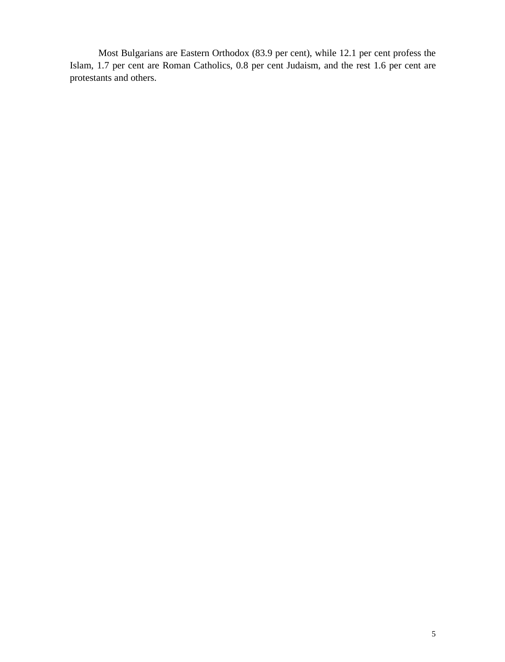Most Bulgarians are Eastern Orthodox (83.9 per cent), while 12.1 per cent profess the Islam, 1.7 per cent are Roman Catholics, 0.8 per cent Judaism, and the rest 1.6 per cent are protestants and others.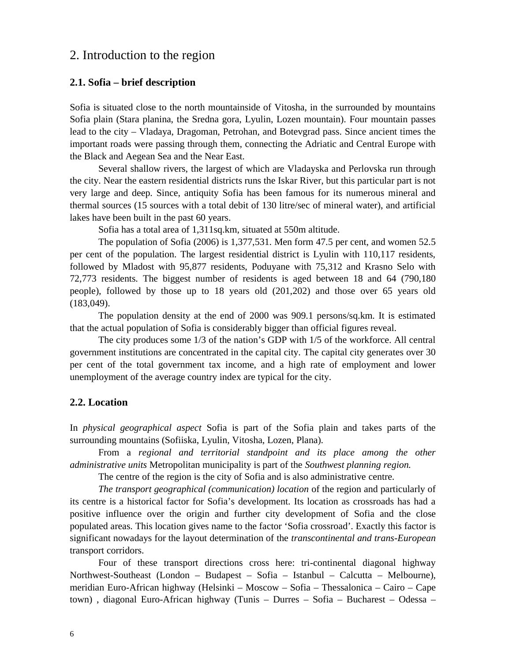# 2. Introduction to the region

### **2.1. Sofia – brief description**

Sofia is situated close to the north mountainside of Vitosha, in the surrounded by mountains Sofia plain (Stara planina, the Sredna gora, Lyulin, Lozen mountain). Four mountain passes lead to the city – Vladaya, Dragoman, Petrohan, and Botevgrad pass. Since ancient times the important roads were passing through them, connecting the Adriatic and Central Europe with the Black and Aegean Sea and the Near East.

Several shallow rivers, the largest of which are Vladayska and Perlovska run through the city. Near the eastern residential districts runs the Iskar River, but this particular part is not very large and deep. Since, antiquity Sofia has been famous for its numerous mineral and thermal sources (15 sources with a total debit of 130 litre/sec of mineral water), and artificial lakes have been built in the past 60 years.

Sofia has a total area of 1,311sq.km, situated at 550m altitude.

The population of Sofia (2006) is 1,377,531. Men form 47.5 per cent, and women 52.5 per cent of the population. The largest residential district is Lyulin with 110,117 residents, followed by Mladost with 95,877 residents, Poduyane with 75,312 and Krasno Selo with 72,773 residents. The biggest number of residents is aged between 18 and 64 (790,180 people), followed by those up to 18 years old (201,202) and those over 65 years old (183,049).

The population density at the end of 2000 was 909.1 persons/sq.km. It is estimated that the actual population of Sofia is considerably bigger than official figures reveal.

The city produces some 1/3 of the nation's GDP with 1/5 of the workforce. All central government institutions are concentrated in the capital city. The capital city generates over 30 per cent of the total government tax income, and a high rate of employment and lower unemployment of the average country index are typical for the city.

### **2.2. Location**

In *physical geographical aspect* Sofia is part of the Sofia plain and takes parts of the surrounding mountains (Sofiiska, Lyulin, Vitosha, Lozen, Plana).

From a *regional and territorial standpoint and its place among the other administrative units* Metropolitan municipality is part of the *Southwest planning region.*

The centre of the region is the city of Sofia and is also administrative centre.

*The transport geographical (communication) location* of the region and particularly of its centre is a historical factor for Sofia's development. Its location as crossroads has had a positive influence over the origin and further city development of Sofia and the close populated areas. This location gives name to the factor 'Sofia crossroad'. Exactly this factor is significant nowadays for the layout determination of the *transcontinental and trans-European* transport corridors.

Four of these transport directions cross here: tri-continental diagonal highway Northwest-Southeast (London – Budapest – Sofia – Istanbul – Calcutta – Melbourne), meridian Euro-African highway (Helsinki – Moscow – Sofia – Thessalonica – Cairo – Cape town) , diagonal Euro-African highway (Tunis – Durres – Sofia – Bucharest – Odessa –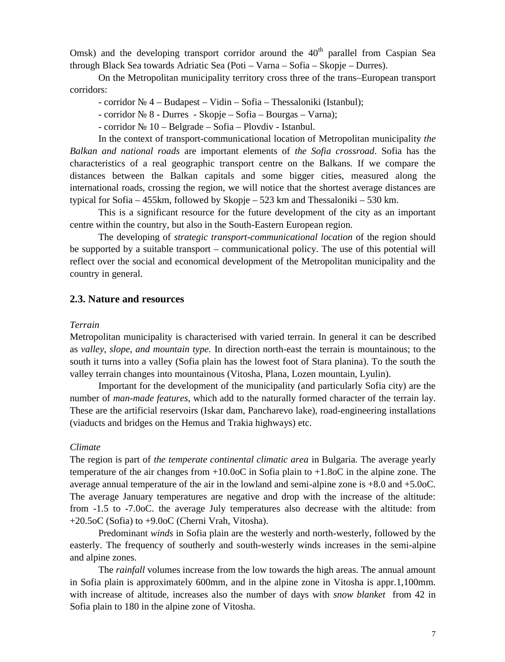Omsk) and the developing transport corridor around the  $40<sup>th</sup>$  parallel from Caspian Sea through Black Sea towards Adriatic Sea (Poti – Varna – Sofia – Skopje – Durres).

On the Metropolitan municipality territory cross three of the trans–European transport corridors:

- corridor № 4 – Budapest – Vidin – Sofia – Thessaloniki (Istanbul);

- corridor № 8 - Durres - Skopje – Sofia – Bourgas – Varna);

- corridor № 10 – Belgrade – Sofia – Plovdiv - Istanbul.

In the context of transport-communicational location of Metropolitan municipality *the Balkan and national roads* are important elements of *the Sofia crossroad*. Sofia has the characteristics of a real geographic transport centre on the Balkans. If we compare the distances between the Balkan capitals and some bigger cities, measured along the international roads, crossing the region, we will notice that the shortest average distances are typical for Sofia – 455km, followed by Skopje – 523 km and Thessaloniki – 530 km.

This is a significant resource for the future development of the city as an important centre within the country, but also in the South-Eastern European region.

The developing of *strategic transport-communicational location* of the region should be supported by a suitable transport – communicational policy. The use of this potential will reflect over the social and economical development of the Metropolitan municipality and the country in general.

### **2.3. Nature and resources**

### *Terrain*

Metropolitan municipality is characterised with varied terrain. In general it can be described as *valley, slope, and mountain type.* In direction north-east the terrain is mountainous; to the south it turns into a valley (Sofia plain has the lowest foot of Stara planina). To the south the valley terrain changes into mountainous (Vitosha, Plana, Lozen mountain, Lyulin).

Important for the development of the municipality (and particularly Sofia city) are the number of *man-made features*, which add to the naturally formed character of the terrain lay. These are the artificial reservoirs (Iskar dam, Pancharevo lake), road-engineering installations (viaducts and bridges on the Hemus and Trakia highways) etc.

#### *Climate*

The region is part of *the temperate continental climatic area* in Bulgaria. The average yearly temperature of the air changes from  $+10.0$  in Sofia plain to  $+1.8$  in the alpine zone. The average annual temperature of the air in the lowland and semi-alpine zone is  $+8.0$  and  $+5.0$ The average January temperatures are negative and drop with the increase of the altitude: from  $-1.5$  to  $-7.0$ . the average July temperatures also decrease with the altitude: from  $+20.5$  (Sofia) to  $+9.0$  (Cherni Vrah, Vitosha).

Predominant *winds* in Sofia plain are the westerly and north-westerly, followed by the easterly. The frequency of southerly and south-westerly winds increases in the semi-alpine and alpine zones.

The *rainfall* volumes increase from the low towards the high areas. The annual amount in Sofia plain is approximately 600mm, and in the alpine zone in Vitosha is appr.1,100mm. with increase of altitude, increases also the number of days with *snow blanket* from 42 in Sofia plain to 180 in the alpine zone of Vitosha.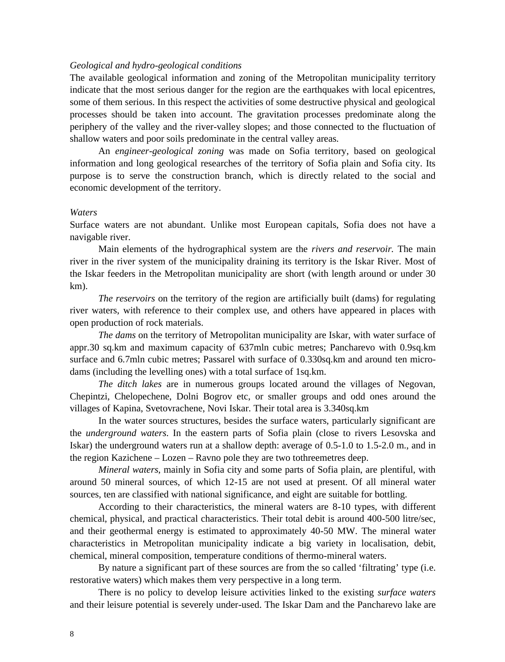#### *Geological and hydro-geological conditions*

The available geological information and zoning of the Metropolitan municipality territory indicate that the most serious danger for the region are the earthquakes with local epicentres, some of them serious. In this respect the activities of some destructive physical and geological processes should be taken into account. The gravitation processes predominate along the periphery of the valley and the river-valley slopes; and those connected to the fluctuation of shallow waters and poor soils predominate in the central valley areas.

An *engineer-geological zoning* was made on Sofia territory, based on geological information and long geological researches of the territory of Sofia plain and Sofia city. Its purpose is to serve the construction branch, which is directly related to the social and economic development of the territory.

#### *Waters*

Surface waters are not abundant. Unlike most European capitals, Sofia does not have a navigable river.

Main elements of the hydrographical system are the *rivers and reservoir.* The main river in the river system of the municipality draining its territory is the Iskar River. Most of the Iskar feeders in the Metropolitan municipality are short (with length around or under 30 km).

*The reservoirs* on the territory of the region are artificially built (dams) for regulating river waters, with reference to their complex use, and others have appeared in places with open production of rock materials.

*The dams* on the territory of Metropolitan municipality are Iskar, with water surface of appr.30 sq.km and maximum capacity of 637mln cubic metres; Pancharevo with 0.9sq.km surface and 6.7mln cubic metres; Passarel with surface of 0.330sq.km and around ten microdams (including the levelling ones) with a total surface of 1sq.km.

*The ditch lakes* are in numerous groups located around the villages of Negovan, Chepintzi, Chelopechene, Dolni Bogrov etc, or smaller groups and odd ones around the villages of Kapina, Svetovrachene, Novi Iskar. Their total area is 3.340sq.km

In the water sources structures, besides the surface waters, particularly significant are the *underground waters*. In the eastern parts of Sofia plain (close to rivers Lesovska and Iskar) the underground waters run at a shallow depth: average of 0.5-1.0 to 1.5-2.0 m., and in the region Kazichene – Lozen – Ravno pole they are two tothreemetres deep.

*Mineral waters*, mainly in Sofia city and some parts of Sofia plain, are plentiful, with around 50 mineral sources, of which 12-15 are not used at present. Of all mineral water sources, ten are classified with national significance, and eight are suitable for bottling.

According to their characteristics, the mineral waters are 8-10 types, with different chemical, physical, and practical characteristics. Their total debit is around 400-500 litre/sec, and their geothermal energy is estimated to approximately 40-50 MW. The mineral water characteristics in Metropolitan municipality indicate a big variety in localisation, debit, chemical, mineral composition, temperature conditions of thermo-mineral waters.

By nature a significant part of these sources are from the so called 'filtrating' type (i.e. restorative waters) which makes them very perspective in a long term.

There is no policy to develop leisure activities linked to the existing *surface waters* and their leisure potential is severely under-used. The Iskar Dam and the Pancharevo lake are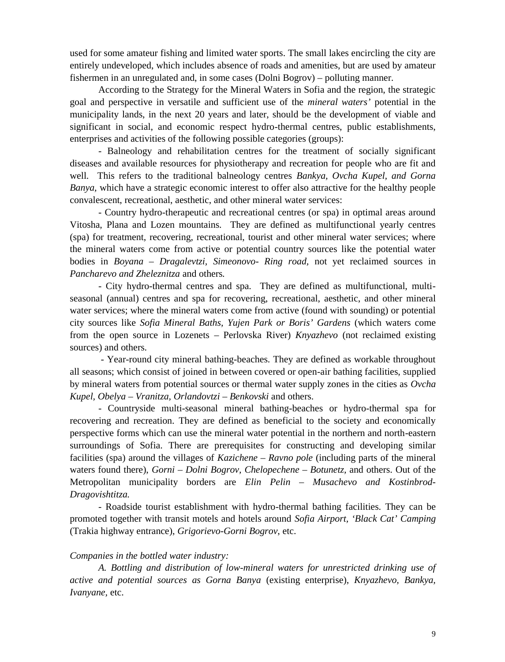used for some amateur fishing and limited water sports. The small lakes encircling the city are entirely undeveloped, which includes absence of roads and amenities, but are used by amateur fishermen in an unregulated and, in some cases (Dolni Bogrov) – polluting manner.

According to the Strategy for the Mineral Waters in Sofia and the region, the strategic goal and perspective in versatile and sufficient use of the *mineral waters'* potential in the municipality lands, in the next 20 years and later, should be the development of viable and significant in social, and economic respect hydro-thermal centres, public establishments, enterprises and activities of the following possible categories (groups):

- Balneology and rehabilitation centres for the treatment of socially significant diseases and available resources for physiotherapy and recreation for people who are fit and well. This refers to the traditional balneology centres *Bankya, Ovcha Kupel, and Gorna Banya,* which have a strategic economic interest to offer also attractive for the healthy people convalescent, recreational, aesthetic, and other mineral water services:

- Country hydro-therapeutic and recreational centres (or spa) in optimal areas around Vitosha, Plana and Lozen mountains. They are defined as multifunctional yearly centres (spa) for treatment, recovering, recreational, tourist and other mineral water services; where the mineral waters come from active or potential country sources like the potential water bodies in *Boyana – Dragalevtzi, Simeonovo- Ring road,* not yet reclaimed sources in *Pancharevo and Zheleznitza* and others*.*

- City hydro-thermal centres and spa. They are defined as multifunctional, multiseasonal (annual) centres and spa for recovering, recreational, aesthetic, and other mineral water services; where the mineral waters come from active (found with sounding) or potential city sources like *Sofia Mineral Baths, Yujen Park or Boris' Gardens* (which waters come from the open source in Lozenets – Perlovska River) *Knyazhevo* (not reclaimed existing sources) and others.

- Year-round city mineral bathing-beaches. They are defined as workable throughout all seasons; which consist of joined in between covered or open-air bathing facilities, supplied by mineral waters from potential sources or thermal water supply zones in the cities as *Ovcha Kupel, Obelya – Vranitza, Orlandovtzi – Benkovski* and others.

- Countryside multi-seasonal mineral bathing-beaches or hydro-thermal spa for recovering and recreation. They are defined as beneficial to the society and economically perspective forms which can use the mineral water potential in the northern and north-eastern surroundings of Sofia. There are prerequisites for constructing and developing similar facilities (spa) around the villages of *Kazichene – Ravno pole* (including parts of the mineral waters found there), *Gorni – Dolni Bogrov, Chelopechene – Botunetz,* and others. Out of the Metropolitan municipality borders are *Elin Pelin – Musachevo and Kostinbrod-Dragovishtitza.*

- Roadside tourist establishment with hydro-thermal bathing facilities. They can be promoted together with transit motels and hotels around *Sofia Airport, 'Black Cat' Camping* (Trakia highway entrance), *Grigorievo-Gorni Bogrov*, etc.

### *Companies in the bottled water industry:*

*А. Bottling and distribution of low-mineral waters for unrestricted drinking use of active and potential sources as Gorna Banya* (existing enterprise), *Knyazhevo, Bankya, Ivanyane,* etc.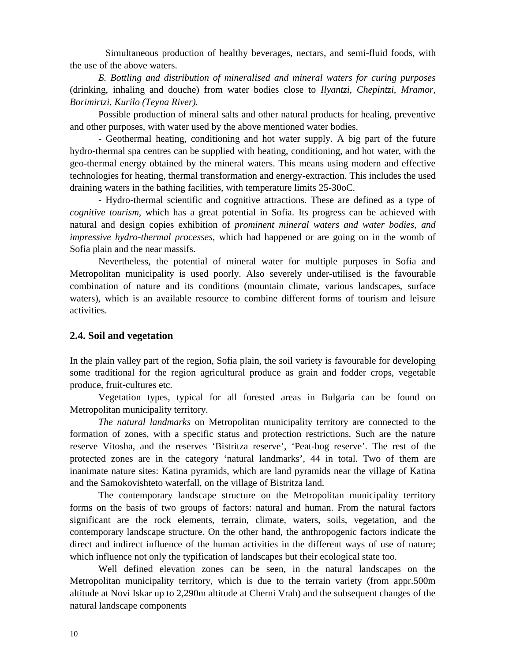Simultaneous production of healthy beverages, nectars, and semi-fluid foods, with the use of the above waters.

*Б. Bottling and distribution of mineralised and mineral waters for curing purposes* (drinking, inhaling and douche) from water bodies close to *Ilyantzi, Chepintzi, Mramor, Borimirtzi, Kurilo (Teyna River).*

Possible production of mineral salts and other natural products for healing, preventive and other purposes, with water used by the above mentioned water bodies.

- Geothermal heating, conditioning and hot water supply. A big part of the future hydro-thermal spa centres can be supplied with heating, conditioning, and hot water, with the geo-thermal energy obtained by the mineral waters. This means using modern and effective technologies for heating, thermal transformation and energy-extraction. This includes the used draining waters in the bathing facilities, with temperature limits 25-30.

- Hydro-thermal scientific and cognitive attractions. These are defined as a type of *cognitive tourism,* which has a great potential in Sofia. Its progress can be achieved with natural and design copies exhibition of *prominent mineral waters and water bodies, and impressive hydro-thermal processes*, which had happened or are going on in the womb of Sofia plain and the near massifs.

Nevertheless, the potential of mineral water for multiple purposes in Sofia and Metropolitan municipality is used poorly. Also severely under-utilised is the favourable combination of nature and its conditions (mountain climate, various landscapes, surface waters), which is an available resource to combine different forms of tourism and leisure activities.

## **2.4. Soil and vegetation**

In the plain valley part of the region, Sofia plain, the soil variety is favourable for developing some traditional for the region agricultural produce as grain and fodder crops, vegetable produce, fruit-cultures etc.

Vegetation types, typical for all forested areas in Bulgaria can be found on Metropolitan municipality territory.

*The natural landmarks* on Metropolitan municipality territory are connected to the formation of zones, with a specific status and protection restrictions. Such are the nature reserve Vitosha, and the reserves 'Bistritza reserve', 'Peat-bog reserve'. The rest of the protected zones are in the category 'natural landmarks', 44 in total. Two of them are inanimate nature sites: Katina pyramids, which are land pyramids near the village of Katina and the Samokovishteto waterfall, on the village of Bistritza land.

The contemporary landscape structure on the Metropolitan municipality territory forms on the basis of two groups of factors: natural and human. From the natural factors significant are the rock elements, terrain, climate, waters, soils, vegetation, and the contemporary landscape structure. On the other hand, the anthropogenic factors indicate the direct and indirect influence of the human activities in the different ways of use of nature; which influence not only the typification of landscapes but their ecological state too.

Well defined elevation zones can be seen, in the natural landscapes on the Metropolitan municipality territory, which is due to the terrain variety (from appr.500m altitude at Novi Iskar up to 2,290m altitude at Cherni Vrah) and the subsequent changes of the natural landscape components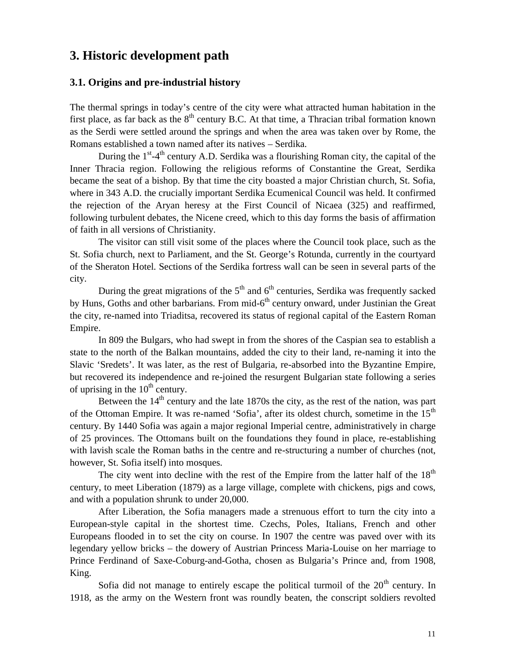# **3. Historic development path**

### **3.1. Origins and pre-industrial history**

The thermal springs in today's centre of the city were what attracted human habitation in the first place, as far back as the  $8<sup>th</sup>$  century B.C. At that time, a Thracian tribal formation known as the Serdi were settled around the springs and when the area was taken over by Rome, the Romans established a town named after its natives – Serdika.

During the 1<sup>st</sup>-4<sup>th</sup> century A.D. Serdika was a flourishing Roman city, the capital of the Inner Thracia region. Following the religious reforms of Constantine the Great, Serdika became the seat of a bishop. By that time the city boasted a major Christian church, St. Sofia, where in 343 A.D. the crucially important Serdika Ecumenical Council was held. It confirmed the rejection of the Aryan heresy at the First Council of Nicaea (325) and reaffirmed, following turbulent debates, the Nicene creed, which to this day forms the basis of affirmation of faith in all versions of Christianity.

The visitor can still visit some of the places where the Council took place, such as the St. Sofia church, next to Parliament, and the St. George's Rotunda, currently in the courtyard of the Sheraton Hotel. Sections of the Serdika fortress wall can be seen in several parts of the city.

During the great migrations of the  $5<sup>th</sup>$  and  $6<sup>th</sup>$  centuries, Serdika was frequently sacked by Huns, Goths and other barbarians. From mid-6<sup>th</sup> century onward, under Justinian the Great the city, re-named into Triaditsa, recovered its status of regional capital of the Eastern Roman Empire.

In 809 the Bulgars, who had swept in from the shores of the Caspian sea to establish a state to the north of the Balkan mountains, added the city to their land, re-naming it into the Slavic 'Sredets'. It was later, as the rest of Bulgaria, re-absorbed into the Byzantine Empire, but recovered its independence and re-joined the resurgent Bulgarian state following a series of uprising in the  $10^{th}$  century.

Between the  $14<sup>th</sup>$  century and the late 1870s the city, as the rest of the nation, was part of the Ottoman Empire. It was re-named 'Sofia', after its oldest church, sometime in the 15<sup>th</sup> century. By 1440 Sofia was again a major regional Imperial centre, administratively in charge of 25 provinces. The Ottomans built on the foundations they found in place, re-establishing with lavish scale the Roman baths in the centre and re-structuring a number of churches (not, however, St. Sofia itself) into mosques.

The city went into decline with the rest of the Empire from the latter half of the  $18<sup>th</sup>$ century, to meet Liberation (1879) as a large village, complete with chickens, pigs and cows, and with a population shrunk to under 20,000.

After Liberation, the Sofia managers made a strenuous effort to turn the city into a European-style capital in the shortest time. Czechs, Poles, Italians, French and other Europeans flooded in to set the city on course. In 1907 the centre was paved over with its legendary yellow bricks – the dowery of Austrian Princess Maria-Louise on her marriage to Prince Ferdinand of Saxe-Coburg-and-Gotha, chosen as Bulgaria's Prince and, from 1908, King.

Sofia did not manage to entirely escape the political turmoil of the  $20<sup>th</sup>$  century. In 1918, as the army on the Western front was roundly beaten, the conscript soldiers revolted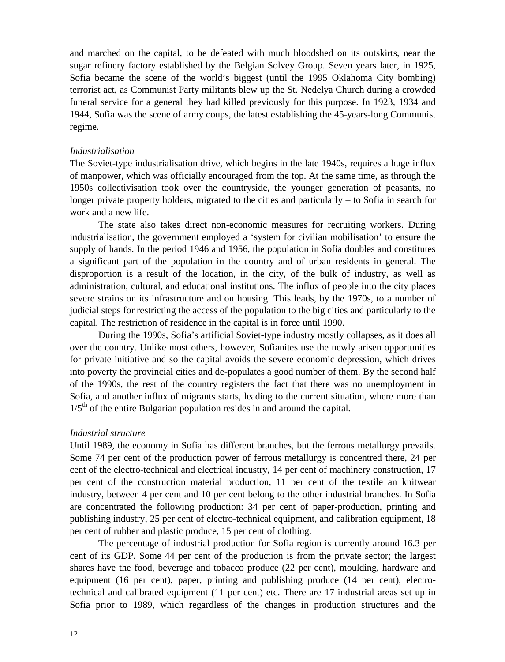and marched on the capital, to be defeated with much bloodshed on its outskirts, near the sugar refinery factory established by the Belgian Solvey Group. Seven years later, in 1925, Sofia became the scene of the world's biggest (until the 1995 Oklahoma City bombing) terrorist act, as Communist Party militants blew up the St. Nedelya Church during a crowded funeral service for a general they had killed previously for this purpose. In 1923, 1934 and 1944, Sofia was the scene of army coups, the latest establishing the 45-years-long Communist regime.

### *Industrialisation*

The Soviet-type industrialisation drive, which begins in the late 1940s, requires a huge influx of manpower, which was officially encouraged from the top. At the same time, as through the 1950s collectivisation took over the countryside, the younger generation of peasants, no longer private property holders, migrated to the cities and particularly – to Sofia in search for work and a new life.

The state also takes direct non-economic measures for recruiting workers. During industrialisation, the government employed a 'system for civilian mobilisation' to ensure the supply of hands. In the period 1946 and 1956, the population in Sofia doubles and constitutes a significant part of the population in the country and of urban residents in general. The disproportion is a result of the location, in the city, of the bulk of industry, as well as administration, cultural, and educational institutions. The influx of people into the city places severe strains on its infrastructure and on housing. This leads, by the 1970s, to a number of judicial steps for restricting the access of the population to the big cities and particularly to the capital. The restriction of residence in the capital is in force until 1990.

During the 1990s, Sofia's artificial Soviet-type industry mostly collapses, as it does all over the country. Unlike most others, however, Sofianites use the newly arisen opportunities for private initiative and so the capital avoids the severe economic depression, which drives into poverty the provincial cities and de-populates a good number of them. By the second half of the 1990s, the rest of the country registers the fact that there was no unemployment in Sofia, and another influx of migrants starts, leading to the current situation, where more than  $1/5<sup>th</sup>$  of the entire Bulgarian population resides in and around the capital.

#### *Industrial structure*

Until 1989, the economy in Sofia has different branches, but the ferrous metallurgy prevails. Some 74 per cent of the production power of ferrous metallurgy is concentred there, 24 per cent of the electro-technical and electrical industry, 14 per cent of machinery construction, 17 per cent of the construction material production, 11 per cent of the textile an knitwear industry, between 4 per cent and 10 per cent belong to the other industrial branches. In Sofia are concentrated the following production: 34 per cent of paper-production, printing and publishing industry, 25 per cent of electro-technical equipment, and calibration equipment, 18 per cent of rubber and plastic produce, 15 per cent of clothing.

The percentage of industrial production for Sofia region is currently around 16.3 per cent of its GDP. Some 44 per cent of the production is from the private sector; the largest shares have the food, beverage and tobacco produce (22 per cent), moulding, hardware and equipment (16 per cent), paper, printing and publishing produce (14 per cent), electrotechnical and calibrated equipment (11 per cent) etc. There are 17 industrial areas set up in Sofia prior to 1989, which regardless of the changes in production structures and the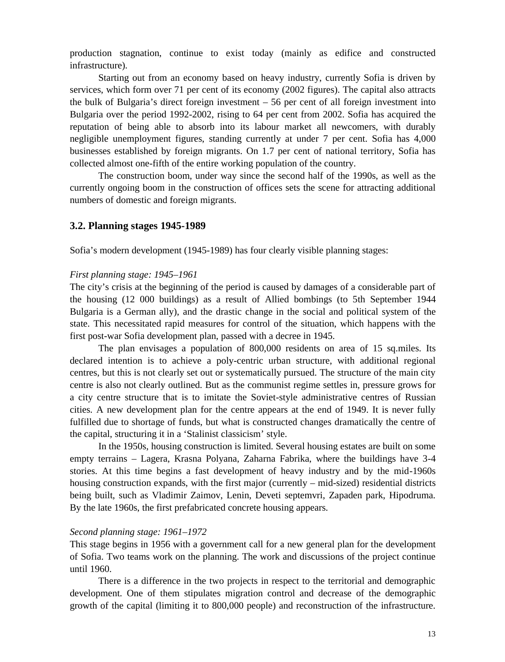production stagnation, continue to exist today (mainly as edifice and constructed infrastructure).

Starting out from an economy based on heavy industry, currently Sofia is driven by services, which form over 71 per cent of its economy (2002 figures). The capital also attracts the bulk of Bulgaria's direct foreign investment – 56 per cent of all foreign investment into Bulgaria over the period 1992-2002, rising to 64 per cent from 2002. Sofia has acquired the reputation of being able to absorb into its labour market all newcomers, with durably negligible unemployment figures, standing currently at under 7 per cent. Sofia has 4,000 businesses established by foreign migrants. On 1.7 per cent of national territory, Sofia has collected almost one-fifth of the entire working population of the country.

The construction boom, under way since the second half of the 1990s, as well as the currently ongoing boom in the construction of offices sets the scene for attracting additional numbers of domestic and foreign migrants.

### **3.2. Planning stages 1945-1989**

Sofia's modern development (1945-1989) has four clearly visible planning stages:

### *First planning stage: 1945–1961*

The city's crisis at the beginning of the period is caused by damages of a considerable part of the housing (12 000 buildings) as a result of Allied bombings (to 5th September 1944 Bulgaria is a German ally), and the drastic change in the social and political system of the state. This necessitated rapid measures for control of the situation, which happens with the first post-war Sofia development plan, passed with a decree in 1945.

The plan envisages a population of 800,000 residents on area of 15 sq.miles. Its declared intention is to achieve a poly-centric urban structure, with additional regional centres, but this is not clearly set out or systematically pursued. The structure of the main city centre is also not clearly outlined. But as the communist regime settles in, pressure grows for a city centre structure that is to imitate the Soviet-style administrative centres of Russian cities. A new development plan for the centre appears at the end of 1949. It is never fully fulfilled due to shortage of funds, but what is constructed changes dramatically the centre of the capital, structuring it in a 'Stalinist classicism' style.

In the 1950s, housing construction is limited. Several housing estates are built on some empty terrains – Lagera, Krasna Polyana, Zaharna Fabrika, where the buildings have 3-4 stories. At this time begins a fast development of heavy industry and by the mid-1960s housing construction expands, with the first major (currently – mid-sized) residential districts being built, such as Vladimir Zaimov, Lenin, Deveti septemvri, Zapaden park, Hipodruma. By the late 1960s, the first prefabricated concrete housing appears.

#### *Second planning stage: 1961–1972*

This stage begins in 1956 with a government call for a new general plan for the development of Sofia. Two teams work on the planning. The work and discussions of the project continue until 1960.

There is a difference in the two projects in respect to the territorial and demographic development. One of them stipulates migration control and decrease of the demographic growth of the capital (limiting it to 800,000 people) and reconstruction of the infrastructure.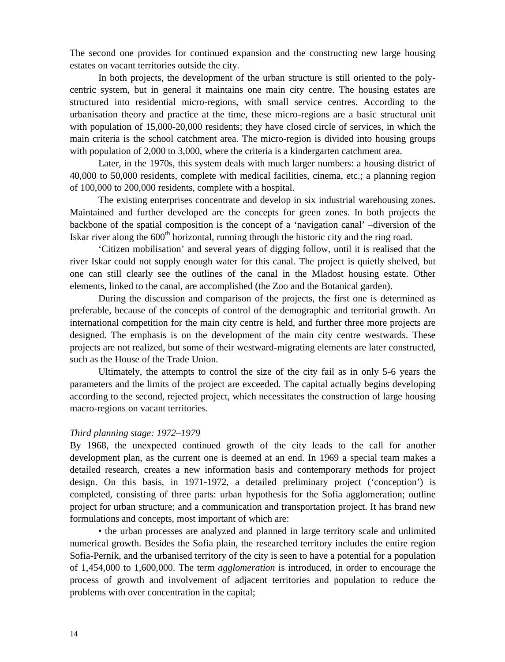The second one provides for continued expansion and the constructing new large housing estates on vacant territories outside the city.

In both projects, the development of the urban structure is still oriented to the polycentric system, but in general it maintains one main city centre. The housing estates are structured into residential micro-regions, with small service centres. According to the urbanisation theory and practice at the time, these micro-regions are a basic structural unit with population of 15,000-20,000 residents; they have closed circle of services, in which the main criteria is the school catchment area. The micro-region is divided into housing groups with population of 2,000 to 3,000, where the criteria is a kindergarten catchment area.

Later, in the 1970s, this system deals with much larger numbers: a housing district of 40,000 to 50,000 residents, complete with medical facilities, cinema, etc.; a planning region of 100,000 to 200,000 residents, complete with a hospital.

The existing enterprises concentrate and develop in six industrial warehousing zones. Maintained and further developed are the concepts for green zones. In both projects the backbone of the spatial composition is the concept of a 'navigation canal' –diversion of the Iskar river along the  $600<sup>th</sup>$  horizontal, running through the historic city and the ring road.

'Citizen mobilisation' and several years of digging follow, until it is realised that the river Iskar could not supply enough water for this canal. The project is quietly shelved, but one can still clearly see the outlines of the canal in the Mladost housing estate. Other elements, linked to the canal, are accomplished (the Zoo and the Botanical garden).

During the discussion and comparison of the projects, the first one is determined as preferable, because of the concepts of control of the demographic and territorial growth. An international competition for the main city centre is held, and further three more projects are designed. The emphasis is on the development of the main city centre westwards. These projects are not realized, but some of their westward-migrating elements are later constructed, such as the House of the Trade Union.

Ultimately, the attempts to control the size of the city fail as in only 5-6 years the parameters and the limits of the project are exceeded. The capital actually begins developing according to the second, rejected project, which necessitates the construction of large housing macro-regions on vacant territories.

### *Third planning stage: 1972–1979*

By 1968, the unexpected continued growth of the city leads to the call for another development plan, as the current one is deemed at an end. In 1969 a special team makes a detailed research, creates a new information basis and contemporary methods for project design. On this basis, in 1971-1972, a detailed preliminary project ('conception') is completed, consisting of three parts: urban hypothesis for the Sofia agglomeration; outline project for urban structure; and a communication and transportation project. It has brand new formulations and concepts, most important of which are:

• the urban processes are analyzed and planned in large territory scale and unlimited numerical growth. Besides the Sofia plain, the researched territory includes the entire region Sofia-Pernik, and the urbanised territory of the city is seen to have a potential for a population of 1,454,000 to 1,600,000. The term *agglomeration* is introduced, in order to encourage the process of growth and involvement of adjacent territories and population to reduce the problems with over concentration in the capital;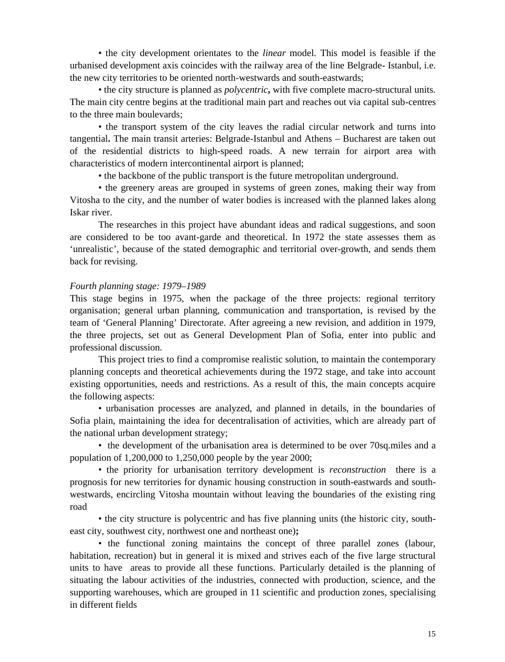• the city development orientates to the *linear* model. This model is feasible if the urbanised development axis coincides with the railway area of the line Belgrade- Istanbul, i.e. the new city territories to be oriented north-westwards and south-eastwards;

• the city structure is planned as *polycentric***,** with five complete macro-structural units. The main city centre begins at the traditional main part and reaches out via capital sub-centres to the three main boulevards;

• the transport system of the city leaves the radial circular network and turns into tangential**.** The main transit arteries: Belgrade-Istanbul and Athens – Bucharest are taken out of the residential districts to high-speed roads. A new terrain for airport area with characteristics of modern intercontinental airport is planned;

• the backbone of the public transport is the future metropolitan underground.

• the greenery areas are grouped in systems of green zones, making their way from Vitosha to the city, and the number of water bodies is increased with the planned lakes along Iskar river.

The researches in this project have abundant ideas and radical suggestions, and soon are considered to be too avant-garde and theoretical. In 1972 the state assesses them as 'unrealistic', because of the stated demographic and territorial over-growth, and sends them back for revising.

### *Fourth planning stage: 1979–1989*

This stage begins in 1975, when the package of the three projects: regional territory organisation; general urban planning, communication and transportation, is revised by the team of 'General Planning' Directorate. After agreeing a new revision, and addition in 1979, the three projects, set out as General Development Plan of Sofia, enter into public and professional discussion.

This project tries to find a compromise realistic solution, to maintain the contemporary planning concepts and theoretical achievements during the 1972 stage, and take into account existing opportunities, needs and restrictions. As a result of this, the main concepts acquire the following aspects:

• urbanisation processes are analyzed, and planned in details, in the boundaries of Sofia plain, maintaining the idea for decentralisation of activities, which are already part of the national urban development strategy;

• the development of the urbanisation area is determined to be over 70sq.miles and a population of 1,200,000 to 1,250,000 people by the year 2000;

• the priority for urbanisation territory development is *reconstruction* there is a prognosis for new territories for dynamic housing construction in south-eastwards and southwestwards, encircling Vitosha mountain without leaving the boundaries of the existing ring road

• the city structure is polycentric and has five planning units (the historic city, southeast city, southwest city, northwest one and northeast one)**;**

• the functional zoning maintains the concept of three parallel zones (labour, habitation, recreation) but in general it is mixed and strives each of the five large structural units to have areas to provide all these functions. Particularly detailed is the planning of situating the labour activities of the industries, connected with production, science, and the supporting warehouses, which are grouped in 11 scientific and production zones, specialising in different fields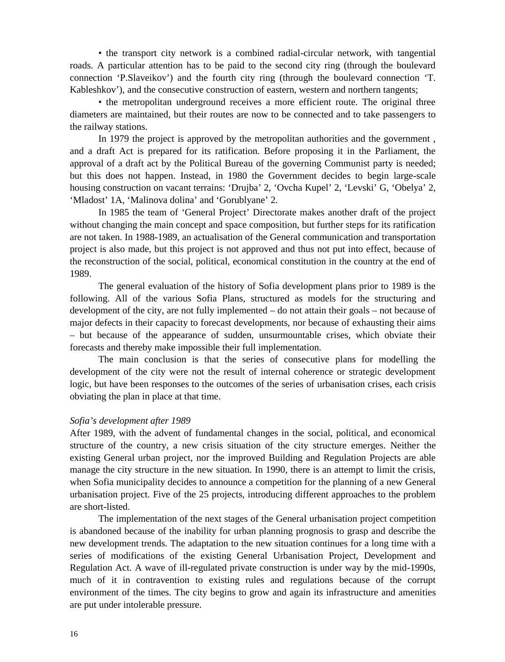• the transport city network is a combined radial-circular network, with tangential roads. A particular attention has to be paid to the second city ring (through the boulevard connection 'P.Slaveikov') and the fourth city ring (through the boulevard connection 'T. Kableshkov'), and the consecutive construction of eastern, western and northern tangents;

• the metropolitan underground receives a more efficient route. The original three diameters are maintained, but their routes are now to be connected and to take passengers to the railway stations.

In 1979 the project is approved by the metropolitan authorities and the government , and a draft Act is prepared for its ratification. Before proposing it in the Parliament, the approval of a draft act by the Political Bureau of the governing Communist party is needed; but this does not happen. Instead, in 1980 the Government decides to begin large-scale housing construction on vacant terrains: 'Drujba' 2, 'Ovcha Kupel' 2, 'Levski' G, 'Obelya' 2, 'Mladost' 1A, 'Malinova dolina' and 'Gorublyane' 2.

In 1985 the team of 'General Project' Directorate makes another draft of the project without changing the main concept and space composition, but further steps for its ratification are not taken. In 1988-1989, an actualisation of the General communication and transportation project is also made, but this project is not approved and thus not put into effect, because of the reconstruction of the social, political, economical constitution in the country at the end of 1989.

The general evaluation of the history of Sofia development plans prior to 1989 is the following. All of the various Sofia Plans, structured as models for the structuring and development of the city, are not fully implemented – do not attain their goals – not because of major defects in their capacity to forecast developments, nor because of exhausting their aims – but because of the appearance of sudden, unsurmountable crises, which obviate their forecasts and thereby make impossible their full implementation.

The main conclusion is that the series of consecutive plans for modelling the development of the city were not the result of internal coherence or strategic development logic, but have been responses to the outcomes of the series of urbanisation crises, each crisis obviating the plan in place at that time.

#### *Sofia's development after 1989*

After 1989, with the advent of fundamental changes in the social, political, and economical structure of the country, a new crisis situation of the city structure emerges. Neither the existing General urban project, nor the improved Building and Regulation Projects are able manage the city structure in the new situation. In 1990, there is an attempt to limit the crisis, when Sofia municipality decides to announce a competition for the planning of a new General urbanisation project. Five of the 25 projects, introducing different approaches to the problem are short-listed.

The implementation of the next stages of the General urbanisation project competition is abandoned because of the inability for urban planning prognosis to grasp and describe the new development trends. The adaptation to the new situation continues for a long time with a series of modifications of the existing General Urbanisation Project, Development and Regulation Act. A wave of ill-regulated private construction is under way by the mid-1990s, much of it in contravention to existing rules and regulations because of the corrupt environment of the times. The city begins to grow and again its infrastructure and amenities are put under intolerable pressure.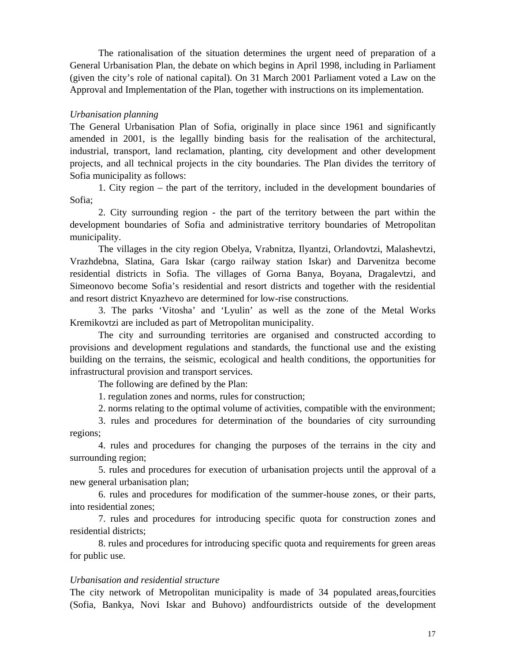The rationalisation of the situation determines the urgent need of preparation of a General Urbanisation Plan, the debate on which begins in April 1998, including in Parliament (given the city's role of national capital). On 31 March 2001 Parliament voted a Law on the Approval and Implementation of the Plan, together with instructions on its implementation.

### *Urbanisation planning*

The General Urbanisation Plan of Sofia, originally in place since 1961 and significantly amended in 2001, is the legallly binding basis for the realisation of the architectural, industrial, transport, land reclamation, planting, city development and other development projects, and all technical projects in the city boundaries. The Plan divides the territory of Sofia municipality as follows:

1. City region – the part of the territory, included in the development boundaries of Sofia;

2. City surrounding region - the part of the territory between the part within the development boundaries of Sofia and administrative territory boundaries of Metropolitan municipality.

The villages in the city region Obelya, Vrabnitza, Ilyantzi, Orlandovtzi, Malashevtzi, Vrazhdebna, Slatina, Gara Iskar (cargo railway station Iskar) and Darvenitza become residential districts in Sofia. The villages of Gorna Banya, Boyana, Dragalevtzi, and Simeonovo become Sofia's residential and resort districts and together with the residential and resort district Knyazhevo are determined for low-rise constructions.

3. The parks 'Vitosha' and 'Lyulin' as well as the zone of the Metal Works Kremikovtzi are included as part of Metropolitan municipality.

The city and surrounding territories are organised and constructed according to provisions and development regulations and standards, the functional use and the existing building on the terrains, the seismic, ecological and health conditions, the opportunities for infrastructural provision and transport services.

The following are defined by the Plan:

1. regulation zones and norms, rules for construction;

2. norms relating to the optimal volume of activities, compatible with the environment;

3. rules and procedures for determination of the boundaries of city surrounding regions;

4. rules and procedures for changing the purposes of the terrains in the city and surrounding region;

5. rules and procedures for execution of urbanisation projects until the approval of a new general urbanisation plan;

6. rules and procedures for modification of the summer-house zones, or their parts, into residential zones;

7. rules and procedures for introducing specific quota for construction zones and residential districts;

8. rules and procedures for introducing specific quota and requirements for green areas for public use.

## *Urbanisation and residential structure*

The city network of Metropolitan municipality is made of 34 populated areas,fourcities (Sofia, Bankya, Novi Iskar and Buhovo) andfourdistricts outside of the development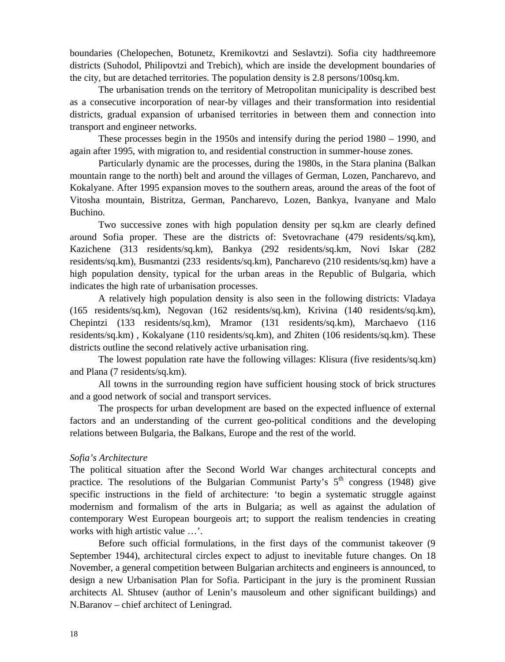boundaries (Chelopechen, Botunetz, Kremikovtzi and Seslavtzi). Sofia city hadthreemore districts (Suhodol, Philipovtzi and Trebich), which are inside the development boundaries of the city, but are detached territories. The population density is 2.8 persons/100sq.km.

The urbanisation trends on the territory of Metropolitan municipality is described best as a consecutive incorporation of near-by villages and their transformation into residential districts, gradual expansion of urbanised territories in between them and connection into transport and engineer networks.

These processes begin in the 1950s and intensify during the period 1980 – 1990, and again after 1995, with migration to, and residential construction in summer-house zones.

Particularly dynamic are the processes, during the 1980s, in the Stara planina (Balkan mountain range to the north) belt and around the villages of German, Lozen, Pancharevo, and Kokalyane. After 1995 expansion moves to the southern areas, around the areas of the foot of Vitosha mountain, Bistritza, German, Pancharevo, Lozen, Bankya, Ivanyane and Malo Buchino.

Two successive zones with high population density per sq.km are clearly defined around Sofia proper. These are the districts of: Svetovrachane (479 residents/sq.km), Kazichene (313 residents/sq.km), Bankya (292 residents/sq.km, Novi Iskar (282 residents/sq.km), Busmantzi (233 residents/sq.km), Pancharevo (210 residents/sq.km) have a high population density, typical for the urban areas in the Republic of Bulgaria, which indicates the high rate of urbanisation processes.

A relatively high population density is also seen in the following districts: Vladaya (165 residents/sq.km), Negovan (162 residents/sq.km), Krivina (140 residents/sq.km), Chepintzi (133 residents/sq.km), Mramor (131 residents/sq.km), Marchaevo (116 residents/sq.km) , Kokalyane (110 residents/sq.km), and Zhiten (106 residents/sq.km). These districts outline the second relatively active urbanisation ring.

The lowest population rate have the following villages: Klisura (five residents/sq.km) and Plana (7 residents/sq.km).

All towns in the surrounding region have sufficient housing stock of brick structures and a good network of social and transport services.

The prospects for urban development are based on the expected influence of external factors and an understanding of the current geo-political conditions and the developing relations between Bulgaria, the Balkans, Europe and the rest of the world.

### *Sofia's Architecture*

The political situation after the Second World War changes architectural concepts and practice. The resolutions of the Bulgarian Communist Party's  $5<sup>th</sup>$  congress (1948) give specific instructions in the field of architecture: 'to begin a systematic struggle against modernism and formalism of the arts in Bulgaria; as well as against the adulation of contemporary West European bourgeois art; to support the realism tendencies in creating works with high artistic value …'.

Before such official formulations, in the first days of the communist takeover (9 September 1944), architectural circles expect to adjust to inevitable future changes. On 18 November, a general competition between Bulgarian architects and engineers is announced, to design a new Urbanisation Plan for Sofia. Participant in the jury is the prominent Russian architects Al. Shtusev (author of Lenin's mausoleum and other significant buildings) and N.Baranov – chief architect of Leningrad.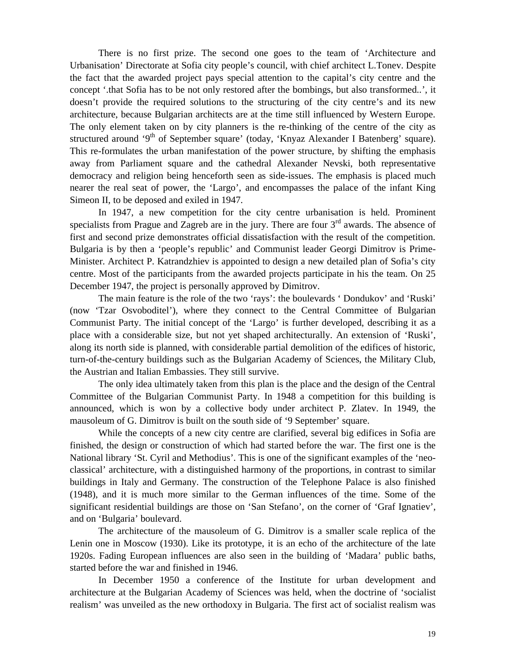There is no first prize. The second one goes to the team of 'Architecture and Urbanisation' Directorate at Sofia city people's council, with chief architect L.Tonev. Despite the fact that the awarded project pays special attention to the capital's city centre and the concept '.that Sofia has to be not only restored after the bombings, but also transformed..', it doesn't provide the required solutions to the structuring of the city centre's and its new architecture, because Bulgarian architects are at the time still influenced by Western Europe. The only element taken on by city planners is the re-thinking of the centre of the city as structured around '9<sup>th</sup> of September square' (today, 'Knyaz Alexander I Batenberg' square). This re-formulates the urban manifestation of the power structure, by shifting the emphasis away from Parliament square and the cathedral Alexander Nevski, both representative democracy and religion being henceforth seen as side-issues. The emphasis is placed much nearer the real seat of power, the 'Largo', and encompasses the palace of the infant King Simeon II, to be deposed and exiled in 1947.

In 1947, a new competition for the city centre urbanisation is held. Prominent specialists from Prague and Zagreb are in the jury. There are four  $3<sup>rd</sup>$  awards. The absence of first and second prize demonstrates official dissatisfaction with the result of the competition. Bulgaria is by then a 'people's republic' and Communist leader Georgi Dimitrov is Prime-Minister. Architect P. Katrandzhiev is appointed to design a new detailed plan of Sofia's city centre. Most of the participants from the awarded projects participate in his the team. On 25 December 1947, the project is personally approved by Dimitrov.

The main feature is the role of the two 'rays': the boulevards ' Dondukov' and 'Ruski' (now 'Tzar Osvoboditel'), where they connect to the Central Committee of Bulgarian Communist Party. The initial concept of the 'Largo' is further developed, describing it as a place with a considerable size, but not yet shaped architecturally. An extension of 'Ruski', along its north side is planned, with considerable partial demolition of the edifices of historic, turn-of-the-century buildings such as the Bulgarian Academy of Sciences, the Military Club, the Austrian and Italian Embassies. They still survive.

The only idea ultimately taken from this plan is the place and the design of the Central Committee of the Bulgarian Communist Party. In 1948 a competition for this building is announced, which is won by a collective body under architect P. Zlatev. In 1949, the mausoleum of G. Dimitrov is built on the south side of '9 September' square.

While the concepts of a new city centre are clarified, several big edifices in Sofia are finished, the design or construction of which had started before the war. The first one is the National library 'St. Cyril and Methodius'. This is one of the significant examples of the 'neoclassical' architecture, with a distinguished harmony of the proportions, in contrast to similar buildings in Italy and Germany. The construction of the Telephone Palace is also finished (1948), and it is much more similar to the German influences of the time. Some of the significant residential buildings are those on 'San Stefano', on the corner of 'Graf Ignatiev', and on 'Bulgaria' boulevard.

The architecture of the mausoleum of G. Dimitrov is a smaller scale replica of the Lenin one in Moscow (1930). Like its prototype, it is an echo of the architecture of the late 1920s. Fading European influences are also seen in the building of 'Madara' public baths, started before the war and finished in 1946.

In December 1950 a conference of the Institute for urban development and architecture at the Bulgarian Academy of Sciences was held, when the doctrine of 'socialist realism' was unveiled as the new orthodoxy in Bulgaria. The first act of socialist realism was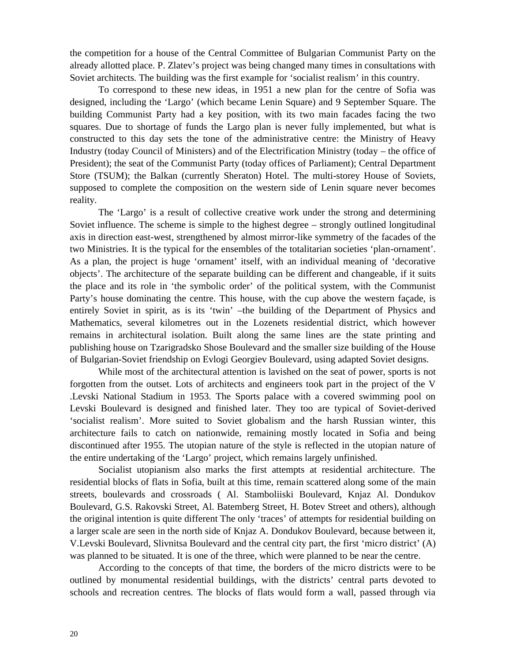the competition for a house of the Central Committee of Bulgarian Communist Party on the already allotted place. P. Zlatev's project was being changed many times in consultations with Soviet architects. The building was the first example for 'socialist realism' in this country.

To correspond to these new ideas, in 1951 a new plan for the centre of Sofia was designed, including the 'Largo' (which became Lenin Square) and 9 September Square. The building Communist Party had a key position, with its two main facades facing the two squares. Due to shortage of funds the Largo plan is never fully implemented, but what is constructed to this day sets the tone of the administrative centre: the Ministry of Heavy Industry (today Council of Ministers) and of the Electrification Ministry (today – the office of President); the seat of the Communist Party (today offices of Parliament); Central Department Store (TSUM); the Balkan (currently Sheraton) Hotel. The multi-storey House of Soviets, supposed to complete the composition on the western side of Lenin square never becomes reality.

The 'Largo' is a result of collective creative work under the strong and determining Soviet influence. The scheme is simple to the highest degree – strongly outlined longitudinal axis in direction east-west, strengthened by almost mirror-like symmetry of the facades of the two Ministries. It is the typical for the ensembles of the totalitarian societies 'plan-ornament'. As a plan, the project is huge 'ornament' itself, with an individual meaning of 'decorative objects'. The architecture of the separate building can be different and changeable, if it suits the place and its role in 'the symbolic order' of the political system, with the Communist Party's house dominating the centre. This house, with the cup above the western façade, is entirely Soviet in spirit, as is its 'twin' –the building of the Department of Physics and Mathematics, several kilometres out in the Lozenets residential district, which however remains in architectural isolation. Built along the same lines are the state printing and publishing house on Tzarigradsko Shose Boulevard and the smaller size building of the House of Bulgarian-Soviet friendship on Evlogi Georgiev Boulevard, using adapted Soviet designs.

While most of the architectural attention is lavished on the seat of power, sports is not forgotten from the outset. Lots of architects and engineers took part in the project of the V .Levski National Stadium in 1953. The Sports palace with a covered swimming pool on Levski Boulevard is designed and finished later. They too are typical of Soviet-derived 'socialist realism'. More suited to Soviet globalism and the harsh Russian winter, this architecture fails to catch on nationwide, remaining mostly located in Sofia and being discontinued after 1955. The utopian nature of the style is reflected in the utopian nature of the entire undertaking of the 'Largo' project, which remains largely unfinished.

Socialist utopianism also marks the first attempts at residential architecture. The residential blocks of flats in Sofia, built at this time, remain scattered along some of the main streets, boulevards and crossroads ( Al. Stamboliiski Boulevard, Knjaz Al. Dondukov Boulevard, G.S. Rakovski Street, Al. Batemberg Street, H. Botev Street and others), although the original intention is quite different The only 'traces' of attempts for residential building on a larger scale are seen in the north side of Knjaz A. Dondukov Boulevard, because between it, V.Levski Boulevard, Slivnitsa Boulevard and the central city part, the first 'micro district' (A) was planned to be situated. It is one of the three, which were planned to be near the centre.

According to the concepts of that time, the borders of the micro districts were to be outlined by monumental residential buildings, with the districts' central parts devoted to schools and recreation centres. The blocks of flats would form a wall, passed through via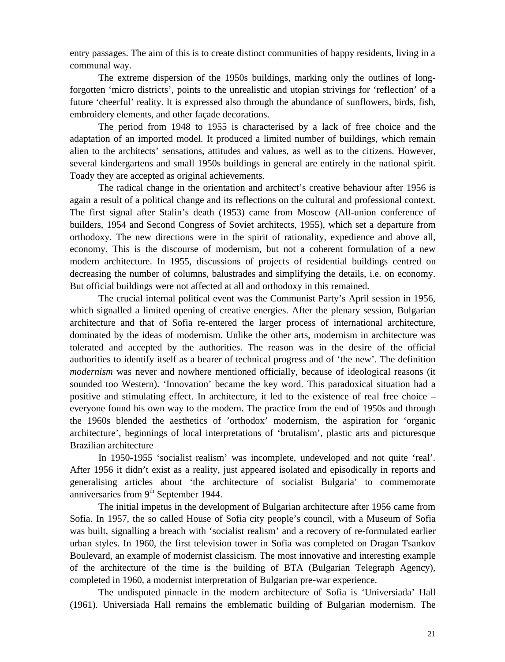entry passages. The aim of this is to create distinct communities of happy residents, living in a communal way.

The extreme dispersion of the 1950s buildings, marking only the outlines of longforgotten 'micro districts', points to the unrealistic and utopian strivings for 'reflection' of a future 'cheerful' reality. It is expressed also through the abundance of sunflowers, birds, fish, embroidery elements, and other façade decorations.

The period from 1948 to 1955 is characterised by a lack of free choice and the adaptation of an imported model. It produced a limited number of buildings, which remain alien to the architects' sensations, attitudes and values, as well as to the citizens. However, several kindergartens and small 1950s buildings in general are entirely in the national spirit. Toady they are accepted as original achievements.

The radical change in the orientation and architect's creative behaviour after 1956 is again a result of a political change and its reflections on the cultural and professional context. The first signal after Stalin's death (1953) came from Moscow (All-union conference of builders, 1954 and Second Congress of Soviet architects, 1955), which set a departure from orthodoxy. The new directions were in the spirit of rationality, expedience and above all, economy. This is the discourse of modernism, but not a coherent formulation of a new modern architecture. In 1955, discussions of projects of residential buildings centred on decreasing the number of columns, balustrades and simplifying the details, i.e. on economy. But official buildings were not affected at all and orthodoxy in this remained.

The crucial internal political event was the Communist Party's April session in 1956, which signalled a limited opening of creative energies. After the plenary session, Bulgarian architecture and that of Sofia re-entered the larger process of international architecture, dominated by the ideas of modernism. Unlike the other arts, modernism in architecture was tolerated and accepted by the authorities. The reason was in the desire of the official authorities to identify itself as a bearer of technical progress and of 'the new'. The definition *modernism* was never and nowhere mentioned officially, because of ideological reasons (it sounded too Western). 'Innovation' became the key word. This paradoxical situation had a positive and stimulating effect. In architecture, it led to the existence of real free choice – everyone found his own way to the modern. The practice from the end of 1950s and through the 1960s blended the aesthetics of 'orthodox' modernism, the aspiration for 'organic architecture', beginnings of local interpretations of 'brutalism', plastic arts and picturesque Brazilian architecture

In 1950-1955 'socialist realism' was incomplete, undeveloped and not quite 'real'. After 1956 it didn't exist as a reality, just appeared isolated and episodically in reports and generalising articles about 'the architecture of socialist Bulgaria' to commemorate anniversaries from  $9<sup>th</sup>$  September 1944.

The initial impetus in the development of Bulgarian architecture after 1956 came from Sofia. In 1957, the so called House of Sofia city people's council, with a Museum of Sofia was built, signalling a breach with 'socialist realism' and a recovery of re-formulated earlier urban styles. In 1960, the first television tower in Sofia was completed on Dragan Tsankov Boulevard, an example of modernist classicism. The most innovative and interesting example of the architecture of the time is the building of BTA (Bulgarian Telegraph Agency), completed in 1960, a modernist interpretation of Bulgarian pre-war experience.

The undisputed pinnacle in the modern architecture of Sofia is 'Universiada' Hall (1961). Universiada Hall remains the emblematic building of Bulgarian modernism. The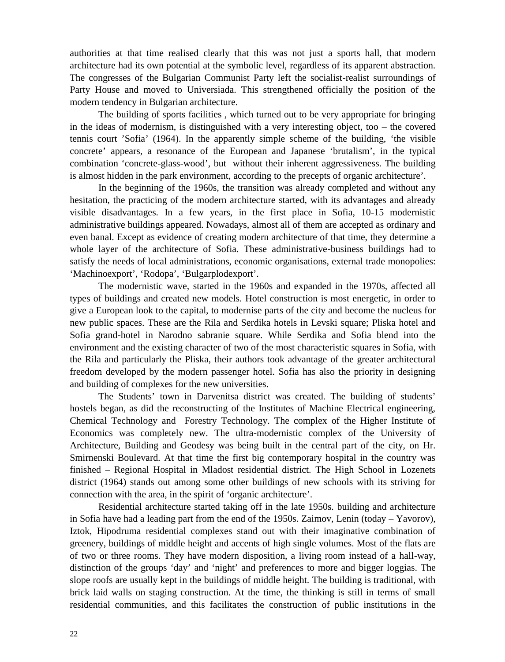authorities at that time realised clearly that this was not just a sports hall, that modern architecture had its own potential at the symbolic level, regardless of its apparent abstraction. The congresses of the Bulgarian Communist Party left the socialist-realist surroundings of Party House and moved to Universiada. This strengthened officially the position of the modern tendency in Bulgarian architecture.

The building of sports facilities , which turned out to be very appropriate for bringing in the ideas of modernism, is distinguished with a very interesting object, too – the covered tennis court 'Sofia' (1964). In the apparently simple scheme of the building, 'the visible concrete' appears, a resonance of the European and Japanese 'brutalism', in the typical combination 'concrete-glass-wood', but without their inherent aggressiveness. The building is almost hidden in the park environment, according to the precepts of organic architecture'.

In the beginning of the 1960s, the transition was already completed and without any hesitation, the practicing of the modern architecture started, with its advantages and already visible disadvantages. In a few years, in the first place in Sofia, 10-15 modernistic administrative buildings appeared. Nowadays, almost all of them are accepted as ordinary and even banal. Except as evidence of creating modern architecture of that time, they determine a whole layer of the architecture of Sofia. These administrative-business buildings had to satisfy the needs of local administrations, economic organisations, external trade monopolies: 'Machinoexport', 'Rodopa', 'Bulgarplodexport'.

The modernistic wave, started in the 1960s and expanded in the 1970s, affected all types of buildings and created new models. Hotel construction is most energetic, in order to give a European look to the capital, to modernise parts of the city and become the nucleus for new public spaces. These are the Rila and Serdika hotels in Levski square; Pliska hotel and Sofia grand-hotel in Narodno sabranie square. While Serdika and Sofia blend into the environment and the existing character of two of the most characteristic squares in Sofia, with the Rila and particularly the Pliska, their authors took advantage of the greater architectural freedom developed by the modern passenger hotel. Sofia has also the priority in designing and building of complexes for the new universities.

The Students' town in Darvenitsa district was created. The building of students' hostels began, as did the reconstructing of the Institutes of Machine Electrical engineering, Chemical Technology and Forestry Technology. The complex of the Higher Institute of Economics was completely new. The ultra-modernistic complex of the University of Architecture, Building and Geodesy was being built in the central part of the city, on Hr. Smirnenski Boulevard. At that time the first big contemporary hospital in the country was finished – Regional Hospital in Mladost residential district. The High School in Lozenets district (1964) stands out among some other buildings of new schools with its striving for connection with the area, in the spirit of 'organic architecture'.

Residential architecture started taking off in the late 1950s. building and architecture in Sofia have had a leading part from the end of the 1950s. Zaimov, Lenin (today – Yavorov), Iztok, Hipodruma residential complexes stand out with their imaginative combination of greenery, buildings of middle height and accents of high single volumes. Most of the flats are of two or three rooms. They have modern disposition, a living room instead of a hall-way, distinction of the groups 'day' and 'night' and preferences to more and bigger loggias. The slope roofs are usually kept in the buildings of middle height. The building is traditional, with brick laid walls on staging construction. At the time, the thinking is still in terms of small residential communities, and this facilitates the construction of public institutions in the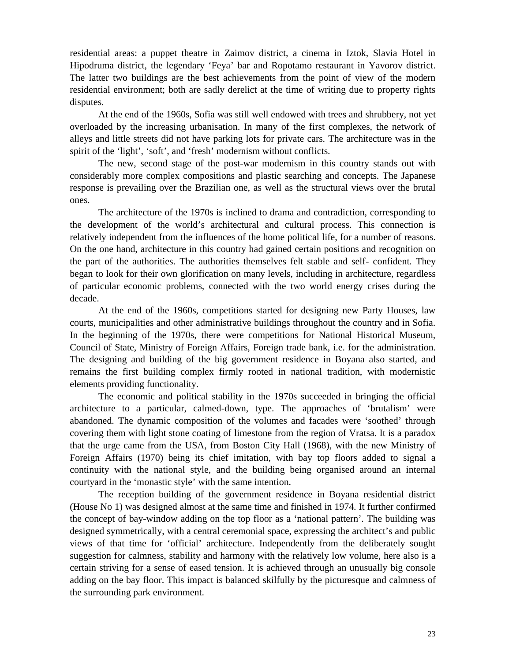residential areas: a puppet theatre in Zaimov district, a cinema in Iztok, Slavia Hotel in Hipodruma district, the legendary 'Feya' bar and Ropotamo restaurant in Yavorov district. The latter two buildings are the best achievements from the point of view of the modern residential environment; both are sadly derelict at the time of writing due to property rights disputes.

At the end of the 1960s, Sofia was still well endowed with trees and shrubbery, not yet overloaded by the increasing urbanisation. In many of the first complexes, the network of alleys and little streets did not have parking lots for private cars. The architecture was in the spirit of the 'light', 'soft', and 'fresh' modernism without conflicts.

The new, second stage of the post-war modernism in this country stands out with considerably more complex compositions and plastic searching and concepts. The Japanese response is prevailing over the Brazilian one, as well as the structural views over the brutal ones.

The architecture of the 1970s is inclined to drama and contradiction, corresponding to the development of the world's architectural and cultural process. This connection is relatively independent from the influences of the home political life, for a number of reasons. On the one hand, architecture in this country had gained certain positions and recognition on the part of the authorities. The authorities themselves felt stable and self- confident. They began to look for their own glorification on many levels, including in architecture, regardless of particular economic problems, connected with the two world energy crises during the decade.

At the end of the 1960s, competitions started for designing new Party Houses, law courts, municipalities and other administrative buildings throughout the country and in Sofia. In the beginning of the 1970s, there were competitions for National Historical Museum, Council of State, Ministry of Foreign Affairs, Foreign trade bank, i.e. for the administration. The designing and building of the big government residence in Boyana also started, and remains the first building complex firmly rooted in national tradition, with modernistic elements providing functionality.

The economic and political stability in the 1970s succeeded in bringing the official architecture to a particular, calmed-down, type. The approaches of 'brutalism' were abandoned. The dynamic composition of the volumes and facades were 'soothed' through covering them with light stone coating of limestone from the region of Vratsa. It is a paradox that the urge came from the USA, from Boston City Hall (1968), with the new Ministry of Foreign Affairs (1970) being its chief imitation, with bay top floors added to signal a continuity with the national style, and the building being organised around an internal courtyard in the 'monastic style' with the same intention.

The reception building of the government residence in Boyana residential district (House No 1) was designed almost at the same time and finished in 1974. It further confirmed the concept of bay-window adding on the top floor as a 'national pattern'. The building was designed symmetrically, with a central ceremonial space, expressing the architect's and public views of that time for 'official' architecture. Independently from the deliberately sought suggestion for calmness, stability and harmony with the relatively low volume, here also is a certain striving for a sense of eased tension. It is achieved through an unusually big console adding on the bay floor. This impact is balanced skilfully by the picturesque and calmness of the surrounding park environment.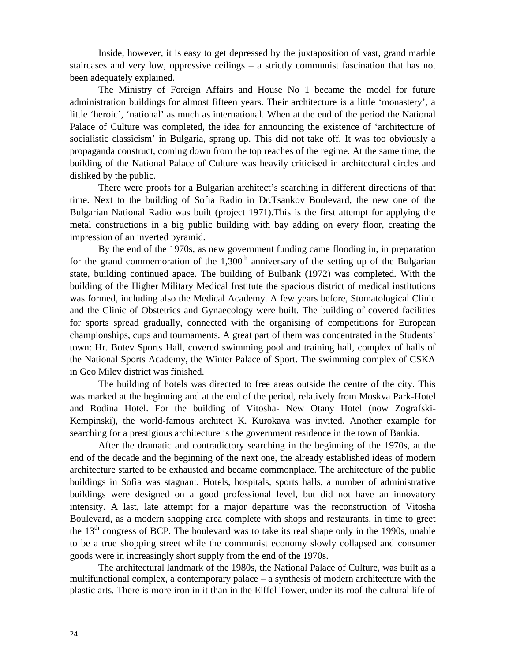Inside, however, it is easy to get depressed by the juxtaposition of vast, grand marble staircases and very low, oppressive ceilings – a strictly communist fascination that has not been adequately explained.

The Ministry of Foreign Affairs and House No 1 became the model for future administration buildings for almost fifteen years. Their architecture is a little 'monastery', a little 'heroic', 'national' as much as international. When at the end of the period the National Palace of Culture was completed, the idea for announcing the existence of 'architecture of socialistic classicism' in Bulgaria, sprang up. This did not take off. It was too obviously a propaganda construct, coming down from the top reaches of the regime. At the same time, the building of the National Palace of Culture was heavily criticised in architectural circles and disliked by the public.

There were proofs for a Bulgarian architect's searching in different directions of that time. Next to the building of Sofia Radio in Dr.Tsankov Boulevard, the new one of the Bulgarian National Radio was built (project 1971).This is the first attempt for applying the metal constructions in a big public building with bay adding on every floor, creating the impression of an inverted pyramid.

By the end of the 1970s, as new government funding came flooding in, in preparation for the grand commemoration of the  $1,300<sup>th</sup>$  anniversary of the setting up of the Bulgarian state, building continued apace. The building of Bulbank (1972) was completed. With the building of the Higher Military Medical Institute the spacious district of medical institutions was formed, including also the Medical Academy. A few years before, Stomatological Clinic and the Clinic of Obstetrics and Gynaecology were built. The building of covered facilities for sports spread gradually, connected with the organising of competitions for European championships, cups and tournaments. A great part of them was concentrated in the Students' town: Hr. Botev Sports Hall, covered swimming pool and training hall, complex of halls of the National Sports Academy, the Winter Palace of Sport. The swimming complex of CSKA in Geo Milev district was finished.

The building of hotels was directed to free areas outside the centre of the city. This was marked at the beginning and at the end of the period, relatively from Moskva Park-Hotel and Rodina Hotel. For the building of Vitosha- New Otany Hotel (now Zografski-Kempinski), the world-famous architect K. Kurokava was invited. Another example for searching for a prestigious architecture is the government residence in the town of Bankia.

After the dramatic and contradictory searching in the beginning of the 1970s, at the end of the decade and the beginning of the next one, the already established ideas of modern architecture started to be exhausted and became commonplace. The architecture of the public buildings in Sofia was stagnant. Hotels, hospitals, sports halls, a number of administrative buildings were designed on a good professional level, but did not have an innovatory intensity. A last, late attempt for a major departure was the reconstruction of Vitosha Boulevard, as a modern shopping area complete with shops and restaurants, in time to greet the  $13<sup>th</sup>$  congress of BCP. The boulevard was to take its real shape only in the 1990s, unable to be a true shopping street while the communist economy slowly collapsed and consumer goods were in increasingly short supply from the end of the 1970s.

The architectural landmark of the 1980s, the National Palace of Culture, was built as a multifunctional complex, a contemporary palace – a synthesis of modern architecture with the plastic arts. There is more iron in it than in the Eiffel Tower, under its roof the cultural life of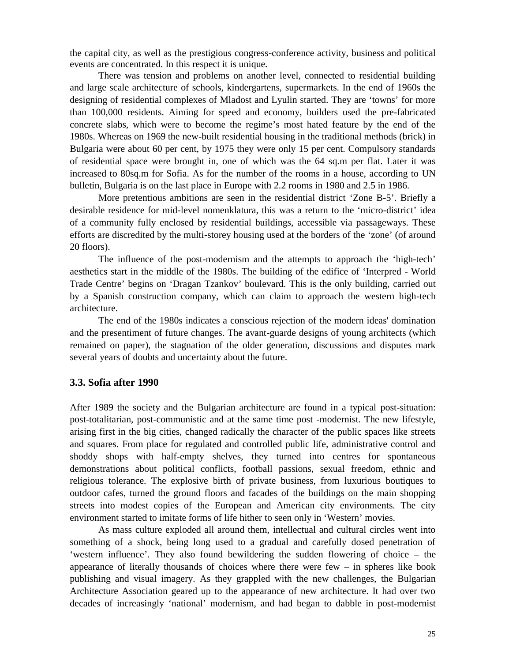the capital city, as well as the prestigious congress-conference activity, business and political events are concentrated. In this respect it is unique.

There was tension and problems on another level, connected to residential building and large scale architecture of schools, kindergartens, supermarkets. In the end of 1960s the designing of residential complexes of Mladost and Lyulin started. They are 'towns' for more than 100,000 residents. Aiming for speed and economy, builders used the pre-fabricated concrete slabs, which were to become the regime's most hated feature by the end of the 1980s. Whereas on 1969 the new-built residential housing in the traditional methods (brick) in Bulgaria were about 60 per cent, by 1975 they were only 15 per cent. Compulsory standards of residential space were brought in, one of which was the 64 sq.m per flat. Later it was increased to 80sq.m for Sofia. As for the number of the rooms in a house, according to UN bulletin, Bulgaria is on the last place in Europe with 2.2 rooms in 1980 and 2.5 in 1986.

More pretentious ambitions are seen in the residential district 'Zone B-5'. Briefly a desirable residence for mid-level nomenklatura, this was a return to the 'micro-district' idea of a community fully enclosed by residential buildings, accessible via passageways. These efforts are discredited by the multi-storey housing used at the borders of the 'zone' (of around 20 floors).

The influence of the post-modernism and the attempts to approach the 'high-tech' aesthetics start in the middle of the 1980s. The building of the edifice of 'Interpred - World Trade Centre' begins on 'Dragan Tzankov' boulevard. This is the only building, carried out by a Spanish construction company, which can claim to approach the western high-tech architecture.

The end of the 1980s indicates a conscious rejection of the modern ideas' domination and the presentiment of future changes. The avant-guarde designs of young architects (which remained on paper), the stagnation of the older generation, discussions and disputes mark several years of doubts and uncertainty about the future.

## **3.3. Sofia after 1990**

After 1989 the society and the Bulgarian architecture are found in a typical post-situation: post-totalitarian, post-communistic and at the same time post -modernist. The new lifestyle, arising first in the big cities, changed radically the character of the public spaces like streets and squares. From place for regulated and controlled public life, administrative control and shoddy shops with half-empty shelves, they turned into centres for spontaneous demonstrations about political conflicts, football passions, sexual freedom, ethnic and religious tolerance. The explosive birth of private business, from luxurious boutiques to outdoor cafes, turned the ground floors and facades of the buildings on the main shopping streets into modest copies of the European and American city environments. The city environment started to imitate forms of life hither to seen only in 'Western' movies.

As mass culture exploded all around them, intellectual and cultural circles went into something of a shock, being long used to a gradual and carefully dosed penetration of 'western influence'. They also found bewildering the sudden flowering of choice – the appearance of literally thousands of choices where there were  $f_{\text{ew}} - \text{in}$  spheres like book publishing and visual imagery. As they grappled with the new challenges, the Bulgarian Architecture Association geared up to the appearance of new architecture. It had over two decades of increasingly 'national' modernism, and had began to dabble in post-modernist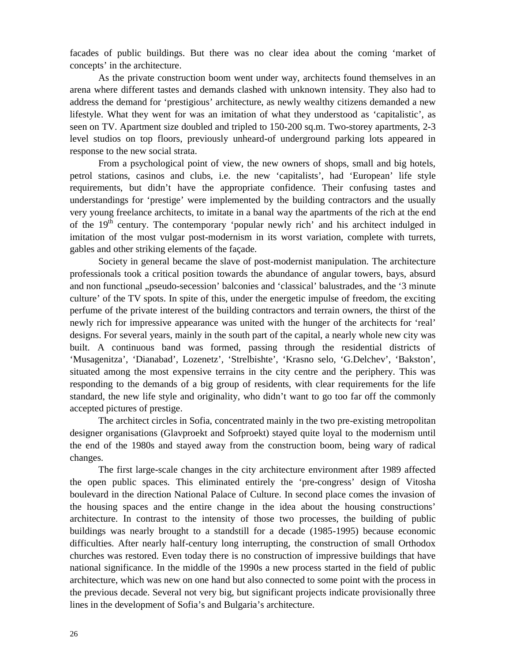facades of public buildings. But there was no clear idea about the coming 'market of concepts' in the architecture.

As the private construction boom went under way, architects found themselves in an arena where different tastes and demands clashed with unknown intensity. They also had to address the demand for 'prestigious' architecture, as newly wealthy citizens demanded a new lifestyle. What they went for was an imitation of what they understood as 'capitalistic', as seen on TV. Apartment size doubled and tripled to 150-200 sq.m. Two-storey apartments, 2-3 level studios on top floors, previously unheard-of underground parking lots appeared in response to the new social strata.

From a psychological point of view, the new owners of shops, small and big hotels, petrol stations, casinos and clubs, i.e. the new 'capitalists', had 'European' life style requirements, but didn't have the appropriate confidence. Their confusing tastes and understandings for 'prestige' were implemented by the building contractors and the usually very young freelance architects, to imitate in a banal way the apartments of the rich at the end of the  $19<sup>th</sup>$  century. The contemporary 'popular newly rich' and his architect indulged in imitation of the most vulgar post-modernism in its worst variation, complete with turrets, gables and other striking elements of the façade.

Society in general became the slave of post-modernist manipulation. The architecture professionals took a critical position towards the abundance of angular towers, bays, absurd and non functional "pseudo-secession' balconies and 'classical' balustrades, and the '3 minute culture' of the TV spots. In spite of this, under the energetic impulse of freedom, the exciting perfume of the private interest of the building contractors and terrain owners, the thirst of the newly rich for impressive appearance was united with the hunger of the architects for 'real' designs. For several years, mainly in the south part of the capital, a nearly whole new city was built. A continuous band was formed, passing through the residential districts of 'Musagenitza', 'Dianabad', Lozenetz', 'Strelbishte', 'Krasno selo, 'G.Delchev', 'Bakston', situated among the most expensive terrains in the city centre and the periphery. This was responding to the demands of a big group of residents, with clear requirements for the life standard, the new life style and originality, who didn't want to go too far off the commonly accepted pictures of prestige.

The architect circles in Sofia, concentrated mainly in the two pre-existing metropolitan designer organisations (Glavproekt and Sofproekt) stayed quite loyal to the modernism until the end of the 1980s and stayed away from the construction boom, being wary of radical changes.

The first large-scale changes in the city architecture environment after 1989 affected the open public spaces. This eliminated entirely the 'pre-congress' design of Vitosha boulevard in the direction National Palace of Culture. In second place comes the invasion of the housing spaces and the entire change in the idea about the housing constructions' architecture. In contrast to the intensity of those two processes, the building of public buildings was nearly brought to a standstill for a decade (1985-1995) because economic difficulties. After nearly half-century long interrupting, the construction of small Orthodox churches was restored. Even today there is no construction of impressive buildings that have national significance. In the middle of the 1990s a new process started in the field of public architecture, which was new on one hand but also connected to some point with the process in the previous decade. Several not very big, but significant projects indicate provisionally three lines in the development of Sofia's and Bulgaria's architecture.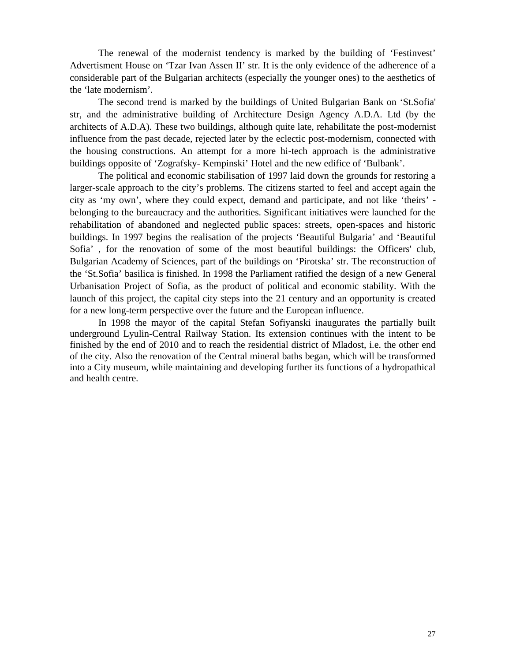The renewal of the modernist tendency is marked by the building of 'Festinvest' Advertisment House on 'Tzar Ivan Assen II' str. It is the only evidence of the adherence of a considerable part of the Bulgarian architects (especially the younger ones) to the aesthetics of the 'late modernism'.

The second trend is marked by the buildings of United Bulgarian Bank on 'St.Sofia' str, and the administrative building of Architecture Design Agency A.D.A. Ltd (by the architects of A.D.A). These two buildings, although quite late, rehabilitate the post-modernist influence from the past decade, rejected later by the eclectic post-modernism, connected with the housing constructions. An attempt for a more hi-tech approach is the administrative buildings opposite of 'Zografsky- Kempinski' Hotel and the new edifice of 'Bulbank'.

The political and economic stabilisation of 1997 laid down the grounds for restoring a larger-scale approach to the city's problems. The citizens started to feel and accept again the city as 'my own', where they could expect, demand and participate, and not like 'theirs' belonging to the bureaucracy and the authorities. Significant initiatives were launched for the rehabilitation of abandoned and neglected public spaces: streets, open-spaces and historic buildings. In 1997 begins the realisation of the projects 'Beautiful Bulgaria' and 'Beautiful Sofia' , for the renovation of some of the most beautiful buildings: the Officers' club, Bulgarian Academy of Sciences, part of the buildings on 'Pirotska' str. The reconstruction of the 'St.Sofia' basilica is finished. In 1998 the Parliament ratified the design of a new General Urbanisation Project of Sofia, as the product of political and economic stability. With the launch of this project, the capital city steps into the 21 century and an opportunity is created for a new long-term perspective over the future and the European influence.

In 1998 the mayor of the capital Stefan Sofiyanski inaugurates the partially built underground Lyulin-Central Railway Station. Its extension continues with the intent to be finished by the end of 2010 and to reach the residential district of Mladost, i.e. the other end of the city. Also the renovation of the Central mineral baths began, which will be transformed into a City museum, while maintaining and developing further its functions of a hydropathical and health centre.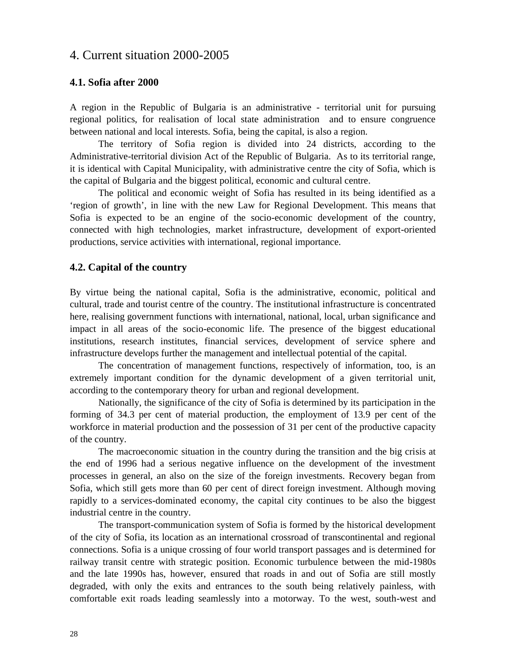# 4. Current situation 2000-2005

### **4.1. Sofia after 2000**

A region in the Republic of Bulgaria is an administrative - territorial unit for pursuing regional politics, for realisation of local state administration and to ensure congruence between national and local interests. Sofia, being the capital, is also a region.

The territory of Sofia region is divided into 24 districts, according to the Administrative-territorial division Act of the Republic of Bulgaria. As to its territorial range, it is identical with Capital Municipality, with administrative centre the city of Sofia, which is the capital of Bulgaria and the biggest political, economic and cultural centre.

The political and economic weight of Sofia has resulted in its being identified as a 'region of growth', in line with the new Law for Regional Development. This means that Sofia is expected to be an engine of the socio-economic development of the country, connected with high technologies, market infrastructure, development of export-oriented productions, service activities with international, regional importance.

### **4.2. Capital of the country**

By virtue being the national capital, Sofia is the administrative, economic, political and cultural, trade and tourist centre of the country. The institutional infrastructure is concentrated here, realising government functions with international, national, local, urban significance and impact in all areas of the socio-economic life. The presence of the biggest educational institutions, research institutes, financial services, development of service sphere and infrastructure develops further the management and intellectual potential of the capital.

The concentration of management functions, respectively of information, too, is an extremely important condition for the dynamic development of a given territorial unit, according to the contemporary theory for urban and regional development.

Nationally, the significance of the city of Sofia is determined by its participation in the forming of 34.3 per cent of material production, the employment of 13.9 per cent of the workforce in material production and the possession of 31 per cent of the productive capacity of the country.

The macroeconomic situation in the country during the transition and the big crisis at the end of 1996 had a serious negative influence on the development of the investment processes in general, an also on the size of the foreign investments. Recovery began from Sofia, which still gets more than 60 per cent of direct foreign investment. Although moving rapidly to a services-dominated economy, the capital city continues to be also the biggest industrial centre in the country.

The transport-communication system of Sofia is formed by the historical development of the city of Sofia, its location as an international crossroad of transcontinental and regional connections. Sofia is a unique crossing of four world transport passages and is determined for railway transit centre with strategic position. Economic turbulence between the mid-1980s and the late 1990s has, however, ensured that roads in and out of Sofia are still mostly degraded, with only the exits and entrances to the south being relatively painless, with comfortable exit roads leading seamlessly into a motorway. To the west, south-west and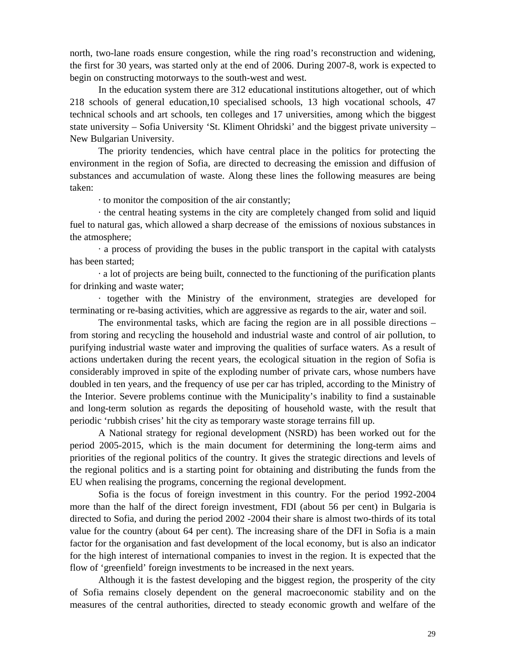north, two-lane roads ensure congestion, while the ring road's reconstruction and widening, the first for 30 years, was started only at the end of 2006. During 2007-8, work is expected to begin on constructing motorways to the south-west and west.

In the education system there are 312 educational institutions altogether, out of which 218 schools of general education,10 specialised schools, 13 high vocational schools, 47 technical schools and art schools, ten colleges and 17 universities, among which the biggest state university – Sofia University 'St. Kliment Ohridski' and the biggest private university – New Bulgarian University.

The priority tendencies, which have central place in the politics for protecting the environment in the region of Sofia, are directed to decreasing the emission and diffusion of substances and accumulation of waste. Along these lines the following measures are being taken:

∙ to monitor the composition of the air constantly;

∙ the central heating systems in the city are completely changed from solid and liquid fuel to natural gas, which allowed a sharp decrease of the emissions of noxious substances in the atmosphere;

∙ a process of providing the buses in the public transport in the capital with catalysts has been started;

∙ a lot of projects are being built, connected to the functioning of the purification plants for drinking and waste water;

∙ together with the Ministry of the environment, strategies are developed for terminating or re-basing activities, which are aggressive as regards to the air, water and soil.

The environmental tasks, which are facing the region are in all possible directions – from storing and recycling the household and industrial waste and control of air pollution, to purifying industrial waste water and improving the qualities of surface waters. As a result of actions undertaken during the recent years, the ecological situation in the region of Sofia is considerably improved in spite of the exploding number of private cars, whose numbers have doubled in ten years, and the frequency of use per car has tripled, according to the Ministry of the Interior. Severe problems continue with the Municipality's inability to find a sustainable and long-term solution as regards the depositing of household waste, with the result that periodic 'rubbish crises' hit the city as temporary waste storage terrains fill up.

A National strategy for regional development (NSRD) has been worked out for the period 2005-2015, which is the main document for determining the long-term aims and priorities of the regional politics of the country. It gives the strategic directions and levels of the regional politics and is a starting point for obtaining and distributing the funds from the EU when realising the programs, concerning the regional development.

Sofia is the focus of foreign investment in this country. For the period 1992-2004 more than the half of the direct foreign investment, FDI (about 56 per cent) in Bulgaria is directed to Sofia, and during the period 2002 -2004 their share is almost two-thirds of its total value for the country (about 64 per cent). The increasing share of the DFI in Sofia is a main factor for the organisation and fast development of the local economy, but is also an indicator for the high interest of international companies to invest in the region. It is expected that the flow of 'greenfield' foreign investments to be increased in the next years.

Although it is the fastest developing and the biggest region, the prosperity of the city of Sofia remains closely dependent on the general macroeconomic stability and on the measures of the central authorities, directed to steady economic growth and welfare of the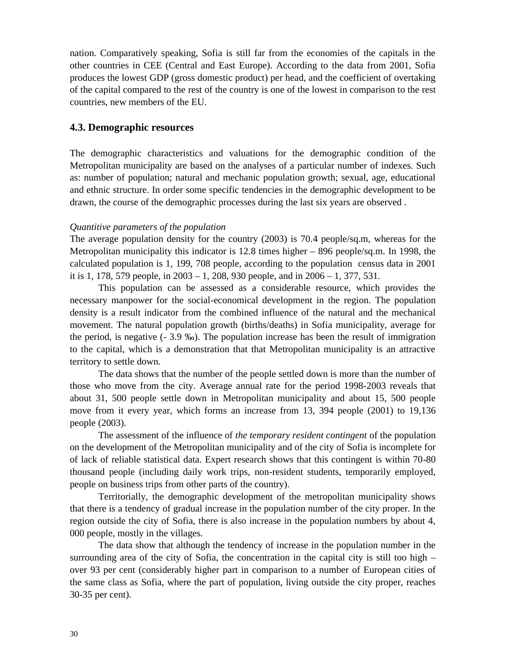nation. Comparatively speaking, Sofia is still far from the economies of the capitals in the other countries in CEE (Central and East Europe). According to the data from 2001, Sofia produces the lowest GDP (gross domestic product) per head, and the coefficient of overtaking of the capital compared to the rest of the country is one of the lowest in comparison to the rest countries, new members of the EU.

# **4.3. Demographic resources**

The demographic characteristics and valuations for the demographic condition of the Metropolitan municipality are based on the analyses of a particular number of indexes. Such as: number of population; natural and mechanic population growth; sexual, age, educational and ethnic structure. In order some specific tendencies in the demographic development to be drawn, the course of the demographic processes during the last six years are observed .

# *Quantitive parameters of the population*

The average population density for the country (2003) is 70.4 people/sq.m, whereas for the Metropolitan municipality this indicator is  $12.8$  times higher  $- 896$  people/sq.m. In 1998, the calculated population is 1, 199, 708 people, according to the population census data in 2001 it is 1, 178, 579 people, in 2003 – 1, 208, 930 people, and in 2006 – 1, 377, 531.

This population can be assessed as a considerable resource, which provides the necessary manpower for the social-economical development in the region. The population density is a result indicator from the combined influence of the natural and the mechanical movement. The natural population growth (births/deaths) in Sofia municipality, average for the period, is negative (- 3.9 ‰). The population increase has been the result of immigration to the capital, which is a demonstration that that Metropolitan municipality is an attractive territory to settle down.

The data shows that the number of the people settled down is more than the number of those who move from the city. Average annual rate for the period 1998-2003 reveals that about 31, 500 people settle down in Metropolitan municipality and about 15, 500 people move from it every year, which forms an increase from 13, 394 people (2001) to 19,136 people (2003).

The assessment of the influence of *the temporary resident contingent* of the population on the development of the Metropolitan municipality and of the city of Sofia is incomplete for of lack of reliable statistical data. Expert research shows that this contingent is within 70-80 thousand people (including daily work trips, non-resident students, temporarily employed, people on business trips from other parts of the country).

Territorially, the demographic development of the metropolitan municipality shows that there is a tendency of gradual increase in the population number of the city proper. In the region outside the city of Sofia, there is also increase in the population numbers by about 4, 000 people, mostly in the villages.

The data show that although the tendency of increase in the population number in the surrounding area of the city of Sofia, the concentration in the capital city is still too high – over 93 per cent (considerably higher part in comparison to a number of European cities of the same class as Sofia, where the part of population, living outside the city proper, reaches 30-35 per cent).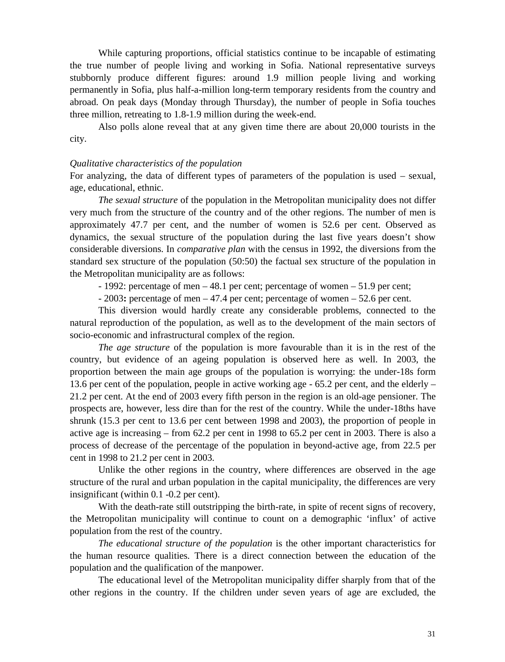While capturing proportions, official statistics continue to be incapable of estimating the true number of people living and working in Sofia. National representative surveys stubbornly produce different figures: around 1.9 million people living and working permanently in Sofia, plus half-a-million long-term temporary residents from the country and abroad. On peak days (Monday through Thursday), the number of people in Sofia touches three million, retreating to 1.8-1.9 million during the week-end.

Also polls alone reveal that at any given time there are about 20,000 tourists in the city.

#### *Qualitative characteristics of the population*

For analyzing, the data of different types of parameters of the population is used – sexual, age, educational, ethnic.

*The sexual structure* of the population in the Metropolitan municipality does not differ very much from the structure of the country and of the other regions. The number of men is approximately 47.7 per cent, and the number of women is 52.6 per cent. Observed as dynamics, the sexual structure of the population during the last five years doesn't show considerable diversions. In *comparative plan* with the census in 1992, the diversions from the standard sex structure of the population (50:50) the factual sex structure of the population in the Metropolitan municipality are as follows:

- 1992: percentage of men – 48.1 per cent; percentage of women – 51.9 per cent;

- 2003**:** percentage of men – 47.4 per cent; percentage of women – 52.6 per cent.

This diversion would hardly create any considerable problems, connected to the natural reproduction of the population, as well as to the development of the main sectors of socio-economic and infrastructural complex of the region.

*The age structure* of the population is more favourable than it is in the rest of the country, but evidence of an ageing population is observed here as well. In 2003, the proportion between the main age groups of the population is worrying: the under-18s form 13.6 per cent of the population, people in active working age - 65.2 per cent, and the elderly – 21.2 per cent. At the end of 2003 every fifth person in the region is an old-age pensioner. The prospects are, however, less dire than for the rest of the country. While the under-18ths have shrunk (15.3 per cent to 13.6 per cent between 1998 and 2003), the proportion of people in active age is increasing – from 62.2 per cent in 1998 to 65.2 per cent in 2003. There is also a process of decrease of the percentage of the population in beyond-active age, from 22.5 per cent in 1998 to 21.2 per cent in 2003.

Unlike the other regions in the country, where differences are observed in the age structure of the rural and urban population in the capital municipality, the differences are very insignificant (within 0.1 -0.2 per cent).

With the death-rate still outstripping the birth-rate, in spite of recent signs of recovery, the Metropolitan municipality will continue to count on a demographic 'influx' of active population from the rest of the country.

*The educational structure of the population* is the other important characteristics for the human resource qualities. There is a direct connection between the education of the population and the qualification of the manpower.

The educational level of the Metropolitan municipality differ sharply from that of the other regions in the country. If the children under seven years of age are excluded, the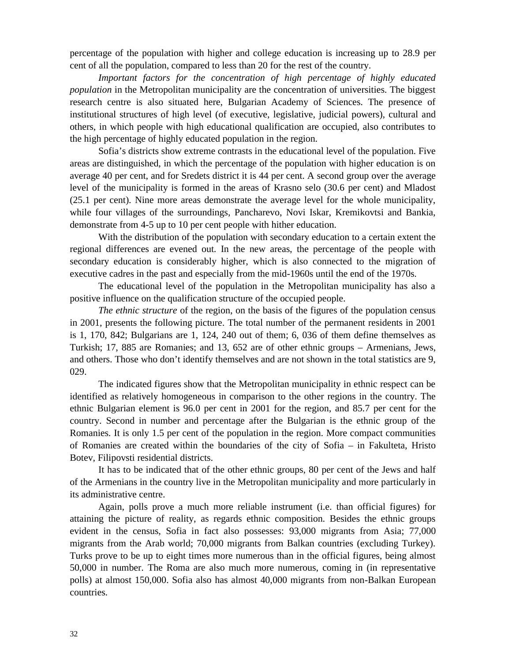percentage of the population with higher and college education is increasing up to 28.9 per cent of all the population, compared to less than 20 for the rest of the country.

*Important factors for the concentration of high percentage of highly educated population* in the Metropolitan municipality are the concentration of universities. The biggest research centre is also situated here, Bulgarian Academy of Sciences. The presence of institutional structures of high level (of executive, legislative, judicial powers), cultural and others, in which people with high educational qualification are occupied, also contributes to the high percentage of highly educated population in the region.

Sofia's districts show extreme contrasts in the educational level of the population. Five areas are distinguished, in which the percentage of the population with higher education is on average 40 per cent, and for Sredets district it is 44 per cent. A second group over the average level of the municipality is formed in the areas of Krasno selo (30.6 per cent) and Mladost (25.1 per cent). Nine more areas demonstrate the average level for the whole municipality, while four villages of the surroundings, Pancharevo, Novi Iskar, Kremikovtsi and Bankia, demonstrate from 4-5 up to 10 per cent people with hither education.

With the distribution of the population with secondary education to a certain extent the regional differences are evened out. In the new areas, the percentage of the people with secondary education is considerably higher, which is also connected to the migration of executive cadres in the past and especially from the mid-1960s until the end of the 1970s.

The educational level of the population in the Metropolitan municipality has also a positive influence on the qualification structure of the occupied people.

*The ethnic structure* of the region, on the basis of the figures of the population census in 2001, presents the following picture. The total number of the permanent residents in 2001 is 1, 170, 842; Bulgarians are 1, 124, 240 out of them; 6, 036 of them define themselves as Turkish; 17, 885 are Romanies; and 13, 652 are of other ethnic groups – Armenians, Jews, and others. Those who don't identify themselves and are not shown in the total statistics are 9, 029.

The indicated figures show that the Metropolitan municipality in ethnic respect can be identified as relatively homogeneous in comparison to the other regions in the country. The ethnic Bulgarian element is 96.0 per cent in 2001 for the region, and 85.7 per cent for the country. Second in number and percentage after the Bulgarian is the ethnic group of the Romanies. It is only 1.5 per cent of the population in the region. More compact communities of Romanies are created within the boundaries of the city of Sofia – in Fakulteta, Hristo Botev, Filipovsti residential districts.

It has to be indicated that of the other ethnic groups, 80 per cent of the Jews and half of the Armenians in the country live in the Metropolitan municipality and more particularly in its administrative centre.

Again, polls prove a much more reliable instrument (i.e. than official figures) for attaining the picture of reality, as regards ethnic composition. Besides the ethnic groups evident in the census, Sofia in fact also possesses: 93,000 migrants from Asia; 77,000 migrants from the Arab world; 70,000 migrants from Balkan countries (excluding Turkey). Turks prove to be up to eight times more numerous than in the official figures, being almost 50,000 in number. The Roma are also much more numerous, coming in (in representative polls) at almost 150,000. Sofia also has almost 40,000 migrants from non-Balkan European countries.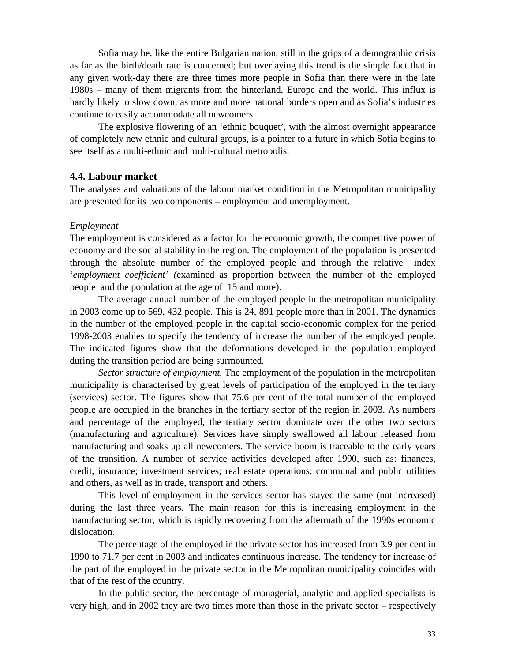Sofia may be, like the entire Bulgarian nation, still in the grips of a demographic crisis as far as the birth/death rate is concerned; but overlaying this trend is the simple fact that in any given work-day there are three times more people in Sofia than there were in the late 1980s – many of them migrants from the hinterland, Europe and the world. This influx is hardly likely to slow down, as more and more national borders open and as Sofia's industries continue to easily accommodate all newcomers.

The explosive flowering of an 'ethnic bouquet', with the almost overnight appearance of completely new ethnic and cultural groups, is a pointer to a future in which Sofia begins to see itself as a multi-ethnic and multi-cultural metropolis.

## **4.4. Labour market**

The analyses and valuations of the labour market condition in the Metropolitan municipality are presented for its two components – employment and unemployment.

### *Employment*

The employment is considered as a factor for the economic growth, the competitive power of economy and the social stability in the region. The employment of the population is presented through the absolute number of the employed people and through the relative index '*employment coefficient' (*examined as proportion between the number of the employed people and the population at the age of 15 and more).

The average annual number of the employed people in the metropolitan municipality in 2003 come up to 569, 432 people. This is 24, 891 people more than in 2001. The dynamics in the number of the employed people in the capital socio-economic complex for the period 1998-2003 enables to specify the tendency of increase the number of the employed people. The indicated figures show that the deformations developed in the population employed during the transition period are being surmounted.

*Sector structure of employment.* The employment of the population in the metropolitan municipality is characterised by great levels of participation of the employed in the tertiary (services) sector. The figures show that 75.6 per cent of the total number of the employed people are occupied in the branches in the tertiary sector of the region in 2003. As numbers and percentage of the employed, the tertiary sector dominate over the other two sectors (manufacturing and agriculture). Services have simply swallowed all labour released from manufacturing and soaks up all newcomers. The service boom is traceable to the early years of the transition. A number of service activities developed after 1990, such as: finances, credit, insurance; investment services; real estate operations; communal and public utilities and others, as well as in trade, transport and others.

This level of employment in the services sector has stayed the same (not increased) during the last three years. The main reason for this is increasing employment in the manufacturing sector, which is rapidly recovering from the aftermath of the 1990s economic dislocation.

The percentage of the employed in the private sector has increased from 3.9 per cent in 1990 to 71.7 per cent in 2003 and indicates continuous increase. The tendency for increase of the part of the employed in the private sector in the Metropolitan municipality coincides with that of the rest of the country.

In the public sector, the percentage of managerial, analytic and applied specialists is very high, and in 2002 they are two times more than those in the private sector – respectively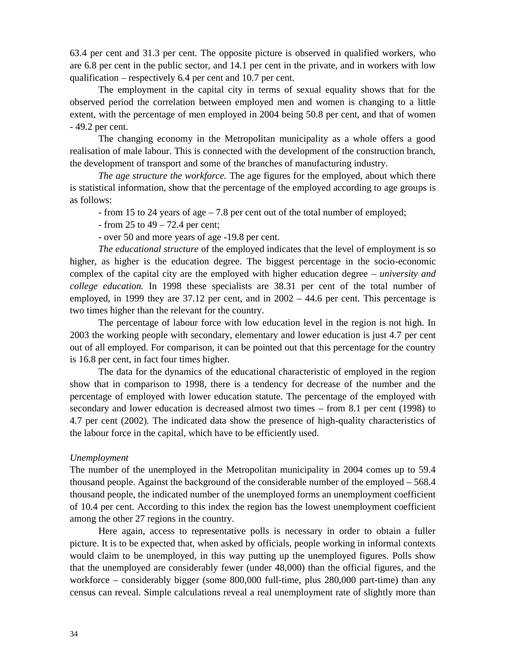63.4 per cent and 31.3 per cent. The opposite picture is observed in qualified workers, who are 6.8 per cent in the public sector, and 14.1 per cent in the private, and in workers with low qualification – respectively 6.4 per cent and 10.7 per cent.

The employment in the capital city in terms of sexual equality shows that for the observed period the correlation between employed men and women is changing to a little extent, with the percentage of men employed in 2004 being 50.8 per cent, and that of women - 49.2 per cent.

The changing economy in the Metropolitan municipality as a whole offers a good realisation of male labour. This is connected with the development of the construction branch, the development of transport and some of the branches of manufacturing industry.

*The age structure the workforce.* The age figures for the employed, about which there is statistical information, show that the percentage of the employed according to age groups is as follows:

- from 15 to 24 years of age – 7.8 per cent out of the total number of employed;

- from 25 to 49 – 72.4 per cent;

- over 50 and more years of age -19.8 per cent.

*The educational structure* of the employed indicates that the level of employment is so higher, as higher is the education degree. The biggest percentage in the socio-economic complex of the capital city are the employed with higher education degree – *university and college education.* In 1998 these specialists are 38.31 per cent of the total number of employed, in 1999 they are 37.12 per cent, and in  $2002 - 44.6$  per cent. This percentage is two times higher than the relevant for the country.

The percentage of labour force with low education level in the region is not high. In 2003 the working people with secondary, elementary and lower education is just 4.7 per cent out of all employed. For comparison, it can be pointed out that this percentage for the country is 16.8 per cent, in fact four times higher.

The data for the dynamics of the educational characteristic of employed in the region show that in comparison to 1998, there is a tendency for decrease of the number and the percentage of employed with lower education statute. The percentage of the employed with secondary and lower education is decreased almost two times – from 8.1 per cent (1998) to 4.7 per cent (2002). The indicated data show the presence of high-quality characteristics of the labour force in the capital, which have to be efficiently used.

### *Unemployment*

The number of the unemployed in the Metropolitan municipality in 2004 comes up to 59.4 thousand people. Against the background of the considerable number of the employed – 568.4 thousand people, the indicated number of the unemployed forms an unemployment coefficient of 10.4 per cent. According to this index the region has the lowest unemployment coefficient among the other 27 regions in the country.

Here again, access to representative polls is necessary in order to obtain a fuller picture. It is to be expected that, when asked by officials, people working in informal contexts would claim to be unemployed, in this way putting up the unemployed figures. Polls show that the unemployed are considerably fewer (under 48,000) than the official figures, and the workforce – considerably bigger (some 800,000 full-time, plus 280,000 part-time) than any census can reveal. Simple calculations reveal a real unemployment rate of slightly more than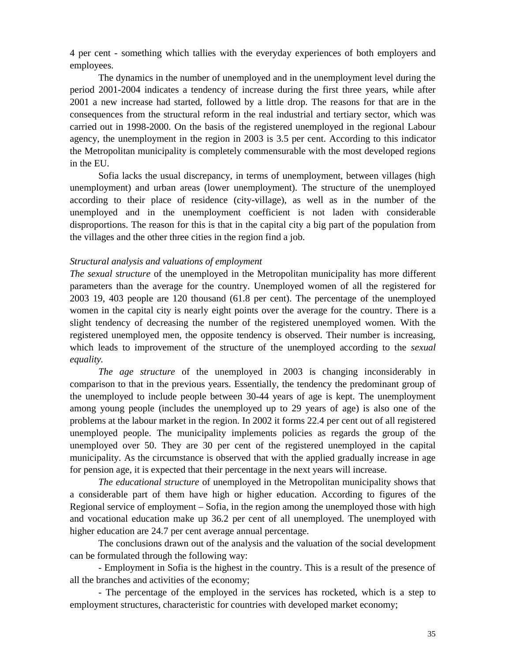4 per cent - something which tallies with the everyday experiences of both employers and employees.

The dynamics in the number of unemployed and in the unemployment level during the period 2001-2004 indicates a tendency of increase during the first three years, while after 2001 a new increase had started, followed by a little drop. The reasons for that are in the consequences from the structural reform in the real industrial and tertiary sector, which was carried out in 1998-2000. On the basis of the registered unemployed in the regional Labour agency, the unemployment in the region in 2003 is 3.5 per cent. According to this indicator the Metropolitan municipality is completely commensurable with the most developed regions in the EU.

Sofia lacks the usual discrepancy, in terms of unemployment, between villages (high unemployment) and urban areas (lower unemployment). The structure of the unemployed according to their place of residence (city-village), as well as in the number of the unemployed and in the unemployment coefficient is not laden with considerable disproportions. The reason for this is that in the capital city a big part of the population from the villages and the other three cities in the region find a job.

### *Structural analysis and valuations of employment*

*The sexual structure* of the unemployed in the Metropolitan municipality has more different parameters than the average for the country. Unemployed women of all the registered for 2003 19, 403 people are 120 thousand (61.8 per cent). The percentage of the unemployed women in the capital city is nearly eight points over the average for the country. There is a slight tendency of decreasing the number of the registered unemployed women. With the registered unemployed men, the opposite tendency is observed. Their number is increasing, which leads to improvement of the structure of the unemployed according to the *sexual equality.*

*The age structure* of the unemployed in 2003 is changing inconsiderably in comparison to that in the previous years. Essentially, the tendency the predominant group of the unemployed to include people between 30-44 years of age is kept. The unemployment among young people (includes the unemployed up to 29 years of age) is also one of the problems at the labour market in the region. In 2002 it forms 22.4 per cent out of all registered unemployed people. The municipality implements policies as regards the group of the unemployed over 50. They are 30 per cent of the registered unemployed in the capital municipality. As the circumstance is observed that with the applied gradually increase in age for pension age, it is expected that their percentage in the next years will increase.

*The educational structure* of unemployed in the Metropolitan municipality shows that a considerable part of them have high or higher education. According to figures of the Regional service of employment – Sofia, in the region among the unemployed those with high and vocational education make up 36.2 per cent of all unemployed. The unemployed with higher education are 24.7 per cent average annual percentage.

The conclusions drawn out of the analysis and the valuation of the social development can be formulated through the following way:

- Employment in Sofia is the highest in the country. This is a result of the presence of all the branches and activities of the economy;

- The percentage of the employed in the services has rocketed, which is a step to employment structures, characteristic for countries with developed market economy;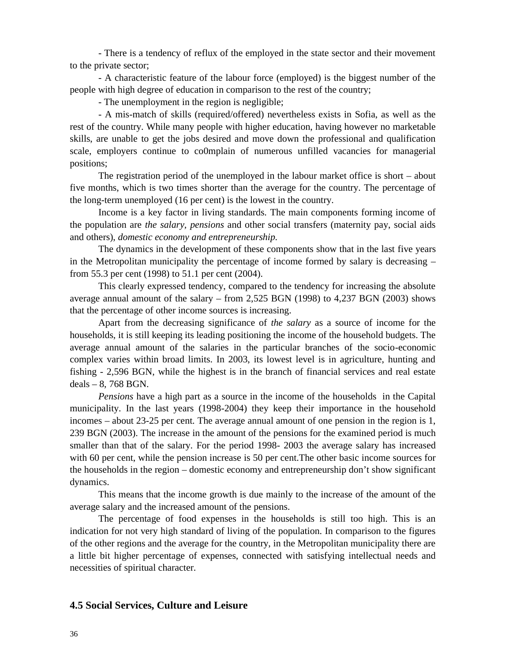- There is a tendency of reflux of the employed in the state sector and their movement to the private sector;

- A characteristic feature of the labour force (employed) is the biggest number of the people with high degree of education in comparison to the rest of the country;

- The unemployment in the region is negligible;

- A mis-match of skills (required/offered) nevertheless exists in Sofia, as well as the rest of the country. While many people with higher education, having however no marketable skills, are unable to get the jobs desired and move down the professional and qualification scale, employers continue to co0mplain of numerous unfilled vacancies for managerial positions;

The registration period of the unemployed in the labour market office is short – about five months, which is two times shorter than the average for the country. The percentage of the long-term unemployed (16 per cent) is the lowest in the country.

Income is a key factor in living standards. The main components forming income of the population are *the salary, pensions* and other social transfers (maternity pay, social aids and others), *domestic economy and entrepreneurship.*

The dynamics in the development of these components show that in the last five years in the Metropolitan municipality the percentage of income formed by salary is decreasing – from 55.3 per cent (1998) to 51.1 per cent (2004).

This clearly expressed tendency, compared to the tendency for increasing the absolute average annual amount of the salary – from 2,525 BGN (1998) to 4,237 BGN (2003) shows that the percentage of other income sources is increasing.

Apart from the decreasing significance of *the salary* as a source of income for the households, it is still keeping its leading positioning the income of the household budgets. The average annual amount of the salaries in the particular branches of the socio-economic complex varies within broad limits. In 2003, its lowest level is in agriculture, hunting and fishing - 2,596 BGN, while the highest is in the branch of financial services and real estate deals – 8, 768 BGN.

*Pensions* have a high part as a source in the income of the households in the Capital municipality. In the last years (1998-2004) they keep their importance in the household incomes – about 23-25 per cent. The average annual amount of one pension in the region is 1, 239 BGN (2003). The increase in the amount of the pensions for the examined period is much smaller than that of the salary. For the period 1998- 2003 the average salary has increased with 60 per cent, while the pension increase is 50 per cent.The other basic income sources for the households in the region – domestic economy and entrepreneurship don't show significant dynamics.

This means that the income growth is due mainly to the increase of the amount of the average salary and the increased amount of the pensions.

The percentage of food expenses in the households is still too high. This is an indication for not very high standard of living of the population. In comparison to the figures of the other regions and the average for the country, in the Metropolitan municipality there are a little bit higher percentage of expenses, connected with satisfying intellectual needs and necessities of spiritual character.

# **4.5 Social Services, Culture and Leisure**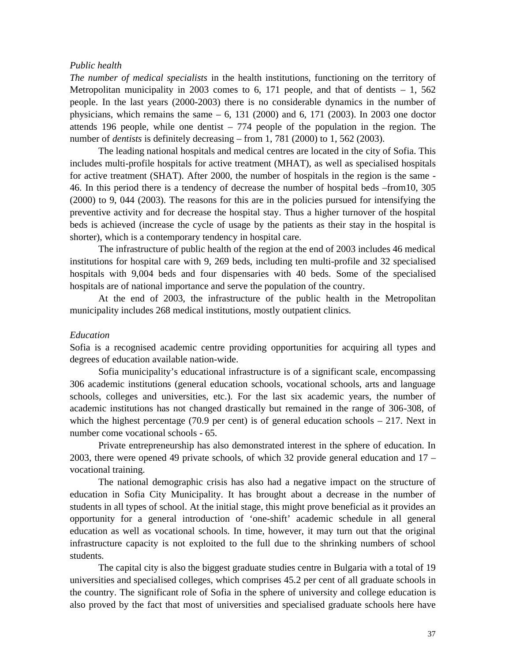### *Public health*

*The number of medical specialists* in the health institutions, functioning on the territory of Metropolitan municipality in 2003 comes to 6, 171 people, and that of dentists  $-1$ , 562 people. In the last years (2000-2003) there is no considerable dynamics in the number of physicians, which remains the same  $-6$ , 131 (2000) and 6, 171 (2003). In 2003 one doctor attends 196 people, while one dentist – 774 people of the population in the region. The number of *dentists* is definitely decreasing – from 1, 781 (2000) to 1, 562 (2003).

The leading national hospitals and medical centres are located in the city of Sofia. This includes multi-profile hospitals for active treatment (MHAT), as well as specialised hospitals for active treatment (SHAT). After 2000, the number of hospitals in the region is the same - 46. In this period there is a tendency of decrease the number of hospital beds –from10, 305 (2000) to 9, 044 (2003). The reasons for this are in the policies pursued for intensifying the preventive activity and for decrease the hospital stay. Thus a higher turnover of the hospital beds is achieved (increase the cycle of usage by the patients as their stay in the hospital is shorter), which is a contemporary tendency in hospital care.

The infrastructure of public health of the region at the end of 2003 includes 46 medical institutions for hospital care with 9, 269 beds, including ten multi-profile and 32 specialised hospitals with 9,004 beds and four dispensaries with 40 beds. Some of the specialised hospitals are of national importance and serve the population of the country.

At the end of 2003, the infrastructure of the public health in the Metropolitan municipality includes 268 medical institutions, mostly outpatient clinics.

### *Education*

Sofia is a recognised academic centre providing opportunities for acquiring all types and degrees of education available nation-wide.

Sofia municipality's educational infrastructure is of a significant scale, encompassing 306 academic institutions (general education schools, vocational schools, arts and language schools, colleges and universities, etc.). For the last six academic years, the number of academic institutions has not changed drastically but remained in the range of 306-308, of which the highest percentage (70.9 per cent) is of general education schools  $-217$ . Next in number come vocational schools - 65.

Private entrepreneurship has also demonstrated interest in the sphere of education. In 2003, there were opened 49 private schools, of which 32 provide general education and 17 – vocational training.

The national demographic crisis has also had a negative impact on the structure of education in Sofia City Municipality. It has brought about a decrease in the number of students in all types of school. At the initial stage, this might prove beneficial as it provides an opportunity for a general introduction of 'one-shift' academic schedule in all general education as well as vocational schools. In time, however, it may turn out that the original infrastructure capacity is not exploited to the full due to the shrinking numbers of school students.

The capital city is also the biggest graduate studies centre in Bulgaria with a total of 19 universities and specialised colleges, which comprises 45.2 per cent of all graduate schools in the country. The significant role of Sofia in the sphere of university and college education is also proved by the fact that most of universities and specialised graduate schools here have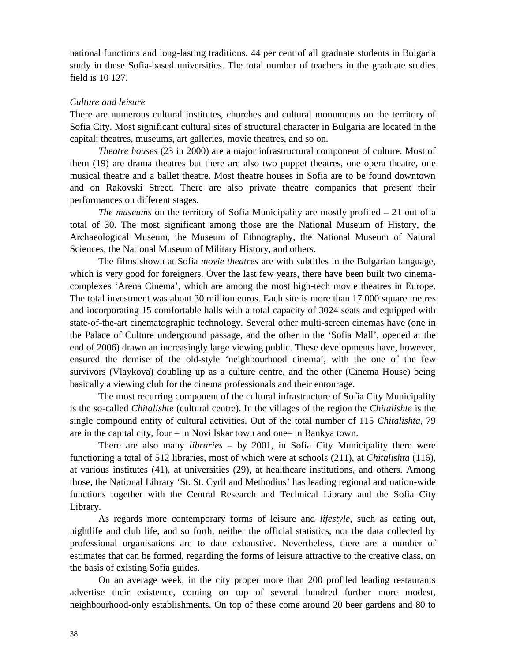national functions and long-lasting traditions. 44 per cent of all graduate students in Bulgaria study in these Sofia-based universities. The total number of teachers in the graduate studies field is 10 127.

## *Culture and leisure*

There are numerous cultural institutes, churches and cultural monuments on the territory of Sofia City. Most significant cultural sites of structural character in Bulgaria are located in the capital: theatres, museums, art galleries, movie theatres, and so on.

*Theatre houses* (23 in 2000) are a major infrastructural component of culture. Most of them (19) are drama theatres but there are also two puppet theatres, one opera theatre, one musical theatre and a ballet theatre. Most theatre houses in Sofia are to be found downtown and on Rakovski Street. There are also private theatre companies that present their performances on different stages.

*The museums* on the territory of Sofia Municipality are mostly profiled – 21 out of a total of 30. The most significant among those are the National Museum of History, the Archaeological Museum, the Museum of Ethnography, the National Museum of Natural Sciences, the National Museum of Military History, and others.

The films shown at Sofia *movie theatres* are with subtitles in the Bulgarian language, which is very good for foreigners. Over the last few years, there have been built two cinemacomplexes 'Arena Cinema', which are among the most high-tech movie theatres in Europe. The total investment was about 30 million euros. Each site is more than 17 000 square metres and incorporating 15 comfortable halls with a total capacity of 3024 seats and equipped with state-of-the-art cinematographic technology. Several other multi-screen cinemas have (one in the Palace of Culture underground passage, and the other in the 'Sofia Mall', opened at the end of 2006) drawn an increasingly large viewing public. These developments have, however, ensured the demise of the old-style 'neighbourhood cinema', with the one of the few survivors (Vlaykova) doubling up as a culture centre, and the other (Cinema House) being basically a viewing club for the cinema professionals and their entourage.

The most recurring component of the cultural infrastructure of Sofia City Municipality is the so-called *Chitalishte* (cultural centre). In the villages of the region the *Chitalishte* is the single compound entity of cultural activities. Out of the total number of 115 *Chitalishta*, 79 are in the capital city, four – in Novi Iskar town and one– in Bankya town.

There are also many *libraries* – by 2001, in Sofia City Municipality there were functioning a total of 512 libraries, most of which were at schools (211), at *Chitalishta* (116), at various institutes (41), at universities (29), at healthcare institutions, and others. Among those, the National Library 'St. St. Cyril and Methodius' has leading regional and nation-wide functions together with the Central Research and Technical Library and the Sofia City Library.

As regards more contemporary forms of leisure and *lifestyle*, such as eating out, nightlife and club life, and so forth, neither the official statistics, nor the data collected by professional organisations are to date exhaustive. Nevertheless, there are a number of estimates that can be formed, regarding the forms of leisure attractive to the creative class, on the basis of existing Sofia guides.

On an average week, in the city proper more than 200 profiled leading restaurants advertise their existence, coming on top of several hundred further more modest, neighbourhood-only establishments. On top of these come around 20 beer gardens and 80 to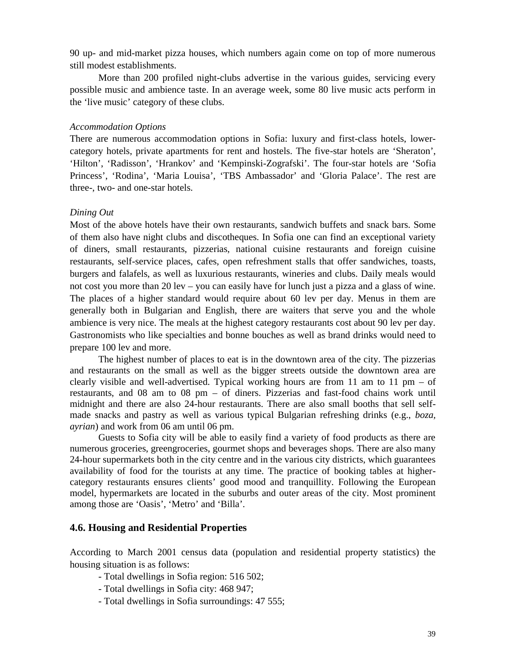90 up- and mid-market pizza houses, which numbers again come on top of more numerous still modest establishments.

More than 200 profiled night-clubs advertise in the various guides, servicing every possible music and ambience taste. In an average week, some 80 live music acts perform in the 'live music' category of these clubs.

### *Accommodation Options*

There are numerous accommodation options in Sofia: luxury and first-class hotels, lowercategory hotels, private apartments for rent and hostels. The five-star hotels are 'Sheraton', 'Hilton', 'Radisson', 'Hrankov' and 'Kempinski-Zografski'. The four-star hotels are 'Sofia Princess', 'Rodina', 'Maria Louisa', 'TBS Ambassador' and 'Gloria Palace'. The rest are three-, two- and one-star hotels.

## *Dining Out*

Most of the above hotels have their own restaurants, sandwich buffets and snack bars. Some of them also have night clubs and discotheques. In Sofia one can find an exceptional variety of diners, small restaurants, pizzerias, national cuisine restaurants and foreign cuisine restaurants, self-service places, cafes, open refreshment stalls that offer sandwiches, toasts, burgers and falafels, as well as luxurious restaurants, wineries and clubs. Daily meals would not cost you more than 20 lev – you can easily have for lunch just a pizza and a glass of wine. The places of a higher standard would require about 60 lev per day. Menus in them are generally both in Bulgarian and English, there are waiters that serve you and the whole ambience is very nice. The meals at the highest category restaurants cost about 90 lev per day. Gastronomists who like specialties and bonne bouches as well as brand drinks would need to prepare 100 lev and more.

The highest number of places to eat is in the downtown area of the city. The pizzerias and restaurants on the small as well as the bigger streets outside the downtown area are clearly visible and well-advertised. Typical working hours are from 11 am to 11 pm – of restaurants, and 08 am to 08 pm – of diners. Pizzerias and fast-food chains work until midnight and there are also 24-hour restaurants. There are also small booths that sell selfmade snacks and pastry as well as various typical Bulgarian refreshing drinks (e.g., *boza, ayrian*) and work from 06 am until 06 pm.

Guests to Sofia city will be able to easily find a variety of food products as there are numerous groceries, greengroceries, gourmet shops and beverages shops. There are also many 24-hour supermarkets both in the city centre and in the various city districts, which guarantees availability of food for the tourists at any time. The practice of booking tables at highercategory restaurants ensures clients' good mood and tranquillity. Following the European model, hypermarkets are located in the suburbs and outer areas of the city. Most prominent among those are 'Oasis', 'Metro' and 'Billa'.

# **4.6. Housing and Residential Properties**

According to March 2001 census data (population and residential property statistics) the housing situation is as follows:

- Total dwellings in Sofia region: 516 502;
- Total dwellings in Sofia city: 468 947;
- Total dwellings in Sofia surroundings: 47 555;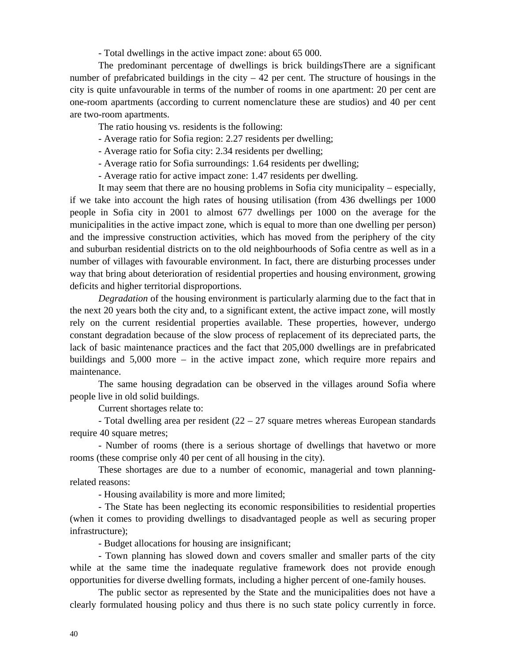- Total dwellings in the active impact zone: about 65 000.

The predominant percentage of dwellings is brick buildingsThere are a significant number of prefabricated buildings in the city  $-42$  per cent. The structure of housings in the city is quite unfavourable in terms of the number of rooms in one apartment: 20 per cent are one-room apartments (according to current nomenclature these are studios) and 40 per cent are two-room apartments.

The ratio housing vs. residents is the following:

- Average ratio for Sofia region: 2.27 residents per dwelling;
- Average ratio for Sofia city: 2.34 residents per dwelling;
- Average ratio for Sofia surroundings: 1.64 residents per dwelling;
- Average ratio for active impact zone: 1.47 residents per dwelling.

It may seem that there are no housing problems in Sofia city municipality – especially, if we take into account the high rates of housing utilisation (from 436 dwellings per 1000 people in Sofia city in 2001 to almost 677 dwellings per 1000 on the average for the municipalities in the active impact zone, which is equal to more than one dwelling per person) and the impressive construction activities, which has moved from the periphery of the city and suburban residential districts on to the old neighbourhoods of Sofia centre as well as in a number of villages with favourable environment. In fact, there are disturbing processes under way that bring about deterioration of residential properties and housing environment, growing deficits and higher territorial disproportions.

*Degradation* of the housing environment is particularly alarming due to the fact that in the next 20 years both the city and, to a significant extent, the active impact zone, will mostly rely on the current residential properties available. These properties, however, undergo constant degradation because of the slow process of replacement of its depreciated parts, the lack of basic maintenance practices and the fact that 205,000 dwellings are in prefabricated buildings and 5,000 more – in the active impact zone, which require more repairs and maintenance.

The same housing degradation can be observed in the villages around Sofia where people live in old solid buildings.

Current shortages relate to:

- Total dwelling area per resident  $(22 – 27)$  square metres whereas European standards require 40 square metres;

- Number of rooms (there is a serious shortage of dwellings that havetwo or more rooms (these comprise only 40 per cent of all housing in the city).

These shortages are due to a number of economic, managerial and town planningrelated reasons:

- Housing availability is more and more limited;

- The State has been neglecting its economic responsibilities to residential properties (when it comes to providing dwellings to disadvantaged people as well as securing proper infrastructure);

- Budget allocations for housing are insignificant;

- Town planning has slowed down and covers smaller and smaller parts of the city while at the same time the inadequate regulative framework does not provide enough opportunities for diverse dwelling formats, including a higher percent of one-family houses.

The public sector as represented by the State and the municipalities does not have a clearly formulated housing policy and thus there is no such state policy currently in force.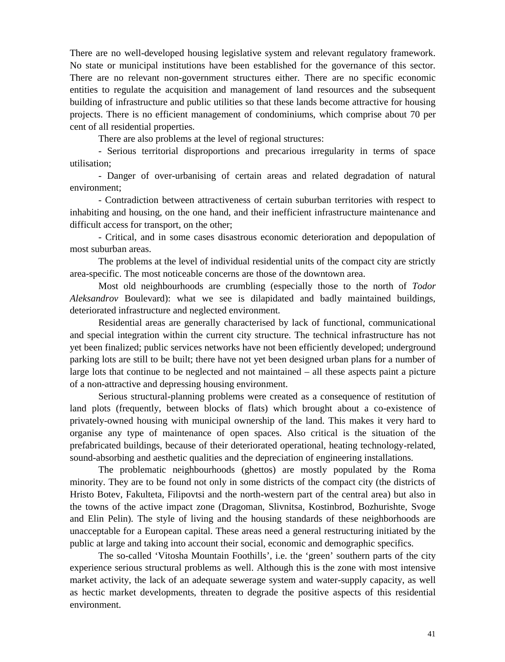There are no well-developed housing legislative system and relevant regulatory framework. No state or municipal institutions have been established for the governance of this sector. There are no relevant non-government structures either. There are no specific economic entities to regulate the acquisition and management of land resources and the subsequent building of infrastructure and public utilities so that these lands become attractive for housing projects. There is no efficient management of condominiums, which comprise about 70 per cent of all residential properties.

There are also problems at the level of regional structures:

- Serious territorial disproportions and precarious irregularity in terms of space utilisation;

- Danger of over-urbanising of certain areas and related degradation of natural environment;

- Contradiction between attractiveness of certain suburban territories with respect to inhabiting and housing, on the one hand, and their inefficient infrastructure maintenance and difficult access for transport, on the other;

- Critical, and in some cases disastrous economic deterioration and depopulation of most suburban areas.

The problems at the level of individual residential units of the compact city are strictly area-specific. The most noticeable concerns are those of the downtown area.

Most old neighbourhoods are crumbling (especially those to the north of *Todor Aleksandrov* Boulevard): what we see is dilapidated and badly maintained buildings, deteriorated infrastructure and neglected environment.

Residential areas are generally characterised by lack of functional, communicational and special integration within the current city structure. The technical infrastructure has not yet been finalized; public services networks have not been efficiently developed; underground parking lots are still to be built; there have not yet been designed urban plans for a number of large lots that continue to be neglected and not maintained – all these aspects paint a picture of a non-attractive and depressing housing environment.

Serious structural-planning problems were created as a consequence of restitution of land plots (frequently, between blocks of flats) which brought about a co-existence of privately-owned housing with municipal ownership of the land. This makes it very hard to organise any type of maintenance of open spaces. Also critical is the situation of the prefabricated buildings, because of their deteriorated operational, heating technology-related, sound-absorbing and aesthetic qualities and the depreciation of engineering installations.

The problematic neighbourhoods (ghettos) are mostly populated by the Roma minority. They are to be found not only in some districts of the compact city (the districts of Hristo Botev, Fakulteta, Filipovtsi and the north-western part of the central area) but also in the towns of the active impact zone (Dragoman, Slivnitsa, Kostinbrod, Bozhurishte, Svoge and Elin Pelin). The style of living and the housing standards of these neighborhoods are unacceptable for a European capital. These areas need a general restructuring initiated by the public at large and taking into account their social, economic and demographic specifics.

The so-called 'Vitosha Mountain Foothills', i.e. the 'green' southern parts of the city experience serious structural problems as well. Although this is the zone with most intensive market activity, the lack of an adequate sewerage system and water-supply capacity, as well as hectic market developments, threaten to degrade the positive aspects of this residential environment.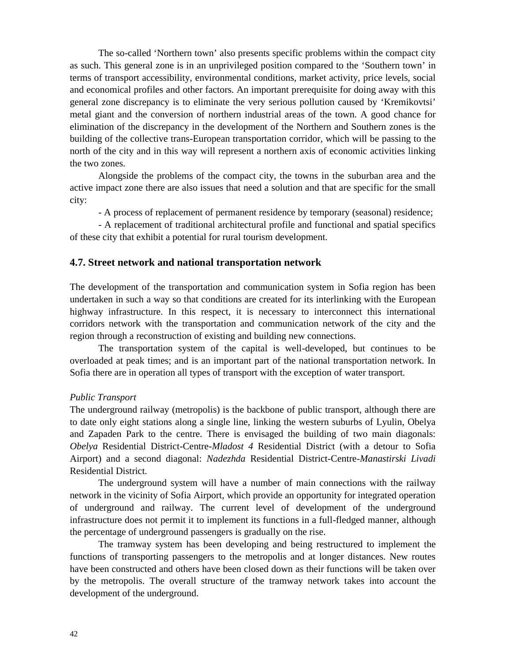The so-called 'Northern town' also presents specific problems within the compact city as such. This general zone is in an unprivileged position compared to the 'Southern town' in terms of transport accessibility, environmental conditions, market activity, price levels, social and economical profiles and other factors. An important prerequisite for doing away with this general zone discrepancy is to eliminate the very serious pollution caused by 'Kremikovtsi' metal giant and the conversion of northern industrial areas of the town. A good chance for elimination of the discrepancy in the development of the Northern and Southern zones is the building of the collective trans-European transportation corridor, which will be passing to the north of the city and in this way will represent a northern axis of economic activities linking the two zones.

Alongside the problems of the compact city, the towns in the suburban area and the active impact zone there are also issues that need a solution and that are specific for the small city:

- A process of replacement of permanent residence by temporary (seasonal) residence;

- A replacement of traditional architectural profile and functional and spatial specifics of these city that exhibit a potential for rural tourism development.

### **4.7. Street network and national transportation network**

The development of the transportation and communication system in Sofia region has been undertaken in such a way so that conditions are created for its interlinking with the European highway infrastructure. In this respect, it is necessary to interconnect this international corridors network with the transportation and communication network of the city and the region through a reconstruction of existing and building new connections.

The transportation system of the capital is well-developed, but continues to be overloaded at peak times; and is an important part of the national transportation network. In Sofia there are in operation all types of transport with the exception of water transport.

### *Public Transport*

The underground railway (metropolis) is the backbone of public transport, although there are to date only eight stations along a single line, linking the western suburbs of Lyulin, Obelya and Zapaden Park to the centre. There is envisaged the building of two main diagonals: *Obelya* Residential District-Centre-*Mladost 4* Residential District (with a detour to Sofia Airport) and a second diagonal: *Nadezhda* Residential District-Centre-*Manastirski Livadi* Residential District.

The underground system will have a number of main connections with the railway network in the vicinity of Sofia Airport, which provide an opportunity for integrated operation of underground and railway. The current level of development of the underground infrastructure does not permit it to implement its functions in a full-fledged manner, although the percentage of underground passengers is gradually on the rise.

The tramway system has been developing and being restructured to implement the functions of transporting passengers to the metropolis and at longer distances. New routes have been constructed and others have been closed down as their functions will be taken over by the metropolis. The overall structure of the tramway network takes into account the development of the underground.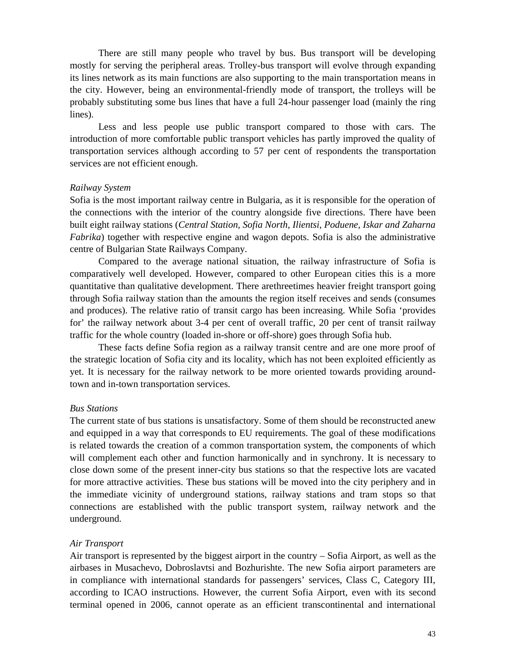There are still many people who travel by bus. Bus transport will be developing mostly for serving the peripheral areas. Trolley-bus transport will evolve through expanding its lines network as its main functions are also supporting to the main transportation means in the city. However, being an environmental-friendly mode of transport, the trolleys will be probably substituting some bus lines that have a full 24-hour passenger load (mainly the ring lines).

Less and less people use public transport compared to those with cars. The introduction of more comfortable public transport vehicles has partly improved the quality of transportation services although according to 57 per cent of respondents the transportation services are not efficient enough.

### *Railway System*

Sofia is the most important railway centre in Bulgaria, as it is responsible for the operation of the connections with the interior of the country alongside five directions. There have been built eight railway stations (*Central Station, Sofia North, Ilientsi, Poduene, Iskar and Zaharna Fabrika*) together with respective engine and wagon depots. Sofia is also the administrative centre of Bulgarian State Railways Company.

Compared to the average national situation, the railway infrastructure of Sofia is comparatively well developed. However, compared to other European cities this is a more quantitative than qualitative development. There arethreetimes heavier freight transport going through Sofia railway station than the amounts the region itself receives and sends (consumes and produces). The relative ratio of transit cargo has been increasing. While Sofia 'provides for' the railway network about 3-4 per cent of overall traffic, 20 per cent of transit railway traffic for the whole country (loaded in-shore or off-shore) goes through Sofia hub.

These facts define Sofia region as a railway transit centre and are one more proof of the strategic location of Sofia city and its locality, which has not been exploited efficiently as yet. It is necessary for the railway network to be more oriented towards providing aroundtown and in-town transportation services.

### *Bus Stations*

The current state of bus stations is unsatisfactory. Some of them should be reconstructed anew and equipped in a way that corresponds to EU requirements. The goal of these modifications is related towards the creation of a common transportation system, the components of which will complement each other and function harmonically and in synchrony. It is necessary to close down some of the present inner-city bus stations so that the respective lots are vacated for more attractive activities. These bus stations will be moved into the city periphery and in the immediate vicinity of underground stations, railway stations and tram stops so that connections are established with the public transport system, railway network and the underground.

### *Air Transport*

Air transport is represented by the biggest airport in the country – Sofia Airport, as well as the airbases in Musachevo, Dobroslavtsi and Bozhurishte. The new Sofia airport parameters are in compliance with international standards for passengers' services, Class , Category according to ICAO instructions. However, the current Sofia Airport, even with its second terminal opened in 2006, cannot operate as an efficient transcontinental and international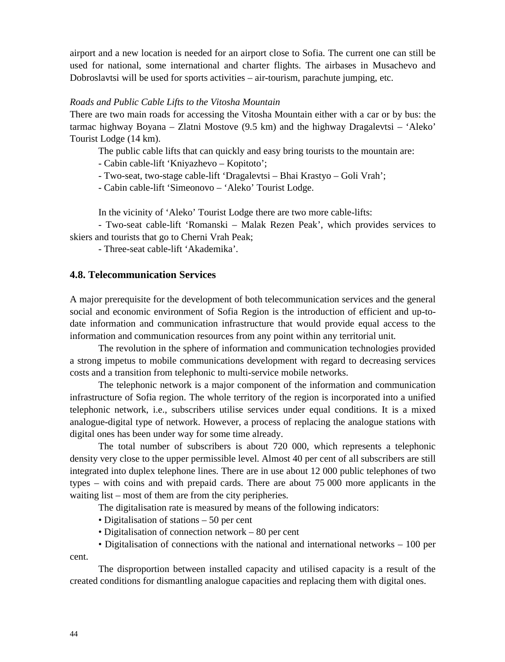airport and a new location is needed for an airport close to Sofia. The current one can still be used for national, some international and charter flights. The airbases in Musachevo and Dobroslavtsi will be used for sports activities – air-tourism, parachute jumping, etc.

### *Roads and Public Cable Lifts to the Vitosha Mountain*

There are two main roads for accessing the Vitosha Mountain either with a car or by bus: the tarmac highway Boyana – Zlatni Mostove (9.5 km) and the highway Dragalevtsi – 'Aleko' Tourist Lodge (14 km).

The public cable lifts that can quickly and easy bring tourists to the mountain are:

- Cabin cable-lift 'Kniyazhevo – Kopitoto';

- Two-seat, two-stage cable-lift 'Dragalevtsi – Bhai Krastyo – Goli Vrah';

- Cabin cable-lift 'Simeonovo – 'Aleko' Tourist Lodge.

In the vicinity of 'Aleko' Tourist Lodge there are two more cable-lifts:

- Two-seat cable-lift 'Romanski – Malak Rezen Peak', which provides services to skiers and tourists that go to Cherni Vrah Peak;

- Three-seat cable-lift 'Akademika'.

## **4.8. Telecommunication Services**

A major prerequisite for the development of both telecommunication services and the general social and economic environment of Sofia Region is the introduction of efficient and up-todate information and communication infrastructure that would provide equal access to the information and communication resources from any point within any territorial unit.

The revolution in the sphere of information and communication technologies provided a strong impetus to mobile communications development with regard to decreasing services costs and a transition from telephonic to multi-service mobile networks.

The telephonic network is a major component of the information and communication infrastructure of Sofia region. The whole territory of the region is incorporated into a unified telephonic network, i.e., subscribers utilise services under equal conditions. It is a mixed analogue-digital type of network. However, a process of replacing the analogue stations with digital ones has been under way for some time already.

The total number of subscribers is about 720 000, which represents a telephonic density very close to the upper permissible level. Almost 40 per cent of all subscribers are still integrated into duplex telephone lines. There are in use about 12 000 public telephones of two types – with coins and with prepaid cards. There are about 75 000 more applicants in the waiting list – most of them are from the city peripheries.

The digitalisation rate is measured by means of the following indicators:

• Digitalisation of stations – 50 per cent

• Digitalisation of connection network – 80 per cent

• Digitalisation of connections with the national and international networks – 100 per cent.

The disproportion between installed capacity and utilised capacity is a result of the created conditions for dismantling analogue capacities and replacing them with digital ones.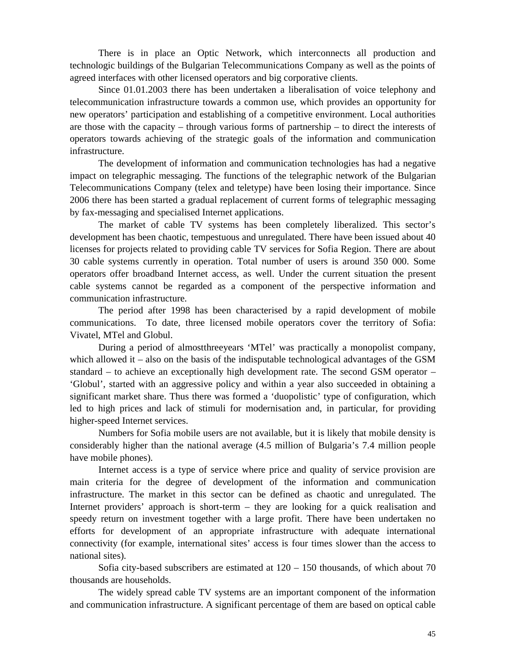There is in place an Optic Network, which interconnects all production and technologic buildings of the Bulgarian Telecommunications Company as well as the points of agreed interfaces with other licensed operators and big corporative clients.

Since 01.01.2003 there has been undertaken a liberalisation of voice telephony and telecommunication infrastructure towards a common use, which provides an opportunity for new operators' participation and establishing of a competitive environment. Local authorities are those with the capacity – through various forms of partnership – to direct the interests of operators towards achieving of the strategic goals of the information and communication infrastructure.

The development of information and communication technologies has had a negative impact on telegraphic messaging. The functions of the telegraphic network of the Bulgarian Telecommunications Company (telex and teletype) have been losing their importance. Since 2006 there has been started a gradual replacement of current forms of telegraphic messaging by fax-messaging and specialised Internet applications.

The market of cable TV systems has been completely liberalized. This sector's development has been chaotic, tempestuous and unregulated. There have been issued about 40 licenses for projects related to providing cable TV services for Sofia Region. There are about 30 cable systems currently in operation. Total number of users is around 350 000. Some operators offer broadband Internet access, as well. Under the current situation the present cable systems cannot be regarded as a component of the perspective information and communication infrastructure.

The period after 1998 has been characterised by a rapid development of mobile communications. To date, three licensed mobile operators cover the territory of Sofia: Vivatel, MTel and Globul.

During a period of almostthreeyears 'MTel' was practically a monopolist company, which allowed it – also on the basis of the indisputable technological advantages of the GSM standard – to achieve an exceptionally high development rate. The second GSM operator – 'Globul', started with an aggressive policy and within a year also succeeded in obtaining a significant market share. Thus there was formed a 'duopolistic' type of configuration, which led to high prices and lack of stimuli for modernisation and, in particular, for providing higher-speed Internet services.

Numbers for Sofia mobile users are not available, but it is likely that mobile density is considerably higher than the national average (4.5 million of Bulgaria's 7.4 million people have mobile phones).

Internet access is a type of service where price and quality of service provision are main criteria for the degree of development of the information and communication infrastructure. The market in this sector can be defined as chaotic and unregulated. The Internet providers' approach is short-term – they are looking for a quick realisation and speedy return on investment together with a large profit. There have been undertaken no efforts for development of an appropriate infrastructure with adequate international connectivity (for example, international sites' access is four times slower than the access to national sites).

Sofia city-based subscribers are estimated at  $120 - 150$  thousands, of which about 70 thousands are households.

The widely spread cable TV systems are an important component of the information and communication infrastructure. A significant percentage of them are based on optical cable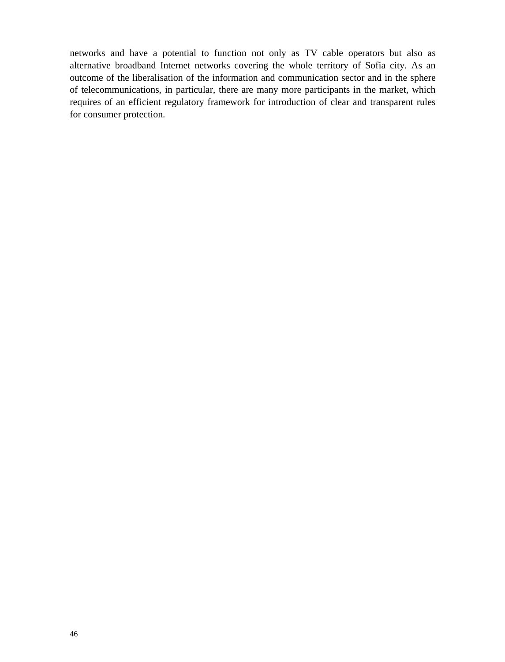networks and have a potential to function not only as TV cable operators but also as alternative broadband Internet networks covering the whole territory of Sofia city. As an outcome of the liberalisation of the information and communication sector and in the sphere of telecommunications, in particular, there are many more participants in the market, which requires of an efficient regulatory framework for introduction of clear and transparent rules for consumer protection.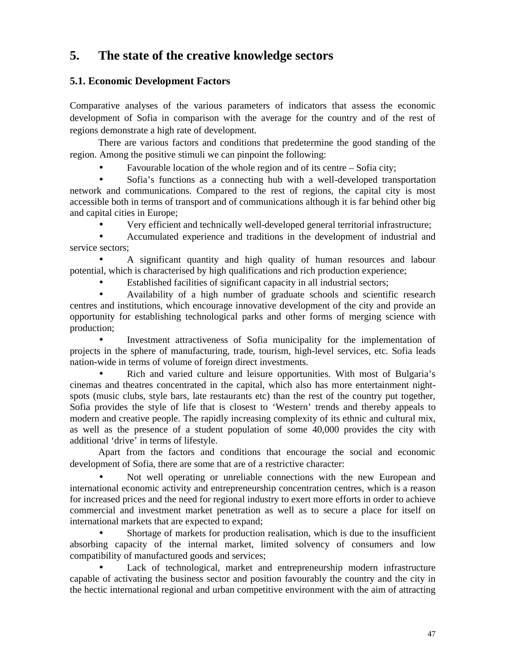# **5. The state of the creative knowledge sectors**

# **5.1. Economic Development Factors**

Comparative analyses of the various parameters of indicators that assess the economic development of Sofia in comparison with the average for the country and of the rest of regions demonstrate a high rate of development.

There are various factors and conditions that predetermine the good standing of the region. Among the positive stimuli we can pinpoint the following:

Favourable location of the whole region and of its centre – Sofia city;

 Sofia's functions as a connecting hub with a well-developed transportation network and communications. Compared to the rest of regions, the capital city is most accessible both in terms of transport and of communications although it is far behind other big and capital cities in Europe;

Very efficient and technically well-developed general territorial infrastructure;

 Accumulated experience and traditions in the development of industrial and service sectors;

 A significant quantity and high quality of human resources and labour potential, which is characterised by high qualifications and rich production experience;

Established facilities of significant capacity in all industrial sectors;

 Availability of a high number of graduate schools and scientific research centres and institutions, which encourage innovative development of the city and provide an opportunity for establishing technological parks and other forms of merging science with production;

 Investment attractiveness of Sofia municipality for the implementation of projects in the sphere of manufacturing, trade, tourism, high-level services, etc. Sofia leads nation-wide in terms of volume of foreign direct investments.

 Rich and varied culture and leisure opportunities. With most of Bulgaria's cinemas and theatres concentrated in the capital, which also has more entertainment nightspots (music clubs, style bars, late restaurants etc) than the rest of the country put together, Sofia provides the style of life that is closest to 'Western' trends and thereby appeals to modern and creative people. The rapidly increasing complexity of its ethnic and cultural mix, as well as the presence of a student population of some 40,000 provides the city with additional 'drive' in terms of lifestyle.

Apart from the factors and conditions that encourage the social and economic development of Sofia, there are some that are of a restrictive character:

 Not well operating or unreliable connections with the new European and international economic activity and entrepreneurship concentration centres, which is a reason for increased prices and the need for regional industry to exert more efforts in order to achieve commercial and investment market penetration as well as to secure a place for itself on international markets that are expected to expand;

 Shortage of markets for production realisation, which is due to the insufficient absorbing capacity of the internal market, limited solvency of consumers and low compatibility of manufactured goods and services;

 Lack of technological, market and entrepreneurship modern infrastructure capable of activating the business sector and position favourably the country and the city in the hectic international regional and urban competitive environment with the aim of attracting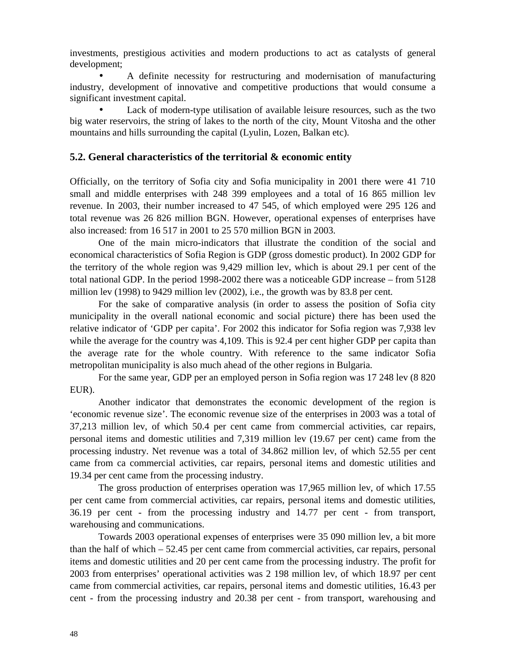investments, prestigious activities and modern productions to act as catalysts of general development;

 A definite necessity for restructuring and modernisation of manufacturing industry, development of innovative and competitive productions that would consume a significant investment capital.

 Lack of modern-type utilisation of available leisure resources, such as the two big water reservoirs, the string of lakes to the north of the city, Mount Vitosha and the other mountains and hills surrounding the capital (Lyulin, Lozen, Balkan etc).

# **5.2. General characteristics of the territorial & economic entity**

Officially, on the territory of Sofia city and Sofia municipality in 2001 there were 41 710 small and middle enterprises with 248 399 employees and a total of 16 865 million lev revenue. In 2003, their number increased to 47 545, of which employed were 295 126 and total revenue was 26 826 million BGN. However, operational expenses of enterprises have also increased: from 16 517 in 2001 to 25 570 million BGN in 2003.

One of the main micro-indicators that illustrate the condition of the social and economical characteristics of Sofia Region is GDP (gross domestic product). In 2002 GDP for the territory of the whole region was 9,429 million lev, which is about 29.1 per cent of the total national GDP. In the period 1998-2002 there was a noticeable GDP increase – from 5128 million lev (1998) to 9429 million lev (2002), i.e., the growth was by 83.8 per cent.

For the sake of comparative analysis (in order to assess the position of Sofia city municipality in the overall national economic and social picture) there has been used the relative indicator of 'GDP per capita'. For 2002 this indicator for Sofia region was 7,938 lev while the average for the country was 4,109. This is 92.4 per cent higher GDP per capita than the average rate for the whole country. With reference to the same indicator Sofia metropolitan municipality is also much ahead of the other regions in Bulgaria.

For the same year, GDP per an employed person in Sofia region was 17 248 lev (8 820 EUR).

Another indicator that demonstrates the economic development of the region is 'economic revenue size'. The economic revenue size of the enterprises in 2003 was a total of 37,213 million lev, of which 50.4 per cent came from commercial activities, car repairs, personal items and domestic utilities and 7,319 million lev (19.67 per cent) came from the processing industry. Net revenue was a total of 34.862 million lev, of which 52.55 per cent came from commercial activities, car repairs, personal items and domestic utilities and 19.34 per cent came from the processing industry.

The gross production of enterprises operation was 17,965 million lev, of which 17.55 per cent came from commercial activities, car repairs, personal items and domestic utilities, 36.19 per cent - from the processing industry and 14.77 per cent - from transport, warehousing and communications.

Towards 2003 operational expenses of enterprises were 35 090 million lev, a bit more than the half of which  $-52.45$  per cent came from commercial activities, car repairs, personal items and domestic utilities and 20 per cent came from the processing industry. The profit for 2003 from enterprises' operational activities was 2 198 million lev, of which 18.97 per cent came from commercial activities, car repairs, personal items and domestic utilities, 16.43 per cent - from the processing industry and 20.38 per cent - from transport, warehousing and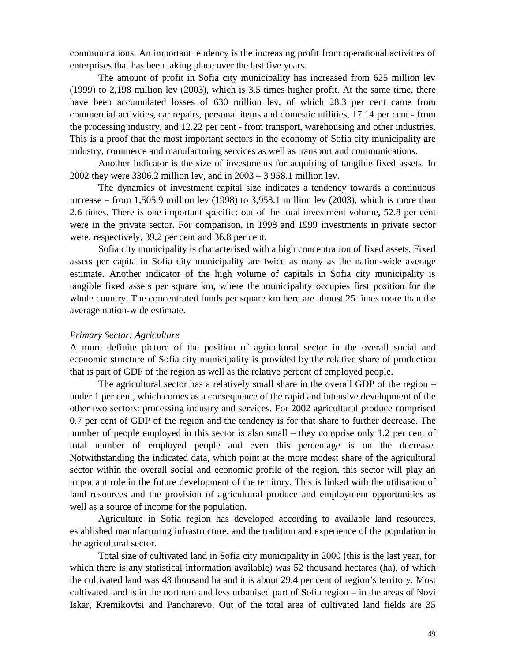communications. An important tendency is the increasing profit from operational activities of enterprises that has been taking place over the last five years.

The amount of profit in Sofia city municipality has increased from 625 million lev (1999) to 2,198 million lev (2003), which is 3.5 times higher profit. At the same time, there have been accumulated losses of 630 million lev, of which 28.3 per cent came from commercial activities, car repairs, personal items and domestic utilities, 17.14 per cent - from the processing industry, and 12.22 per cent - from transport, warehousing and other industries. This is a proof that the most important sectors in the economy of Sofia city municipality are industry, commerce and manufacturing services as well as transport and communications.

Another indicator is the size of investments for acquiring of tangible fixed assets. In 2002 they were 3306.2 million lev, and in 2003 – 3 958.1 million lev.

The dynamics of investment capital size indicates a tendency towards a continuous increase – from 1,505.9 million lev (1998) to 3,958.1 million lev (2003), which is more than 2.6 times. There is one important specific: out of the total investment volume, 52.8 per cent were in the private sector. For comparison, in 1998 and 1999 investments in private sector were, respectively, 39.2 per cent and 36.8 per cent.

Sofia city municipality is characterised with a high concentration of fixed assets. Fixed assets per capita in Sofia city municipality are twice as many as the nation-wide average estimate. Another indicator of the high volume of capitals in Sofia city municipality is tangible fixed assets per square km, where the municipality occupies first position for the whole country. The concentrated funds per square km here are almost 25 times more than the average nation-wide estimate.

### *Primary Sector: Agriculture*

A more definite picture of the position of agricultural sector in the overall social and economic structure of Sofia city municipality is provided by the relative share of production that is part of GDP of the region as well as the relative percent of employed people.

The agricultural sector has a relatively small share in the overall GDP of the region – under 1 per cent, which comes as a consequence of the rapid and intensive development of the other two sectors: processing industry and services. For 2002 agricultural produce comprised 0.7 per cent of GDP of the region and the tendency is for that share to further decrease. The number of people employed in this sector is also small – they comprise only 1.2 per cent of total number of employed people and even this percentage is on the decrease. Notwithstanding the indicated data, which point at the more modest share of the agricultural sector within the overall social and economic profile of the region, this sector will play an important role in the future development of the territory. This is linked with the utilisation of land resources and the provision of agricultural produce and employment opportunities as well as a source of income for the population.

Agriculture in Sofia region has developed according to available land resources, established manufacturing infrastructure, and the tradition and experience of the population in the agricultural sector.

Total size of cultivated land in Sofia city municipality in 2000 (this is the last year, for which there is any statistical information available) was 52 thousand hectares (ha), of which the cultivated land was 43 thousand ha and it is about 29.4 per cent of region's territory. Most cultivated land is in the northern and less urbanised part of Sofia region – in the areas of Novi Iskar, Kremikovtsi and Pancharevo. Out of the total area of cultivated land fields are 35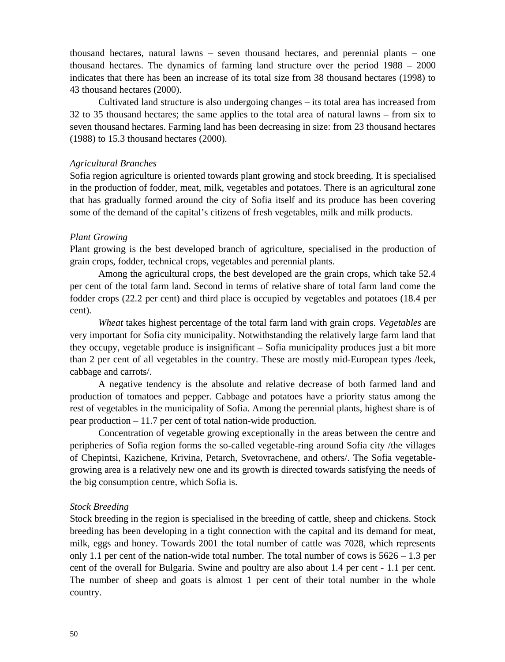thousand hectares, natural lawns – seven thousand hectares, and perennial plants – one thousand hectares. The dynamics of farming land structure over the period 1988 – 2000 indicates that there has been an increase of its total size from 38 thousand hectares (1998) to 43 thousand hectares (2000).

Cultivated land structure is also undergoing changes – its total area has increased from 32 to 35 thousand hectares; the same applies to the total area of natural lawns – from six to seven thousand hectares. Farming land has been decreasing in size: from 23 thousand hectares (1988) to 15.3 thousand hectares (2000).

### *Agricultural Branches*

Sofia region agriculture is oriented towards plant growing and stock breeding. It is specialised in the production of fodder, meat, milk, vegetables and potatoes. There is an agricultural zone that has gradually formed around the city of Sofia itself and its produce has been covering some of the demand of the capital's citizens of fresh vegetables, milk and milk products.

## *Plant Growing*

Plant growing is the best developed branch of agriculture, specialised in the production of grain crops, fodder, technical crops, vegetables and perennial plants.

Among the agricultural crops, the best developed are the grain crops, which take 52.4 per cent of the total farm land. Second in terms of relative share of total farm land come the fodder crops (22.2 per cent) and third place is occupied by vegetables and potatoes (18.4 per cent).

*Wheat* takes highest percentage of the total farm land with grain crops. *Vegetables* are very important for Sofia city municipality. Notwithstanding the relatively large farm land that they occupy, vegetable produce is insignificant – Sofia municipality produces just a bit more than 2 per cent of all vegetables in the country. These are mostly mid-European types /leek, cabbage and carrots/.

A negative tendency is the absolute and relative decrease of both farmed land and production of tomatoes and pepper. Cabbage and potatoes have a priority status among the rest of vegetables in the municipality of Sofia. Among the perennial plants, highest share is of pear production – 11.7 per cent of total nation-wide production.

Concentration of vegetable growing exceptionally in the areas between the centre and peripheries of Sofia region forms the so-called vegetable-ring around Sofia city /the villages of Chepintsi, Kazichene, Krivina, Petarch, Svetovrachene, and others/. The Sofia vegetablegrowing area is a relatively new one and its growth is directed towards satisfying the needs of the big consumption centre, which Sofia is.

# *Stock Breeding*

Stock breeding in the region is specialised in the breeding of cattle, sheep and chickens. Stock breeding has been developing in a tight connection with the capital and its demand for meat, milk, eggs and honey. Towards 2001 the total number of cattle was 7028, which represents only 1.1 per cent of the nation-wide total number. The total number of cows is  $5626 - 1.3$  per cent of the overall for Bulgaria. Swine and poultry are also about 1.4 per cent - 1.1 per cent. The number of sheep and goats is almost 1 per cent of their total number in the whole country.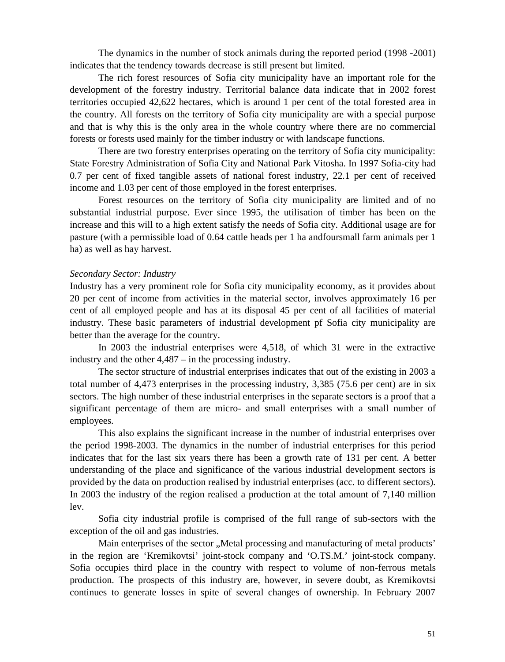The dynamics in the number of stock animals during the reported period (1998 -2001) indicates that the tendency towards decrease is still present but limited.

The rich forest resources of Sofia city municipality have an important role for the development of the forestry industry. Territorial balance data indicate that in 2002 forest territories occupied 42,622 hectares, which is around 1 per cent of the total forested area in the country. All forests on the territory of Sofia city municipality are with a special purpose and that is why this is the only area in the whole country where there are no commercial forests or forests used mainly for the timber industry or with landscape functions.

There are two forestry enterprises operating on the territory of Sofia city municipality: State Forestry Administration of Sofia City and National Park Vitosha. In 1997 Sofia-city had 0.7 per cent of fixed tangible assets of national forest industry, 22.1 per cent of received income and 1.03 per cent of those employed in the forest enterprises.

Forest resources on the territory of Sofia city municipality are limited and of no substantial industrial purpose. Ever since 1995, the utilisation of timber has been on the increase and this will to a high extent satisfy the needs of Sofia city. Additional usage are for pasture (with a permissible load of 0.64 cattle heads per 1 ha andfoursmall farm animals per 1 ha) as well as hay harvest.

### *Secondary Sector: Industry*

Industry has a very prominent role for Sofia city municipality economy, as it provides about 20 per cent of income from activities in the material sector, involves approximately 16 per cent of all employed people and has at its disposal 45 per cent of all facilities of material industry. These basic parameters of industrial development pf Sofia city municipality are better than the average for the country.

In 2003 the industrial enterprises were 4,518, of which 31 were in the extractive industry and the other 4,487 – in the processing industry.

The sector structure of industrial enterprises indicates that out of the existing in 2003 a total number of 4,473 enterprises in the processing industry, 3,385 (75.6 per cent) are in six sectors. The high number of these industrial enterprises in the separate sectors is a proof that a significant percentage of them are micro- and small enterprises with a small number of employees.

This also explains the significant increase in the number of industrial enterprises over the period 1998-2003. The dynamics in the number of industrial enterprises for this period indicates that for the last six years there has been a growth rate of 131 per cent. A better understanding of the place and significance of the various industrial development sectors is provided by the data on production realised by industrial enterprises (acc. to different sectors). In 2003 the industry of the region realised a production at the total amount of 7,140 million lev.

Sofia city industrial profile is comprised of the full range of sub-sectors with the exception of the oil and gas industries.

Main enterprises of the sector "Metal processing and manufacturing of metal products' in the region are 'Kremikovtsi' joint-stock company and 'O.TS.M.' joint-stock company. Sofia occupies third place in the country with respect to volume of non-ferrous metals production. The prospects of this industry are, however, in severe doubt, as Kremikovtsi continues to generate losses in spite of several changes of ownership. In February 2007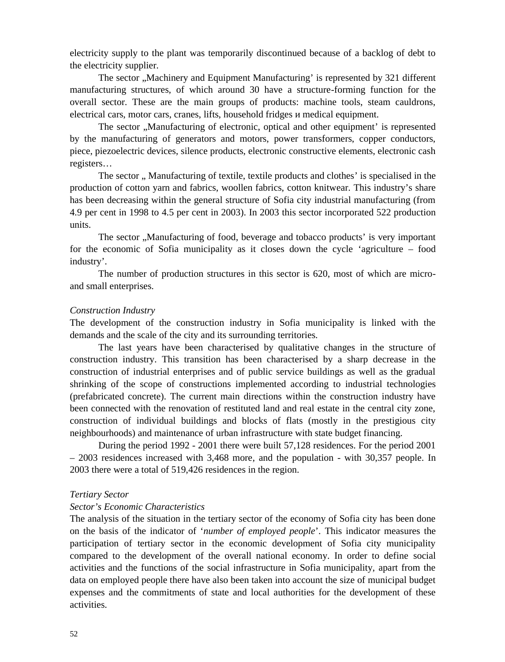electricity supply to the plant was temporarily discontinued because of a backlog of debt to the electricity supplier.

The sector ,,Machinery and Equipment Manufacturing' is represented by 321 different manufacturing structures, of which around 30 have a structure-forming function for the overall sector. These are the main groups of products: machine tools, steam cauldrons, electrical cars, motor cars, cranes, lifts, household fridges medical equipment.

The sector "Manufacturing of electronic, optical and other equipment' is represented by the manufacturing of generators and motors, power transformers, copper conductors, piece, piezoelectric devices, silence products, electronic constructive elements, electronic cash registers…

The sector " Manufacturing of textile, textile products and clothes' is specialised in the production of cotton yarn and fabrics, woollen fabrics, cotton knitwear. This industry's share has been decreasing within the general structure of Sofia city industrial manufacturing (from 4.9 per cent in 1998 to 4.5 per cent in 2003). In 2003 this sector incorporated 522 production units.

The sector ...Manufacturing of food, beverage and tobacco products' is very important for the economic of Sofia municipality as it closes down the cycle 'agriculture – food industry'.

The number of production structures in this sector is 620, most of which are microand small enterprises.

### *Construction Industry*

The development of the construction industry in Sofia municipality is linked with the demands and the scale of the city and its surrounding territories.

The last years have been characterised by qualitative changes in the structure of construction industry. This transition has been characterised by a sharp decrease in the construction of industrial enterprises and of public service buildings as well as the gradual shrinking of the scope of constructions implemented according to industrial technologies (prefabricated concrete). The current main directions within the construction industry have been connected with the renovation of restituted land and real estate in the central city zone, construction of individual buildings and blocks of flats (mostly in the prestigious city neighbourhoods) and maintenance of urban infrastructure with state budget financing.

During the period 1992 - 2001 there were built 57,128 residences. For the period 2001 – 2003 residences increased with 3,468 more, and the population - with 30,357 people. In 2003 there were a total of 519,426 residences in the region.

### *Tertiary Sector*

### *Sector's Economic Characteristics*

The analysis of the situation in the tertiary sector of the economy of Sofia city has been done on the basis of the indicator of '*number of employed people*'. This indicator measures the participation of tertiary sector in the economic development of Sofia city municipality compared to the development of the overall national economy. In order to define social activities and the functions of the social infrastructure in Sofia municipality, apart from the data on employed people there have also been taken into account the size of municipal budget expenses and the commitments of state and local authorities for the development of these activities.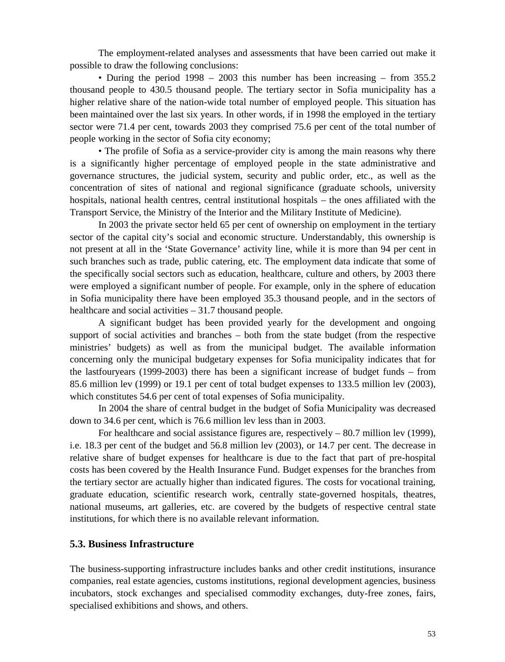The employment-related analyses and assessments that have been carried out make it possible to draw the following conclusions:

• During the period 1998 – 2003 this number has been increasing – from 355.2 thousand people to 430.5 thousand people. The tertiary sector in Sofia municipality has a higher relative share of the nation-wide total number of employed people. This situation has been maintained over the last six years. In other words, if in 1998 the employed in the tertiary sector were 71.4 per cent, towards 2003 they comprised 75.6 per cent of the total number of people working in the sector of Sofia city economy;

• The profile of Sofia as a service-provider city is among the main reasons why there is a significantly higher percentage of employed people in the state administrative and governance structures, the judicial system, security and public order, etc., as well as the concentration of sites of national and regional significance (graduate schools, university hospitals, national health centres, central institutional hospitals – the ones affiliated with the Transport Service, the Ministry of the Interior and the Military Institute of Medicine).

In 2003 the private sector held 65 per cent of ownership on employment in the tertiary sector of the capital city's social and economic structure. Understandably, this ownership is not present at all in the 'State Governance' activity line, while it is more than 94 per cent in such branches such as trade, public catering, etc. The employment data indicate that some of the specifically social sectors such as education, healthcare, culture and others, by 2003 there were employed a significant number of people. For example, only in the sphere of education in Sofia municipality there have been employed 35.3 thousand people, and in the sectors of healthcare and social activities – 31.7 thousand people.

A significant budget has been provided yearly for the development and ongoing support of social activities and branches – both from the state budget (from the respective ministries' budgets) as well as from the municipal budget. The available information concerning only the municipal budgetary expenses for Sofia municipality indicates that for the lastfouryears (1999-2003) there has been a significant increase of budget funds – from 85.6 million lev (1999) or 19.1 per cent of total budget expenses to 133.5 million lev (2003), which constitutes 54.6 per cent of total expenses of Sofia municipality.

In 2004 the share of central budget in the budget of Sofia Municipality was decreased down to 34.6 per cent, which is 76.6 million lev less than in 2003.

For healthcare and social assistance figures are, respectively – 80.7 million lev (1999), i.e. 18.3 per cent of the budget and 56.8 million lev (2003), or 14.7 per cent. The decrease in relative share of budget expenses for healthcare is due to the fact that part of pre-hospital costs has been covered by the Health Insurance Fund. Budget expenses for the branches from the tertiary sector are actually higher than indicated figures. The costs for vocational training, graduate education, scientific research work, centrally state-governed hospitals, theatres, national museums, art galleries, etc. are covered by the budgets of respective central state institutions, for which there is no available relevant information.

## **5.3. Business Infrastructure**

The business-supporting infrastructure includes banks and other credit institutions, insurance companies, real estate agencies, customs institutions, regional development agencies, business incubators, stock exchanges and specialised commodity exchanges, duty-free zones, fairs, specialised exhibitions and shows, and others.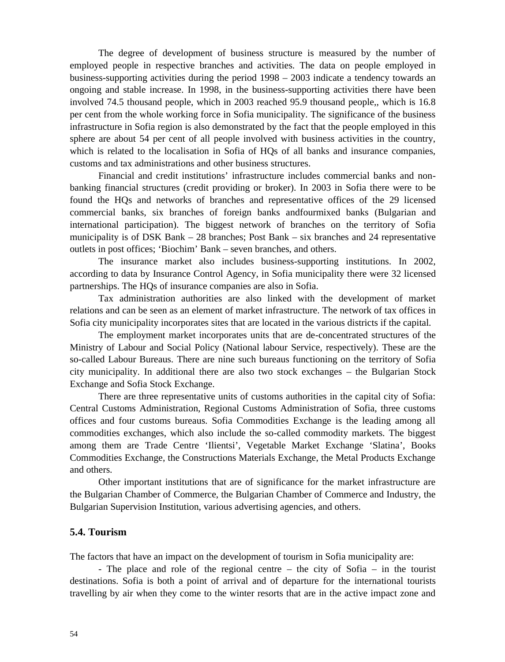The degree of development of business structure is measured by the number of employed people in respective branches and activities. The data on people employed in business-supporting activities during the period 1998 – 2003 indicate a tendency towards an ongoing and stable increase. In 1998, in the business-supporting activities there have been involved 74.5 thousand people, which in 2003 reached 95.9 thousand people,, which is 16.8 per cent from the whole working force in Sofia municipality. The significance of the business infrastructure in Sofia region is also demonstrated by the fact that the people employed in this sphere are about 54 per cent of all people involved with business activities in the country, which is related to the localisation in Sofia of HQs of all banks and insurance companies, customs and tax administrations and other business structures.

Financial and credit institutions' infrastructure includes commercial banks and nonbanking financial structures (credit providing or broker). In 2003 in Sofia there were to be found the HQs and networks of branches and representative offices of the 29 licensed commercial banks, six branches of foreign banks andfourmixed banks (Bulgarian and international participation). The biggest network of branches on the territory of Sofia municipality is of DSK Bank – 28 branches; Post Bank – six branches and 24 representative outlets in post offices; 'Biochim' Bank – seven branches, and others.

The insurance market also includes business-supporting institutions. In 2002, according to data by Insurance Control Agency, in Sofia municipality there were 32 licensed partnerships. The HQs of insurance companies are also in Sofia.

Tax administration authorities are also linked with the development of market relations and can be seen as an element of market infrastructure. The network of tax offices in Sofia city municipality incorporates sites that are located in the various districts if the capital.

The employment market incorporates units that are de-concentrated structures of the Ministry of Labour and Social Policy (National labour Service, respectively). These are the so-called Labour Bureaus. There are nine such bureaus functioning on the territory of Sofia city municipality. In additional there are also two stock exchanges – the Bulgarian Stock Exchange and Sofia Stock Exchange.

There are three representative units of customs authorities in the capital city of Sofia: Central Customs Administration, Regional Customs Administration of Sofia, three customs offices and four customs bureaus. Sofia Commodities Exchange is the leading among all commodities exchanges, which also include the so-called commodity markets. The biggest among them are Trade Centre 'Ilientsi', Vegetable Market Exchange 'Slatina', Books Commodities Exchange, the Constructions Materials Exchange, the Metal Products Exchange and others.

Other important institutions that are of significance for the market infrastructure are the Bulgarian Chamber of Commerce, the Bulgarian Chamber of Commerce and Industry, the Bulgarian Supervision Institution, various advertising agencies, and others.

### **5.4. Tourism**

The factors that have an impact on the development of tourism in Sofia municipality are:

- The place and role of the regional centre – the city of Sofia – in the tourist destinations. Sofia is both a point of arrival and of departure for the international tourists travelling by air when they come to the winter resorts that are in the active impact zone and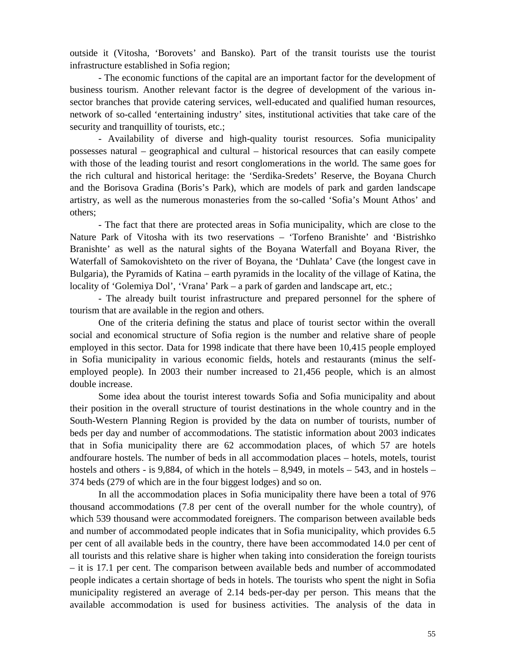outside it (Vitosha, 'Borovets' and Bansko). Part of the transit tourists use the tourist infrastructure established in Sofia region;

- The economic functions of the capital are an important factor for the development of business tourism. Another relevant factor is the degree of development of the various insector branches that provide catering services, well-educated and qualified human resources, network of so-called 'entertaining industry' sites, institutional activities that take care of the security and tranquillity of tourists, etc.;

- Availability of diverse and high-quality tourist resources. Sofia municipality possesses natural – geographical and cultural – historical resources that can easily compete with those of the leading tourist and resort conglomerations in the world. The same goes for the rich cultural and historical heritage: the 'Serdika-Sredets' Reserve, the Boyana Church and the Borisova Gradina (Boris's Park), which are models of park and garden landscape artistry, as well as the numerous monasteries from the so-called 'Sofia's Mount Athos' and others;

- The fact that there are protected areas in Sofia municipality, which are close to the Nature Park of Vitosha with its two reservations – 'Torfeno Branishte' and 'Bistrishko Branishte' as well as the natural sights of the Boyana Waterfall and Boyana River, the Waterfall of Samokovishteto on the river of Boyana, the 'Duhlata' Cave (the longest cave in Bulgaria), the Pyramids of Katina – earth pyramids in the locality of the village of Katina, the locality of 'Golemiya Dol', 'Vrana' Park – a park of garden and landscape art, etc.;

- The already built tourist infrastructure and prepared personnel for the sphere of tourism that are available in the region and others.

One of the criteria defining the status and place of tourist sector within the overall social and economical structure of Sofia region is the number and relative share of people employed in this sector. Data for 1998 indicate that there have been 10,415 people employed in Sofia municipality in various economic fields, hotels and restaurants (minus the selfemployed people). In 2003 their number increased to 21,456 people, which is an almost double increase.

Some idea about the tourist interest towards Sofia and Sofia municipality and about their position in the overall structure of tourist destinations in the whole country and in the South-Western Planning Region is provided by the data on number of tourists, number of beds per day and number of accommodations. The statistic information about 2003 indicates that in Sofia municipality there are 62 accommodation places, of which 57 are hotels andfourare hostels. The number of beds in all accommodation places – hotels, motels, tourist hostels and others - is 9,884, of which in the hotels – 8,949, in motels – 543, and in hostels – 374 beds (279 of which are in the four biggest lodges) and so on.

In all the accommodation places in Sofia municipality there have been a total of 976 thousand accommodations (7.8 per cent of the overall number for the whole country), of which 539 thousand were accommodated foreigners. The comparison between available beds and number of accommodated people indicates that in Sofia municipality, which provides 6.5 per cent of all available beds in the country, there have been accommodated 14.0 per cent of all tourists and this relative share is higher when taking into consideration the foreign tourists – it is 17.1 per cent. The comparison between available beds and number of accommodated people indicates a certain shortage of beds in hotels. The tourists who spent the night in Sofia municipality registered an average of 2.14 beds-per-day per person. This means that the available accommodation is used for business activities. The analysis of the data in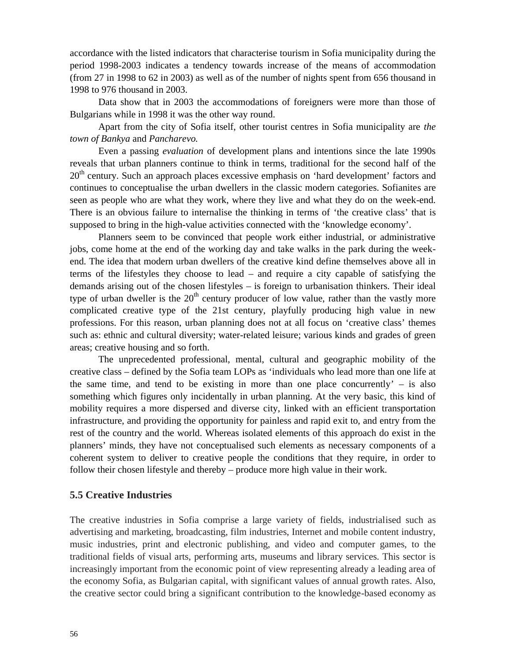accordance with the listed indicators that characterise tourism in Sofia municipality during the period 1998-2003 indicates a tendency towards increase of the means of accommodation (from 27 in 1998 to 62 in 2003) as well as of the number of nights spent from 656 thousand in 1998 to 976 thousand in 2003.

Data show that in 2003 the accommodations of foreigners were more than those of Bulgarians while in 1998 it was the other way round.

Apart from the city of Sofia itself, other tourist centres in Sofia municipality are *the town of Bankya* and *Pancharevo.*

Even a passing *evaluation* of development plans and intentions since the late 1990s reveals that urban planners continue to think in terms, traditional for the second half of the 20<sup>th</sup> century. Such an approach places excessive emphasis on 'hard development' factors and continues to conceptualise the urban dwellers in the classic modern categories. Sofianites are seen as people who are what they work, where they live and what they do on the week-end. There is an obvious failure to internalise the thinking in terms of 'the creative class' that is supposed to bring in the high-value activities connected with the 'knowledge economy'.

Planners seem to be convinced that people work either industrial, or administrative jobs, come home at the end of the working day and take walks in the park during the weekend. The idea that modern urban dwellers of the creative kind define themselves above all in terms of the lifestyles they choose to lead – and require a city capable of satisfying the demands arising out of the chosen lifestyles – is foreign to urbanisation thinkers. Their ideal type of urban dweller is the  $20<sup>th</sup>$  century producer of low value, rather than the vastly more complicated creative type of the 21st century, playfully producing high value in new professions. For this reason, urban planning does not at all focus on 'creative class' themes such as: ethnic and cultural diversity; water-related leisure; various kinds and grades of green areas; creative housing and so forth.

The unprecedented professional, mental, cultural and geographic mobility of the creative class – defined by the Sofia team LOPs as 'individuals who lead more than one life at the same time, and tend to be existing in more than one place concurrently'  $-$  is also something which figures only incidentally in urban planning. At the very basic, this kind of mobility requires a more dispersed and diverse city, linked with an efficient transportation infrastructure, and providing the opportunity for painless and rapid exit to, and entry from the rest of the country and the world. Whereas isolated elements of this approach do exist in the planners' minds, they have not conceptualised such elements as necessary components of a coherent system to deliver to creative people the conditions that they require, in order to follow their chosen lifestyle and thereby – produce more high value in their work.

## **5.5 Creative Industries**

The creative industries in Sofia comprise a large variety of fields, industrialised such as advertising and marketing, broadcasting, film industries, Internet and mobile content industry, music industries, print and electronic publishing, and video and computer games, to the traditional fields of visual arts, performing arts, museums and library services. This sector is increasingly important from the economic point of view representing already a leading area of the economy Sofia, as Bulgarian capital, with significant values of annual growth rates. Also, the creative sector could bring a significant contribution to the knowledge-based economy as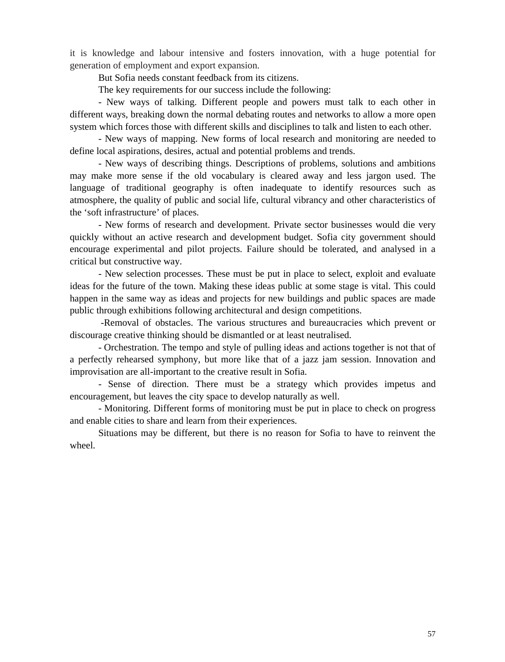it is knowledge and labour intensive and fosters innovation, with a huge potential for generation of employment and export expansion.

But Sofia needs constant feedback from its citizens.

The key requirements for our success include the following:

- New ways of talking. Different people and powers must talk to each other in different ways, breaking down the normal debating routes and networks to allow a more open system which forces those with different skills and disciplines to talk and listen to each other.

- New ways of mapping. New forms of local research and monitoring are needed to define local aspirations, desires, actual and potential problems and trends.

- New ways of describing things. Descriptions of problems, solutions and ambitions may make more sense if the old vocabulary is cleared away and less jargon used. The language of traditional geography is often inadequate to identify resources such as atmosphere, the quality of public and social life, cultural vibrancy and other characteristics of the 'soft infrastructure' of places.

- New forms of research and development. Private sector businesses would die very quickly without an active research and development budget. Sofia city government should encourage experimental and pilot projects. Failure should be tolerated, and analysed in a critical but constructive way.

- New selection processes. These must be put in place to select, exploit and evaluate ideas for the future of the town. Making these ideas public at some stage is vital. This could happen in the same way as ideas and projects for new buildings and public spaces are made public through exhibitions following architectural and design competitions.

-Removal of obstacles. The various structures and bureaucracies which prevent or discourage creative thinking should be dismantled or at least neutralised.

- Orchestration. The tempo and style of pulling ideas and actions together is not that of a perfectly rehearsed symphony, but more like that of a jazz jam session. Innovation and improvisation are all-important to the creative result in Sofia.

- Sense of direction. There must be a strategy which provides impetus and encouragement, but leaves the city space to develop naturally as well.

- Monitoring. Different forms of monitoring must be put in place to check on progress and enable cities to share and learn from their experiences.

Situations may be different, but there is no reason for Sofia to have to reinvent the wheel.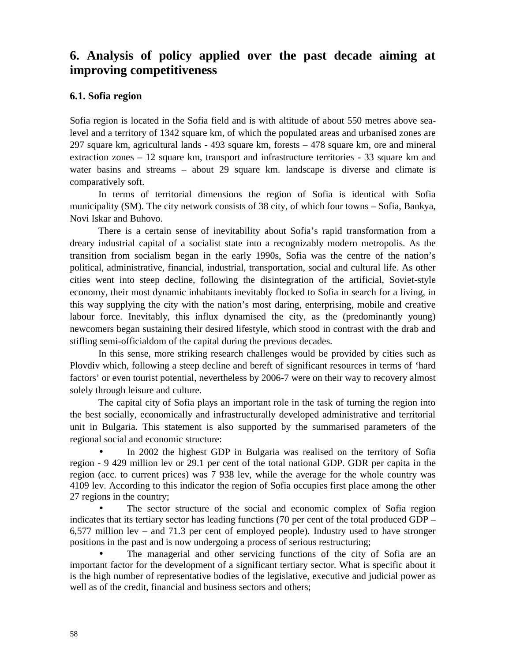# **6. Analysis of policy applied over the past decade aiming at improving competitiveness**

# **6.1. Sofia region**

Sofia region is located in the Sofia field and is with altitude of about 550 metres above sealevel and a territory of 1342 square km, of which the populated areas and urbanised zones are 297 square km, agricultural lands - 493 square km, forests – 478 square km, ore and mineral extraction zones – 12 square km, transport and infrastructure territories - 33 square km and water basins and streams – about 29 square km. landscape is diverse and climate is comparatively soft.

In terms of territorial dimensions the region of Sofia is identical with Sofia municipality (SM). The city network consists of 38 city, of which four towns – Sofia, Bankya, Novi Iskar and Buhovo.

There is a certain sense of inevitability about Sofia's rapid transformation from a dreary industrial capital of a socialist state into a recognizably modern metropolis. As the transition from socialism began in the early 1990s, Sofia was the centre of the nation's political, administrative, financial, industrial, transportation, social and cultural life. As other cities went into steep decline, following the disintegration of the artificial, Soviet-style economy, their most dynamic inhabitants inevitably flocked to Sofia in search for a living, in this way supplying the city with the nation's most daring, enterprising, mobile and creative labour force. Inevitably, this influx dynamised the city, as the (predominantly young) newcomers began sustaining their desired lifestyle, which stood in contrast with the drab and stifling semi-officialdom of the capital during the previous decades.

In this sense, more striking research challenges would be provided by cities such as Plovdiv which, following a steep decline and bereft of significant resources in terms of 'hard factors' or even tourist potential, nevertheless by 2006-7 were on their way to recovery almost solely through leisure and culture.

The capital city of Sofia plays an important role in the task of turning the region into the best socially, economically and infrastructurally developed administrative and territorial unit in Bulgaria. This statement is also supported by the summarised parameters of the regional social and economic structure:

 In 2002 the highest GDP in Bulgaria was realised on the territory of Sofia region - 9 429 million lev or 29.1 per cent of the total national GDP. GDR per capita in the region (acc. to current prices) was 7 938 lev, while the average for the whole country was 4109 lev. According to this indicator the region of Sofia occupies first place among the other 27 regions in the country;

 The sector structure of the social and economic complex of Sofia region indicates that its tertiary sector has leading functions (70 per cent of the total produced GDP – 6,577 million lev – and 71.3 per cent of employed people). Industry used to have stronger positions in the past and is now undergoing a process of serious restructuring;

 The managerial and other servicing functions of the city of Sofia are an important factor for the development of a significant tertiary sector. What is specific about it is the high number of representative bodies of the legislative, executive and judicial power as well as of the credit, financial and business sectors and others;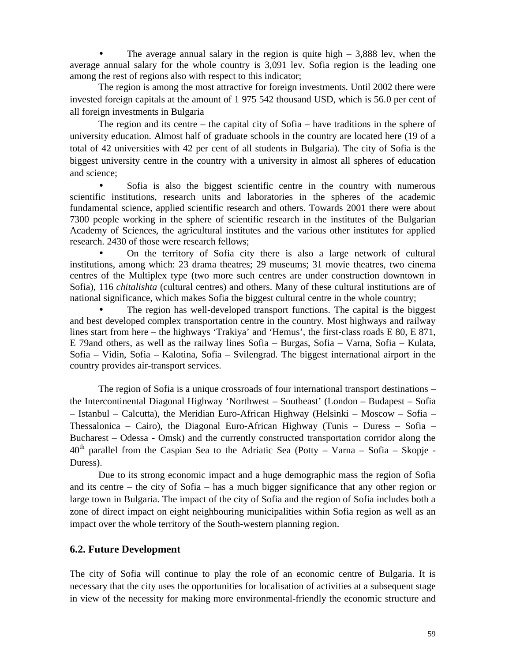The average annual salary in the region is quite high  $-3,888$  lev, when the average annual salary for the whole country is 3,091 lev. Sofia region is the leading one among the rest of regions also with respect to this indicator;

The region is among the most attractive for foreign investments. Until 2002 there were invested foreign capitals at the amount of 1 975 542 thousand USD, which is 56.0 per cent of all foreign investments in Bulgaria

The region and its centre – the capital city of Sofia – have traditions in the sphere of university education. Almost half of graduate schools in the country are located here (19 of a total of 42 universities with 42 per cent of all students in Bulgaria). The city of Sofia is the biggest university centre in the country with a university in almost all spheres of education and science;

 Sofia is also the biggest scientific centre in the country with numerous scientific institutions, research units and laboratories in the spheres of the academic fundamental science, applied scientific research and others. Towards 2001 there were about 7300 people working in the sphere of scientific research in the institutes of the Bulgarian Academy of Sciences, the agricultural institutes and the various other institutes for applied research. 2430 of those were research fellows;

 On the territory of Sofia city there is also a large network of cultural institutions, among which: 23 drama theatres; 29 museums; 31 movie theatres, two cinema centres of the Multiplex type (two more such centres are under construction downtown in Sofia), 116 *chitalishta* (cultural centres) and others. Many of these cultural institutions are of national significance, which makes Sofia the biggest cultural centre in the whole country;

 The region has well-developed transport functions. The capital is the biggest and best developed complex transportation centre in the country. Most highways and railway lines start from here – the highways 'Trakiya' and 'Hemus', the first-class roads  $80$ ,  $871$ ,

Е 79and others, as well as the railway lines Sofia – Burgas, Sofia – Varna, Sofia – Kulata, Sofia – Vidin, Sofia – Kalotina, Sofia – Svilengrad. The biggest international airport in the country provides air-transport services.

The region of Sofia is a unique crossroads of four international transport destinations – the Intercontinental Diagonal Highway 'Northwest – Southeast' (London – Budapest – Sofia – Istanbul – Calcutta), the Meridian Euro-African Highway (Helsinki – Moscow – Sofia – Thessalonica – Cairo), the Diagonal Euro-African Highway (Tunis – Duress – Sofia – Bucharest – Odessa - Omsk) and the currently constructed transportation corridor along the  $40<sup>th</sup>$  parallel from the Caspian Sea to the Adriatic Sea (Potty – Varna – Sofia – Skopje -Duress).

Due to its strong economic impact and a huge demographic mass the region of Sofia and its centre – the city of Sofia – has a much bigger significance that any other region or large town in Bulgaria. The impact of the city of Sofia and the region of Sofia includes both a zone of direct impact on eight neighbouring municipalities within Sofia region as well as an impact over the whole territory of the South-western planning region.

# **6.2. Future Development**

The city of Sofia will continue to play the role of an economic centre of Bulgaria. It is necessary that the city uses the opportunities for localisation of activities at a subsequent stage in view of the necessity for making more environmental-friendly the economic structure and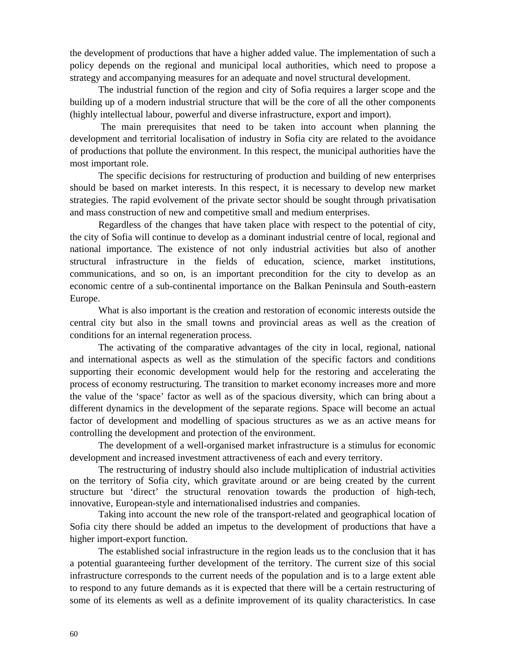the development of productions that have a higher added value. The implementation of such a policy depends on the regional and municipal local authorities, which need to propose a strategy and accompanying measures for an adequate and novel structural development.

The industrial function of the region and city of Sofia requires a larger scope and the building up of a modern industrial structure that will be the core of all the other components (highly intellectual labour, powerful and diverse infrastructure, export and import).

 The main prerequisites that need to be taken into account when planning the development and territorial localisation of industry in Sofia city are related to the avoidance of productions that pollute the environment. In this respect, the municipal authorities have the most important role.

The specific decisions for restructuring of production and building of new enterprises should be based on market interests. In this respect, it is necessary to develop new market strategies. The rapid evolvement of the private sector should be sought through privatisation and mass construction of new and competitive small and medium enterprises.

Regardless of the changes that have taken place with respect to the potential of city, the city of Sofia will continue to develop as a dominant industrial centre of local, regional and national importance. The existence of not only industrial activities but also of another structural infrastructure in the fields of education, science, market institutions, communications, and so on, is an important precondition for the city to develop as an economic centre of a sub-continental importance on the Balkan Peninsula and South-eastern Europe.

What is also important is the creation and restoration of economic interests outside the central city but also in the small towns and provincial areas as well as the creation of conditions for an internal regeneration process.

The activating of the comparative advantages of the city in local, regional, national and international aspects as well as the stimulation of the specific factors and conditions supporting their economic development would help for the restoring and accelerating the process of economy restructuring. The transition to market economy increases more and more the value of the 'space' factor as well as of the spacious diversity, which can bring about a different dynamics in the development of the separate regions. Space will become an actual factor of development and modelling of spacious structures as we as an active means for controlling the development and protection of the environment.

The development of a well-organised market infrastructure is a stimulus for economic development and increased investment attractiveness of each and every territory.

The restructuring of industry should also include multiplication of industrial activities on the territory of Sofia city, which gravitate around or are being created by the current structure but 'direct' the structural renovation towards the production of high-tech, innovative, European-style and internationalised industries and companies.

Taking into account the new role of the transport-related and geographical location of Sofia city there should be added an impetus to the development of productions that have a higher import-export function.

The established social infrastructure in the region leads us to the conclusion that it has a potential guaranteeing further development of the territory. The current size of this social infrastructure corresponds to the current needs of the population and is to a large extent able to respond to any future demands as it is expected that there will be a certain restructuring of some of its elements as well as a definite improvement of its quality characteristics. In case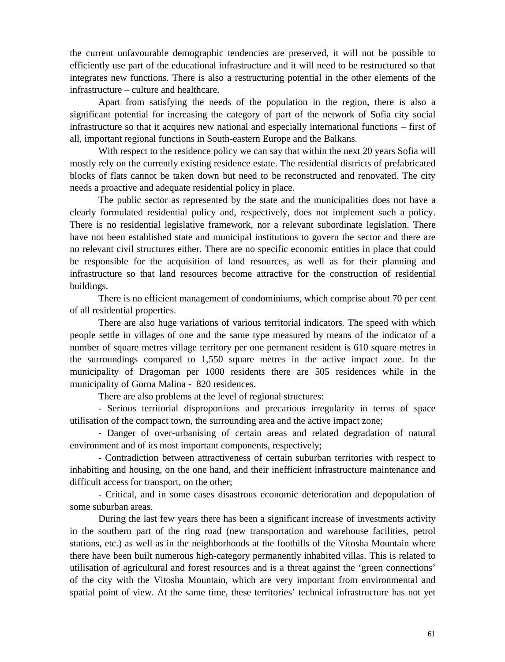the current unfavourable demographic tendencies are preserved, it will not be possible to efficiently use part of the educational infrastructure and it will need to be restructured so that integrates new functions. There is also a restructuring potential in the other elements of the infrastructure – culture and healthcare.

Apart from satisfying the needs of the population in the region, there is also a significant potential for increasing the category of part of the network of Sofia city social infrastructure so that it acquires new national and especially international functions – first of all, important regional functions in South-eastern Europe and the Balkans.

With respect to the residence policy we can say that within the next 20 years Sofia will mostly rely on the currently existing residence estate. The residential districts of prefabricated blocks of flats cannot be taken down but need to be reconstructed and renovated. The city needs a proactive and adequate residential policy in place.

The public sector as represented by the state and the municipalities does not have a clearly formulated residential policy and, respectively, does not implement such a policy. There is no residential legislative framework, nor a relevant subordinate legislation. There have not been established state and municipal institutions to govern the sector and there are no relevant civil structures either. There are no specific economic entities in place that could be responsible for the acquisition of land resources, as well as for their planning and infrastructure so that land resources become attractive for the construction of residential buildings.

There is no efficient management of condominiums, which comprise about 70 per cent of all residential properties.

There are also huge variations of various territorial indicators. The speed with which people settle in villages of one and the same type measured by means of the indicator of a number of square metres village territory per one permanent resident is 610 square metres in the surroundings compared to 1,550 square metres in the active impact zone. In the municipality of Dragoman per 1000 residents there are 505 residences while in the municipality of Gorna Malina - 820 residences.

There are also problems at the level of regional structures:

- Serious territorial disproportions and precarious irregularity in terms of space utilisation of the compact town, the surrounding area and the active impact zone;

- Danger of over-urbanising of certain areas and related degradation of natural environment and of its most important components, respectively;

- Contradiction between attractiveness of certain suburban territories with respect to inhabiting and housing, on the one hand, and their inefficient infrastructure maintenance and difficult access for transport, on the other;

- Critical, and in some cases disastrous economic deterioration and depopulation of some suburban areas.

During the last few years there has been a significant increase of investments activity in the southern part of the ring road (new transportation and warehouse facilities, petrol stations, etc.) as well as in the neighborhoods at the foothills of the Vitosha Mountain where there have been built numerous high-category permanently inhabited villas. This is related to utilisation of agricultural and forest resources and is a threat against the 'green connections' of the city with the Vitosha Mountain, which are very important from environmental and spatial point of view. At the same time, these territories' technical infrastructure has not yet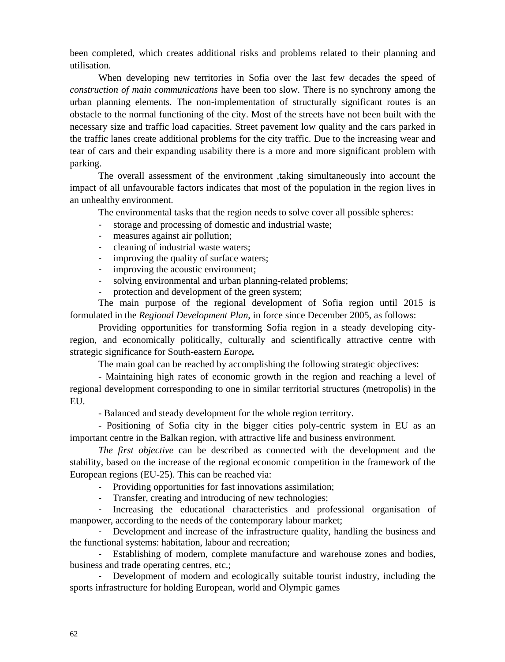been completed, which creates additional risks and problems related to their planning and utilisation.

When developing new territories in Sofia over the last few decades the speed of *construction of main communications* have been too slow. There is no synchrony among the urban planning elements. The non-implementation of structurally significant routes is an obstacle to the normal functioning of the city. Most of the streets have not been built with the necessary size and traffic load capacities. Street pavement low quality and the cars parked in the traffic lanes create additional problems for the city traffic. Due to the increasing wear and tear of cars and their expanding usability there is a more and more significant problem with parking.

The overall assessment of the environment ,taking simultaneously into account the impact of all unfavourable factors indicates that most of the population in the region lives in an unhealthy environment.

The environmental tasks that the region needs to solve cover all possible spheres:

- storage and processing of domestic and industrial waste;
- measures against air pollution;
- cleaning of industrial waste waters;
- improving the quality of surface waters;
- improving the acoustic environment;
- solving environmental and urban planning-related problems;
- protection and development of the green system;

The main purpose of the regional development of Sofia region until 2015 is formulated in the *Regional Development Plan*, in force since December 2005, as follows:

Providing opportunities for transforming Sofia region in a steady developing cityregion, and economically politically, culturally and scientifically attractive centre with strategic significance for South-eastern *Europe.*

The main goal can be reached by accomplishing the following strategic objectives:

- Maintaining high rates of economic growth in the region and reaching a level of regional development corresponding to one in similar territorial structures (metropolis) in the EU.

- Balanced and steady development for the whole region territory.

- Positioning of Sofia city in the bigger cities poly-centric system in EU as an important centre in the Balkan region, with attractive life and business environment.

*The first objective* can be described as connected with the development and the stability, based on the increase of the regional economic competition in the framework of the European regions (EU-25). This can be reached via:

- Providing opportunities for fast innovations assimilation;
- Transfer, creating and introducing of new technologies;

- Increasing the educational characteristics and professional organisation of manpower, according to the needs of the contemporary labour market;

- Development and increase of the infrastructure quality, handling the business and the functional systems: habitation, labour and recreation;

- Establishing of modern, complete manufacture and warehouse zones and bodies, business and trade operating centres, etc.;

- Development of modern and ecologically suitable tourist industry, including the sports infrastructure for holding European, world and Olympic games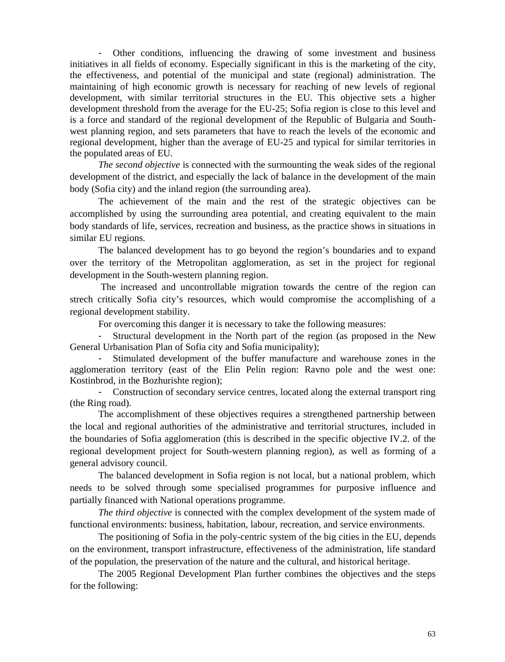- Other conditions, influencing the drawing of some investment and business initiatives in all fields of economy. Especially significant in this is the marketing of the city, the effectiveness, and potential of the municipal and state (regional) administration. The maintaining of high economic growth is necessary for reaching of new levels of regional development, with similar territorial structures in the EU. This objective sets a higher development threshold from the average for the EU-25; Sofia region is close to this level and is a force and standard of the regional development of the Republic of Bulgaria and Southwest planning region, and sets parameters that have to reach the levels of the economic and regional development, higher than the average of EU-25 and typical for similar territories in the populated areas of EU.

*The second objective* is connected with the surmounting the weak sides of the regional development of the district, and especially the lack of balance in the development of the main body (Sofia city) and the inland region (the surrounding area).

The achievement of the main and the rest of the strategic objectives can be accomplished by using the surrounding area potential, and creating equivalent to the main body standards of life, services, recreation and business, as the practice shows in situations in similar EU regions.

The balanced development has to go beyond the region's boundaries and to expand over the territory of the Metropolitan agglomeration, as set in the project for regional development in the South-western planning region.

 The increased and uncontrollable migration towards the centre of the region can strech critically Sofia city's resources, which would compromise the accomplishing of a regional development stability.

For overcoming this danger it is necessary to take the following measures:

- Structural development in the North part of the region (as proposed in the New General Urbanisation Plan of Sofia city and Sofia municipality);

- Stimulated development of the buffer manufacture and warehouse zones in the agglomeration territory (east of the Elin Pelin region: Ravno pole and the west one: Kostinbrod, in the Bozhurishte region);

- Construction of secondary service centres, located along the external transport ring (the Ring road).

The accomplishment of these objectives requires a strengthened partnership between the local and regional authorities of the administrative and territorial structures, included in the boundaries of Sofia agglomeration (this is described in the specific objective IV.2. of the regional development project for South-western planning region), as well as forming of a general advisory council.

The balanced development in Sofia region is not local, but a national problem, which needs to be solved through some specialised programmes for purposive influence and partially financed with National operations programme.

*he third objective* is connected with the complex development of the system made of functional environments: business, habitation, labour, recreation, and service environments.

The positioning of Sofia in the poly-centric system of the big cities in the EU, depends on the environment, transport infrastructure, effectiveness of the administration, life standard of the population, the preservation of the nature and the cultural, and historical heritage.

The 2005 Regional Development Plan further combines the objectives and the steps for the following: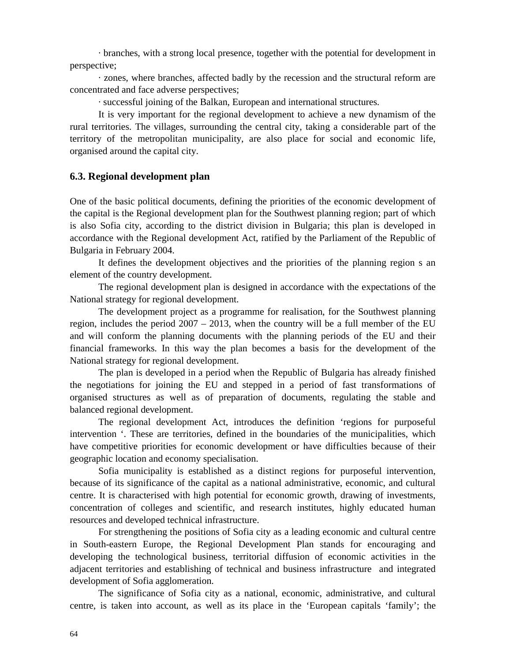· branches, with a strong local presence, together with the potential for development in perspective;

· zones, where branches, affected badly by the recession and the structural reform are concentrated and face adverse perspectives;

· successful joining of the Balkan, European and international structures.

It is very important for the regional development to achieve a new dynamism of the rural territories. The villages, surrounding the central city, taking a considerable part of the territory of the metropolitan municipality, are also place for social and economic life, organised around the capital city.

# **6.3. Regional development plan**

One of the basic political documents, defining the priorities of the economic development of the capital is the Regional development plan for the Southwest planning region; part of which is also Sofia city, according to the district division in Bulgaria; this plan is developed in accordance with the Regional development Act, ratified by the Parliament of the Republic of Bulgaria in February 2004.

It defines the development objectives and the priorities of the planning region s an element of the country development.

The regional development plan is designed in accordance with the expectations of the National strategy for regional development.

The development project as a programme for realisation, for the Southwest planning region, includes the period  $2007 - 2013$ , when the country will be a full member of the EU and will conform the planning documents with the planning periods of the EU and their financial frameworks. In this way the plan becomes a basis for the development of the National strategy for regional development.

The plan is developed in a period when the Republic of Bulgaria has already finished the negotiations for joining the EU and stepped in a period of fast transformations of organised structures as well as of preparation of documents, regulating the stable and balanced regional development.

The regional development Act, introduces the definition 'regions for purposeful intervention '. These are territories, defined in the boundaries of the municipalities, which have competitive priorities for economic development or have difficulties because of their geographic location and economy specialisation.

Sofia municipality is established as a distinct regions for purposeful intervention, because of its significance of the capital as a national administrative, economic, and cultural centre. It is characterised with high potential for economic growth, drawing of investments, concentration of colleges and scientific, and research institutes, highly educated human resources and developed technical infrastructure.

For strengthening the positions of Sofia city as a leading economic and cultural centre in South-eastern Europe, the Regional Development Plan stands for encouraging and developing the technological business, territorial diffusion of economic activities in the adjacent territories and establishing of technical and business infrastructure and integrated development of Sofia agglomeration.

The significance of Sofia city as a national, economic, administrative, and cultural centre, is taken into account, as well as its place in the 'European capitals 'family'; the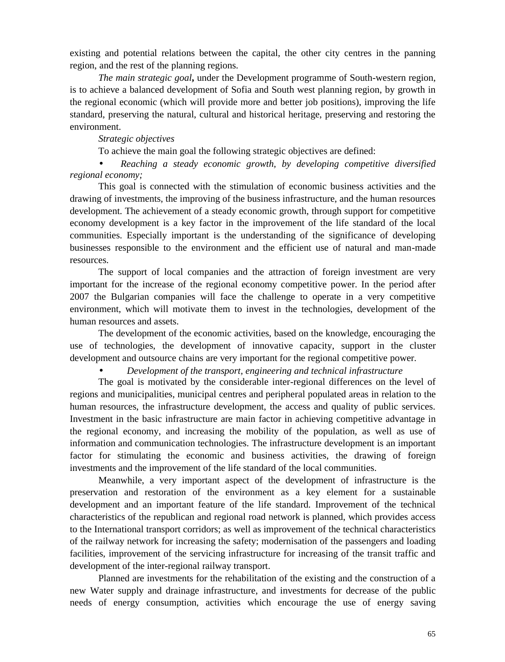existing and potential relations between the capital, the other city centres in the panning region, and the rest of the planning regions.

*The main strategic goal***,** under the Development programme of South-western region, is to achieve a balanced development of Sofia and South west planning region, by growth in the regional economic (which will provide more and better job positions), improving the life standard, preserving the natural, cultural and historical heritage, preserving and restoring the environment.

## *Strategic objectives*

To achieve the main goal the following strategic objectives are defined:

 *Reaching a steady economic growth, by developing competitive diversified regional economy;*

This goal is connected with the stimulation of economic business activities and the drawing of investments, the improving of the business infrastructure, and the human resources development. The achievement of a steady economic growth, through support for competitive economy development is a key factor in the improvement of the life standard of the local communities. Especially important is the understanding of the significance of developing businesses responsible to the environment and the efficient use of natural and man-made resources.

The support of local companies and the attraction of foreign investment are very important for the increase of the regional economy competitive power. In the period after 2007 the Bulgarian companies will face the challenge to operate in a very competitive environment, which will motivate them to invest in the technologies, development of the human resources and assets.

The development of the economic activities, based on the knowledge, encouraging the use of technologies, the development of innovative capacity, support in the cluster development and outsource chains are very important for the regional competitive power.

*Development of the transport, engineering and technical infrastructure*

The goal is motivated by the considerable inter-regional differences on the level of regions and municipalities, municipal centres and peripheral populated areas in relation to the human resources, the infrastructure development, the access and quality of public services. Investment in the basic infrastructure are main factor in achieving competitive advantage in the regional economy, and increasing the mobility of the population, as well as use of information and communication technologies. The infrastructure development is an important factor for stimulating the economic and business activities, the drawing of foreign investments and the improvement of the life standard of the local communities.

Meanwhile, a very important aspect of the development of infrastructure is the preservation and restoration of the environment as a key element for a sustainable development and an important feature of the life standard. Improvement of the technical characteristics of the republican and regional road network is planned, which provides access to the International transport corridors; as well as improvement of the technical characteristics of the railway network for increasing the safety; modernisation of the passengers and loading facilities, improvement of the servicing infrastructure for increasing of the transit traffic and development of the inter-regional railway transport.

Planned are investments for the rehabilitation of the existing and the construction of a new Water supply and drainage infrastructure, and investments for decrease of the public needs of energy consumption, activities which encourage the use of energy saving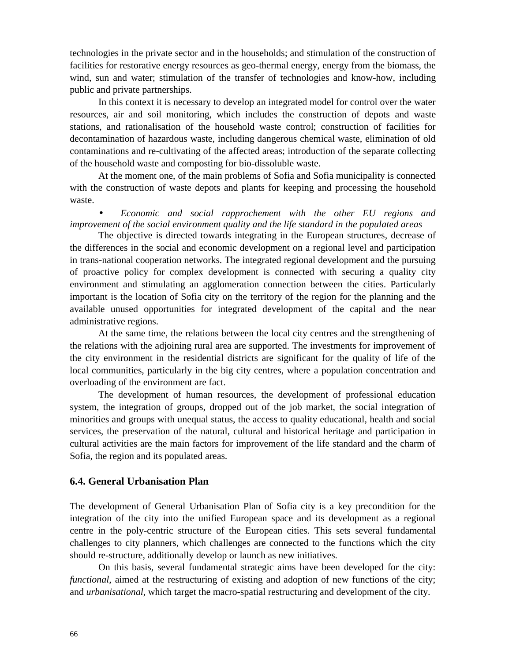technologies in the private sector and in the households; and stimulation of the construction of facilities for restorative energy resources as geo-thermal energy, energy from the biomass, the wind, sun and water; stimulation of the transfer of technologies and know-how, including public and private partnerships.

In this context it is necessary to develop an integrated model for control over the water resources, air and soil monitoring, which includes the construction of depots and waste stations, and rationalisation of the household waste control; construction of facilities for decontamination of hazardous waste, including dangerous chemical waste, elimination of old contaminations and re-cultivating of the affected areas; introduction of the separate collecting of the household waste and composting for bio-dissoluble waste.

At the moment one, of the main problems of Sofia and Sofia municipality is connected with the construction of waste depots and plants for keeping and processing the household waste.

 *Economic and social rapprochement with the other EU regions and improvement of the social environment quality and the life standard in the populated areas*

The objective is directed towards integrating in the European structures, decrease of the differences in the social and economic development on a regional level and participation in trans-national cooperation networks. The integrated regional development and the pursuing of proactive policy for complex development is connected with securing a quality city environment and stimulating an agglomeration connection between the cities. Particularly important is the location of Sofia city on the territory of the region for the planning and the available unused opportunities for integrated development of the capital and the near administrative regions.

At the same time, the relations between the local city centres and the strengthening of the relations with the adjoining rural area are supported. The investments for improvement of the city environment in the residential districts are significant for the quality of life of the local communities, particularly in the big city centres, where a population concentration and overloading of the environment are fact.

The development of human resources, the development of professional education system, the integration of groups, dropped out of the job market, the social integration of minorities and groups with unequal status, the access to quality educational, health and social services, the preservation of the natural, cultural and historical heritage and participation in cultural activities are the main factors for improvement of the life standard and the charm of Sofia, the region and its populated areas.

# **6.4. General Urbanisation Plan**

The development of General Urbanisation Plan of Sofia city is a key precondition for the integration of the city into the unified European space and its development as a regional centre in the poly-centric structure of the European cities. This sets several fundamental challenges to city planners, which challenges are connected to the functions which the city should re-structure, additionally develop or launch as new initiatives.

On this basis, several fundamental strategic aims have been developed for the city: *functional*, aimed at the restructuring of existing and adoption of new functions of the city; and *urbanisational,* which target the macro-spatial restructuring and development of the city.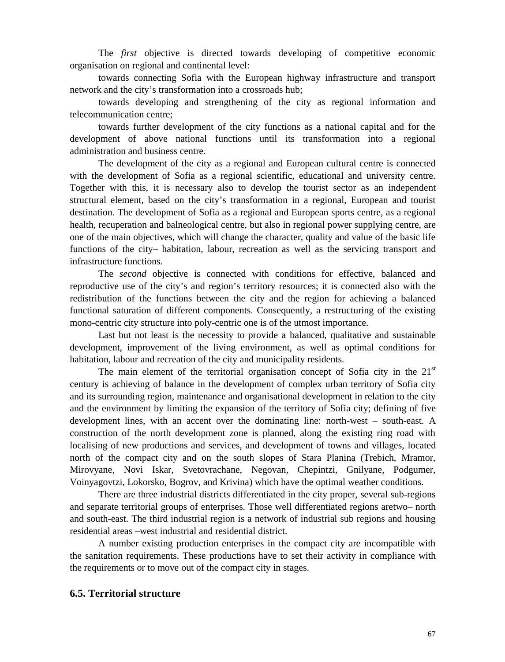The *first* objective is directed towards developing of competitive economic organisation on regional and continental level:

towards connecting Sofia with the European highway infrastructure and transport network and the city's transformation into a crossroads hub;

towards developing and strengthening of the city as regional information and telecommunication centre;

towards further development of the city functions as a national capital and for the development of above national functions until its transformation into a regional administration and business centre.

The development of the city as a regional and European cultural centre is connected with the development of Sofia as a regional scientific, educational and university centre. Together with this, it is necessary also to develop the tourist sector as an independent structural element, based on the city's transformation in a regional, European and tourist destination. The development of Sofia as a regional and European sports centre, as a regional health, recuperation and balneological centre, but also in regional power supplying centre, are one of the main objectives, which will change the character, quality and value of the basic life functions of the city– habitation, labour, recreation as well as the servicing transport and infrastructure functions.

The *second* objective is connected with conditions for effective, balanced and reproductive use of the city's and region's territory resources; it is connected also with the redistribution of the functions between the city and the region for achieving a balanced functional saturation of different components. Consequently, a restructuring of the existing mono-centric city structure into poly-centric one is of the utmost importance.

Last but not least is the necessity to provide a balanced, qualitative and sustainable development, improvement of the living environment, as well as optimal conditions for habitation, labour and recreation of the city and municipality residents.

The main element of the territorial organisation concept of Sofia city in the  $21<sup>st</sup>$ century is achieving of balance in the development of complex urban territory of Sofia city and its surrounding region, maintenance and organisational development in relation to the city and the environment by limiting the expansion of the territory of Sofia city; defining of five development lines, with an accent over the dominating line: north-west – south-east. A construction of the north development zone is planned, along the existing ring road with localising of new productions and services, and development of towns and villages, located north of the compact city and on the south slopes of Stara Planina (Trebich, Mramor, Mirovyane, Novi Iskar, Svetovrachane, Negovan, Chepintzi, Gnilyane, Podgumer, Voinyagovtzi, Lokorsko, Bogrov, and Krivina) which have the optimal weather conditions.

There are three industrial districts differentiated in the city proper, several sub-regions and separate territorial groups of enterprises. Those well differentiated regions aretwo– north and south-east. The third industrial region is a network of industrial sub regions and housing residential areas –west industrial and residential district.

A number existing production enterprises in the compact city are incompatible with the sanitation requirements. These productions have to set their activity in compliance with the requirements or to move out of the compact city in stages.

## **6.5. Territorial structure**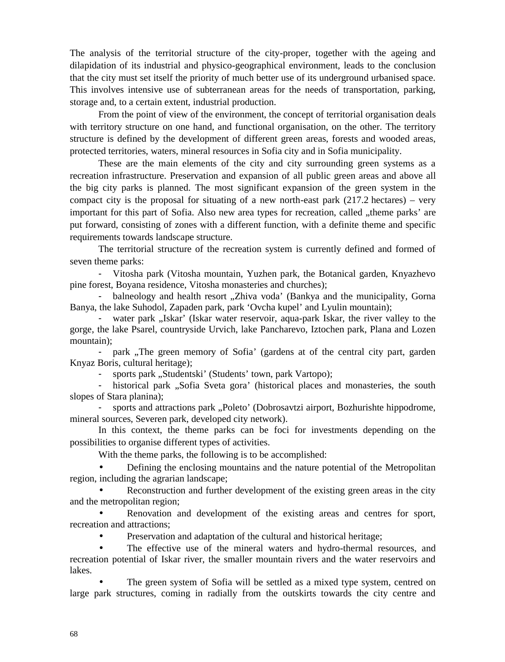The analysis of the territorial structure of the city-proper, together with the ageing and dilapidation of its industrial and physico-geographical environment, leads to the conclusion that the city must set itself the priority of much better use of its underground urbanised space. This involves intensive use of subterranean areas for the needs of transportation, parking, storage and, to a certain extent, industrial production.

From the point of view of the environment, the concept of territorial organisation deals with territory structure on one hand, and functional organisation, on the other. The territory structure is defined by the development of different green areas, forests and wooded areas, protected territories, waters, mineral resources in Sofia city and in Sofia municipality.

These are the main elements of the city and city surrounding green systems as a recreation infrastructure. Preservation and expansion of all public green areas and above all the big city parks is planned. The most significant expansion of the green system in the compact city is the proposal for situating of a new north-east park  $(217.2 \text{ hectares}) - \text{very}$ important for this part of Sofia. Also new area types for recreation, called "theme parks' are put forward, consisting of zones with a different function, with a definite theme and specific requirements towards landscape structure.

The territorial structure of the recreation system is currently defined and formed of seven theme parks:

- Vitosha park (Vitosha mountain, Yuzhen park, the Botanical garden, Knyazhevo pine forest, Boyana residence, Vitosha monasteries and churches);

- balneology and health resort "Zhiva voda' (Bankya and the municipality, Gorna Banya, the lake Suhodol, Zapaden park, park 'Ovcha kupel' and Lyulin mountain);

- water park "Iskar' (Iskar water reservoir, aqua-park Iskar, the river valley to the gorge, the lake Psarel, countryside Urvich, lake Pancharevo, Iztochen park, Plana and Lozen mountain);

- park ,The green memory of Sofia' (gardens at of the central city part, garden Knyaz Boris, cultural heritage);

sports park "Studentski' (Students' town, park Vartopo);

historical park "Sofia Sveta gora' (historical places and monasteries, the south slopes of Stara planina);

- sports and attractions park "Poleto' (Dobrosavtzi airport, Bozhurishte hippodrome, mineral sources, Severen park, developed city network).

In this context, the theme parks can be foci for investments depending on the possibilities to organise different types of activities.

With the theme parks, the following is to be accomplished:

 Defining the enclosing mountains and the nature potential of the Metropolitan region, including the agrarian landscape;

 Reconstruction and further development of the existing green areas in the city and the metropolitan region;

 Renovation and development of the existing areas and centres for sport, recreation and attractions;

Preservation and adaptation of the cultural and historical heritage;

 The effective use of the mineral waters and hydro-thermal resources, and recreation potential of Iskar river, the smaller mountain rivers and the water reservoirs and lakes.

 The green system of Sofia will be settled as a mixed type system, centred on large park structures, coming in radially from the outskirts towards the city centre and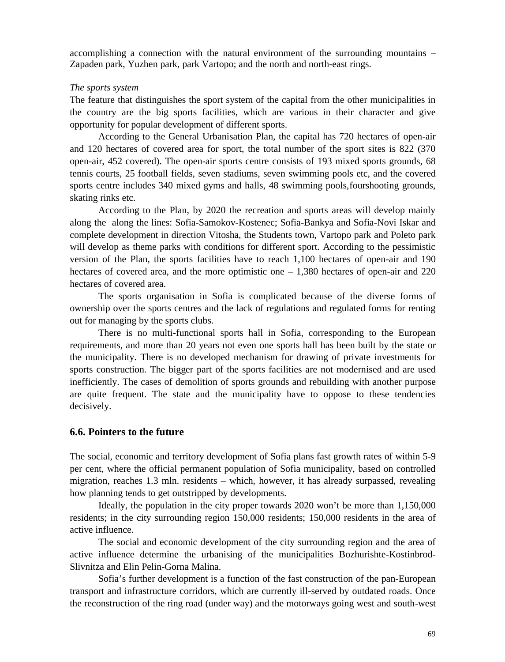accomplishing a connection with the natural environment of the surrounding mountains – Zapaden park, Yuzhen park, park Vartopo; and the north and north-east rings.

## *The sports system*

The feature that distinguishes the sport system of the capital from the other municipalities in the country are the big sports facilities, which are various in their character and give opportunity for popular development of different sports.

According to the General Urbanisation Plan, the capital has 720 hectares of open-air and 120 hectares of covered area for sport, the total number of the sport sites is 822 (370 open-air, 452 covered). The open-air sports centre consists of 193 mixed sports grounds, 68 tennis courts, 25 football fields, seven stadiums, seven swimming pools etc, nd the covered sports centre includes 340 mixed gyms and halls, 48 swimming pools,fourshooting grounds, skating rinks etc.

According to the Plan, by 2020 the recreation and sports areas will develop mainly along the along the lines: Sofia-Samokov-Kostenec; Sofia-Bankya and Sofia-Novi Iskar and complete development in direction Vitosha, the Students town, Vartopo park and Poleto park will develop as theme parks with conditions for different sport. According to the pessimistic version of the Plan, the sports facilities have to reach 1,100 hectares of open-air and 190 hectares of covered area, and the more optimistic one  $-1,380$  hectares of open-air and 220 hectares of covered area.

The sports organisation in Sofia is complicated because of the diverse forms of ownership over the sports centres and the lack of regulations and regulated forms for renting out for managing by the sports clubs.

There is no multi-functional sports hall in Sofia, corresponding to the European requirements, and more than 20 years not even one sports hall has been built by the state or the municipality. There is no developed mechanism for drawing of private investments for sports construction. The bigger part of the sports facilities are not modernised and are used inefficiently. The cases of demolition of sports grounds and rebuilding with another purpose are quite frequent. The state and the municipality have to oppose to these tendencies decisively.

# **6.6. Pointers to the future**

The social, economic and territory development of Sofia plans fast growth rates of within 5-9 per cent, where the official permanent population of Sofia municipality, based on controlled migration, reaches 1.3 mln. residents – which, however, it has already surpassed, revealing how planning tends to get outstripped by developments.

Ideally, the population in the city proper towards 2020 won't be more than 1,150,000 residents; in the city surrounding region 150,000 residents; 150,000 residents in the area of active influence.

The social and economic development of the city surrounding region and the area of active influence determine the urbanising of the municipalities Bozhurishte-Kostinbrod-Slivnitza and Elin Pelin-Gorna Malina.

Sofia's further development is a function of the fast construction of the pan-European transport and infrastructure corridors, which are currently ill-served by outdated roads. Once the reconstruction of the ring road (under way) and the motorways going west and south-west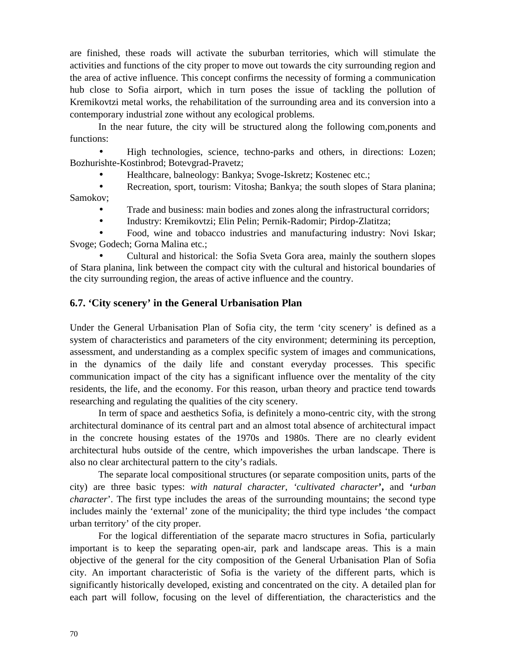are finished, these roads will activate the suburban territories, which will stimulate the activities and functions of the city proper to move out towards the city surrounding region and the area of active influence. This concept confirms the necessity of forming a communication hub close to Sofia airport, which in turn poses the issue of tackling the pollution of Kremikovtzi metal works, the rehabilitation of the surrounding area and its conversion into a contemporary industrial zone without any ecological problems.

In the near future, the city will be structured along the following com,ponents and functions:

 High technologies, science, techno-parks and others, in directions: Lozen; Bozhurishte-Kostinbrod; Botevgrad-Pravetz;

- Healthcare, balneology: Bankya; Svoge-Iskretz; Kostenec etc.;
- Recreation, sport, tourism: Vitosha; Bankya; the south slopes of Stara planina; Samokov;
	- Trade and business: main bodies and zones along the infrastructural corridors;
	- Industry: Kremikovtzi; Elin Pelin; Pernik-Radomir; Pirdop-Zlatitza;

 Food, wine and tobacco industries and manufacturing industry: Novi Iskar; Svoge; Godech; Gorna Malina etc.;

 Cultural and historical: the Sofia Sveta Gora area, mainly the southern slopes of Stara planina, link between the compact city with the cultural and historical boundaries of the city surrounding region, the areas of active influence and the country.

# **6.7. 'City scenery' in the General Urbanisation Plan**

Under the General Urbanisation Plan of Sofia city, the term 'city scenery' is defined as a system of characteristics and parameters of the city environment; determining its perception, assessment, and understanding as a complex specific system of images and communications, in the dynamics of the daily life and constant everyday processes. This specific communication impact of the city has a significant influence over the mentality of the city residents, the life, and the economy. For this reason, urban theory and practice tend towards researching and regulating the qualities of the city scenery.

In term of space and aesthetics Sofia, is definitely a mono-centric city, with the strong architectural dominance of its central part and an almost total absence of architectural impact in the concrete housing estates of the 1970s and 1980s. There are no clearly evident architectural hubs outside of the centre, which impoverishes the urban landscape. There is also no clear architectural pattern to the city's radials.

The separate local compositional structures (or separate composition units, parts of the city) are three basic types: *with natural character*, *'cultivated character***',** and **'***urban character*'. The first type includes the areas of the surrounding mountains; the second type includes mainly the 'external' zone of the municipality; the third type includes 'the compact urban territory' of the city proper.

For the logical differentiation of the separate macro structures in Sofia, particularly important is to keep the separating open-air, park and landscape areas. This is a main objective of the general for the city composition of the General Urbanisation Plan of Sofia city. An important characteristic of Sofia is the variety of the different parts, which is significantly historically developed, existing and concentrated on the city. A detailed plan for each part will follow, focusing on the level of differentiation, the characteristics and the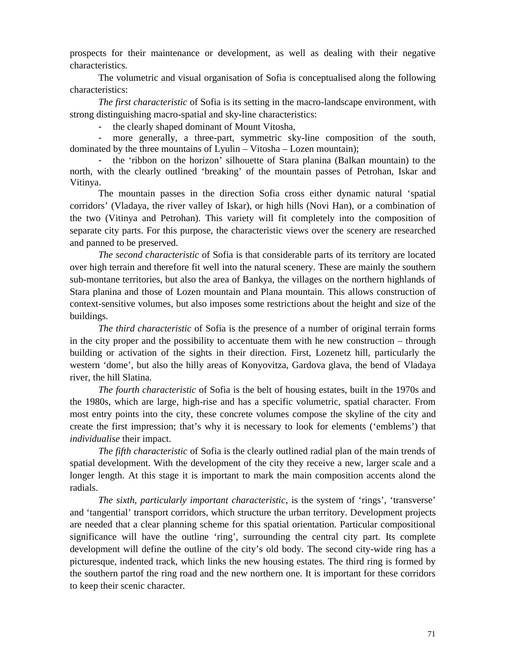prospects for their maintenance or development, as well as dealing with their negative characteristics.

The volumetric and visual organisation of Sofia is conceptualised along the following characteristics:

*The first characteristic* of Sofia is its setting in the macro-landscape environment, with strong distinguishing macro-spatial and sky-line characteristics:

the clearly shaped dominant of Mount Vitosha,

more generally, a three-part, symmetric sky-line composition of the south, dominated by the three mountains of Lyulin – Vitosha – Lozen mountain);

- the 'ribbon on the horizon' silhouette of Stara planina (Balkan mountain) to the north, with the clearly outlined 'breaking' of the mountain passes of Petrohan, Iskar and Vitinya.

The mountain passes in the direction Sofia cross either dynamic natural 'spatial corridors' (Vladaya, the river valley of Iskar), or high hills (Novi Han), or a combination of the two (Vitinya and Petrohan). This variety will fit completely into the composition of separate city parts. For this purpose, the characteristic views over the scenery are researched and panned to be preserved.

*The second characteristic* of Sofia is that considerable parts of its territory are located over high terrain and therefore fit well into the natural scenery. These are mainly the southern sub-montane territories, but also the area of Bankya, the villages on the northern highlands of Stara planina and those of Lozen mountain and Plana mountain. This allows construction of context-sensitive volumes, but also imposes some restrictions about the height and size of the buildings.

*The third characteristic* of Sofia is the presence of a number of original terrain forms in the city proper and the possibility to accentuate them with he new construction – through building or activation of the sights in their direction. First, Lozenetz hill, particularly the western 'dome', but also the hilly areas of Konyovitza, Gardova glava, the bend of Vladaya river, the hill Slatina.

*The fourth characteristic* of Sofia is the belt of housing estates, built in the 1970s and the 1980s, which are large, high-rise and has a specific volumetric, spatial character. From most entry points into the city, these concrete volumes compose the skyline of the city and create the first impression; that's why it is necessary to look for elements ('emblems') that *individualise* their impact.

*The fifth characteristic* of Sofia is the clearly outlined radial plan of the main trends of spatial development. With the development of the city they receive a new, larger scale and a longer length. At this stage it is important to mark the main composition accents alond the radials.

*The sixth, particularly important characteristic*, is the system of 'rings', 'transverse' and 'tangential' transport corridors, which structure the urban territory. Development projects are needed that a clear planning scheme for this spatial orientation. Particular compositional significance will have the outline 'ring', surrounding the central city part. Its complete development will define the outline of the city's old body. The second city-wide ring has a picturesque, indented track, which links the new housing estates. The third ring is formed by the southern partof the ring road and the new northern one. It is important for these corridors to keep their scenic character.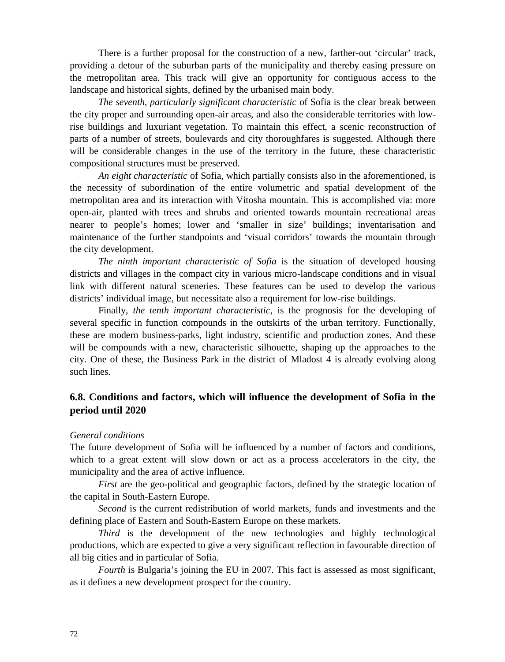There is a further proposal for the construction of a new, farther-out 'circular' track, providing a detour of the suburban parts of the municipality and thereby easing pressure on the metropolitan area. This track will give an opportunity for contiguous access to the landscape and historical sights, defined by the urbanised main body.

*The seventh, particularly significant characteristic* of Sofia is the clear break between the city proper and surrounding open-air areas, and also the considerable territories with lowrise buildings and luxuriant vegetation. To maintain this effect, a scenic reconstruction of parts of a number of streets, boulevards and city thoroughfares is suggested. Although there will be considerable changes in the use of the territory in the future, these characteristic compositional structures must be preserved.

*An eight characteristic* of Sofia, which partially consists also in the aforementioned, is the necessity of subordination of the entire volumetric and spatial development of the metropolitan area and its interaction with Vitosha mountain. This is accomplished via: more open-air, planted with trees and shrubs and oriented towards mountain recreational areas nearer to people's homes; lower and 'smaller in size' buildings; inventarisation and maintenance of the further standpoints and 'visual corridors' towards the mountain through the city development.

*The ninth important characteristic of Sofia* is the situation of developed housing districts and villages in the compact city in various micro-landscape conditions and in visual link with different natural sceneries. These features can be used to develop the various districts' individual image, but necessitate also a requirement for low-rise buildings.

Finally, *the tenth important characteristic*, is the prognosis for the developing of several specific in function compounds in the outskirts of the urban territory. Functionally, these are modern business-parks, light industry, scientific and production zones. And these will be compounds with a new, characteristic silhouette, shaping up the approaches to the city. One of these, the Business Park in the district of Mladost 4 is already evolving along such lines.

# **6.8. Conditions and factors, which will influence the development of Sofia in the period until 2020**

## *General conditions*

The future development of Sofia will be influenced by a number of factors and conditions, which to a great extent will slow down or act as a process accelerators in the city, the municipality and the area of active influence.

*First* are the geo-political and geographic factors, defined by the strategic location of the capital in South-Eastern Europe.

*Second* is the current redistribution of world markets, funds and investments and the defining place of Eastern and South-Eastern Europe on these markets.

*Third* is the development of the new technologies and highly technological productions, which are expected to give a very significant reflection in favourable direction of all big cities and in particular of Sofia.

*Fourth* is Bulgaria's joining the EU in 2007. This fact is assessed as most significant, as it defines a new development prospect for the country.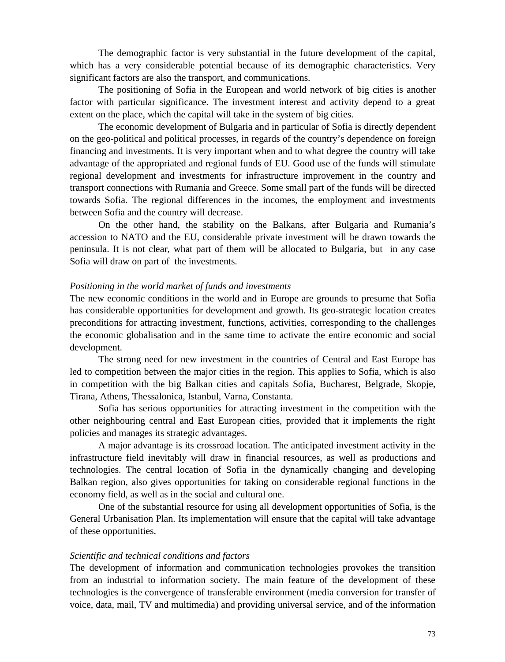The demographic factor is very substantial in the future development of the capital, which has a very considerable potential because of its demographic characteristics. Very significant factors are also the transport, and communications.

The positioning of Sofia in the European and world network of big cities is another factor with particular significance. The investment interest and activity depend to a great extent on the place, which the capital will take in the system of big cities.

The economic development of Bulgaria and in particular of Sofia is directly dependent on the geo-political and political processes, in regards of the country's dependence on foreign financing and investments. It is very important when and to what degree the country will take advantage of the appropriated and regional funds of EU. Good use of the funds will stimulate regional development and investments for infrastructure improvement in the country and transport connections with Rumania and Greece. Some small part of the funds will be directed towards Sofia. The regional differences in the incomes, the employment and investments between Sofia and the country will decrease.

On the other hand, the stability on the Balkans, after Bulgaria and Rumania's accession to NATO and the EU, considerable private investment will be drawn towards the peninsula. It is not clear, what part of them will be allocated to Bulgaria, but in any case Sofia will draw on part of the investments.

#### *Positioning in the world market of funds and investments*

The new economic conditions in the world and in Europe are grounds to presume that Sofia has considerable opportunities for development and growth. Its geo-strategic location creates preconditions for attracting investment, functions, activities, corresponding to the challenges the economic globalisation and in the same time to activate the entire economic and social development.

The strong need for new investment in the countries of Central and East Europe has led to competition between the major cities in the region. This applies to Sofia, which is also in competition with the big Balkan cities and capitals Sofia, Bucharest, Belgrade, Skopje, Tirana, Athens, Thessalonica, Istanbul, Varna, Constanta.

Sofia has serious opportunities for attracting investment in the competition with the other neighbouring central and East European cities, provided that it implements the right policies and manages its strategic advantages.

A major advantage is its crossroad location. The anticipated investment activity in the infrastructure field inevitably will draw in financial resources, as well as productions and technologies. The central location of Sofia in the dynamically changing and developing Balkan region, also gives opportunities for taking on considerable regional functions in the economy field, as well as in the social and cultural one.

One of the substantial resource for using all development opportunities of Sofia, is the General Urbanisation Plan. Its implementation will ensure that the capital will take advantage of these opportunities.

#### *Scientific and technical conditions and factors*

The development of information and communication technologies provokes the transition from an industrial to information society. The main feature of the development of these technologies is the convergence of transferable environment (media conversion for transfer of voice, data, mail, TV and multimedia) and providing universal service, and of the information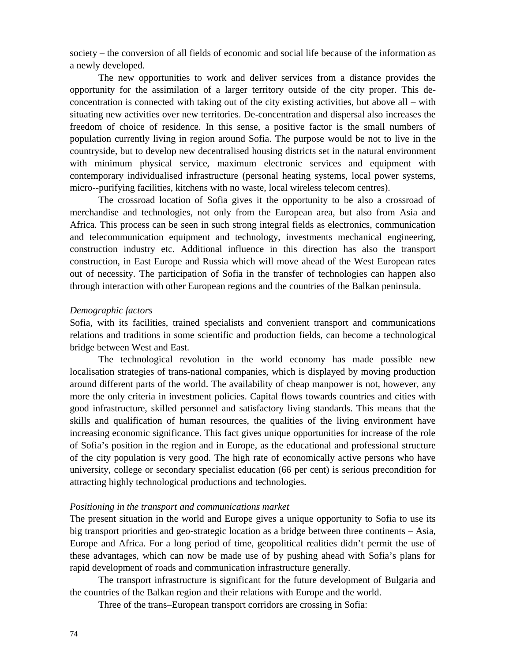society – the conversion of all fields of economic and social life because of the information as a newly developed.

The new opportunities to work and deliver services from a distance provides the opportunity for the assimilation of a larger territory outside of the city proper. This deconcentration is connected with taking out of the city existing activities, but above all – with situating new activities over new territories. De-concentration and dispersal also increases the freedom of choice of residence. In this sense, a positive factor is the small numbers of population currently living in region around Sofia. The purpose would be not to live in the countryside, but to develop new decentralised housing districts set in the natural environment with minimum physical service, maximum electronic services and equipment with contemporary individualised infrastructure (personal heating systems, local power systems, micro--purifying facilities, kitchens with no waste, local wireless telecom centres).

The crossroad location of Sofia gives it the opportunity to be also a crossroad of merchandise and technologies, not only from the European area, but also from Asia and Africa. This process can be seen in such strong integral fields as electronics, communication and telecommunication equipment and technology, investments mechanical engineering, construction industry etc. Additional influence in this direction has also the transport construction, in East Europe and Russia which will move ahead of the West European rates out of necessity. The participation of Sofia in the transfer of technologies can happen also through interaction with other European regions and the countries of the Balkan peninsula.

#### *Demographic factors*

Sofia, with its facilities, trained specialists and convenient transport and communications relations and traditions in some scientific and production fields, can become a technological bridge between West and East.

The technological revolution in the world economy has made possible new localisation strategies of trans-national companies, which is displayed by moving production around different parts of the world. The availability of cheap manpower is not, however, any more the only criteria in investment policies. Capital flows towards countries and cities with good infrastructure, skilled personnel and satisfactory living standards. This means that the skills and qualification of human resources, the qualities of the living environment have increasing economic significance. This fact gives unique opportunities for increase of the role of Sofia's position in the region and in Europe, as the educational and professional structure of the city population is very good. The high rate of economically active persons who have university, college or secondary specialist education (66 per cent) is serious precondition for attracting highly technological productions and technologies.

#### *Positioning in the transport and communications market*

The present situation in the world and Europe gives a unique opportunity to Sofia to use its big transport priorities and geo-strategic location as a bridge between three continents – Asia, Europe and Africa. For a long period of time, geopolitical realities didn't permit the use of these advantages, which can now be made use of by pushing ahead with Sofia's plans for rapid development of roads and communication infrastructure generally.

The transport infrastructure is significant for the future development of Bulgaria and the countries of the Balkan region and their relations with Europe and the world.

Three of the trans–European transport corridors are crossing in Sofia: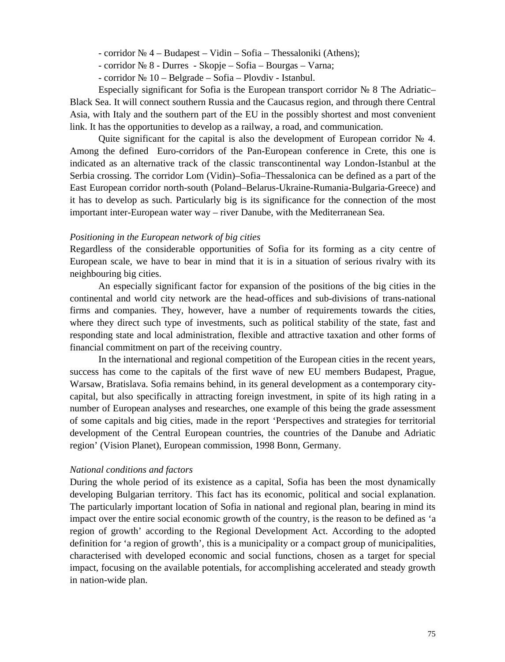- corridor № 4 Budapest Vidin Sofia Thessaloniki (Athens);
- corridor № 8 Durres Skopje Sofia Bourgas Varna;
- corridor № 10 Belgrade Sofia Plovdiv Istanbul.

Especially significant for Sofia is the European transport corridor № 8 The Adriatic– Black Sea. It will connect southern Russia and the Caucasus region, and through there Central Asia, with Italy and the southern part of the EU in the possibly shortest and most convenient link. It has the opportunities to develop as a railway, a road, and communication.

Quite significant for the capital is also the development of European corridor 4. Among the defined Euro-corridors of the Pan-European conference in Crete, this one is indicated as an alternative track of the classic transcontinental way London-Istanbul at the Serbia crossing. The corridor Lom (Vidin)–Sofia–Thessalonica can be defined as a part of the East European corridor north-south (Poland–Belarus-Ukraine-Rumania-Bulgaria-Greece) and it has to develop as such. Particularly big is its significance for the connection of the most important inter-European water way – river Danube, with the Mediterranean Sea.

#### *Positioning in the European network of big cities*

Regardless of the considerable opportunities of Sofia for its forming as a city centre of European scale, we have to bear in mind that it is in a situation of serious rivalry with its neighbouring big cities.

An especially significant factor for expansion of the positions of the big cities in the continental and world city network are the head-offices and sub-divisions of trans-national firms and companies. They, however, have a number of requirements towards the cities, where they direct such type of investments, such as political stability of the state, fast and responding state and local administration, flexible and attractive taxation and other forms of financial commitment on part of the receiving country.

In the international and regional competition of the European cities in the recent years, success has come to the capitals of the first wave of new EU members Budapest, Prague, Warsaw, Bratislava. Sofia remains behind, in its general development as a contemporary citycapital, but also specifically in attracting foreign investment, in spite of its high rating in a number of European analyses and researches, one example of this being the grade assessment of some capitals and big cities, made in the report 'Perspectives and strategies for territorial development of the Central European countries, the countries of the Danube and Adriatic region' (Vision Planet), European commission, 1998 Bonn, Germany.

## *National conditions and factors*

During the whole period of its existence as a capital, Sofia has been the most dynamically developing Bulgarian territory. This fact has its economic, political and social explanation. The particularly important location of Sofia in national and regional plan, bearing in mind its impact over the entire social economic growth of the country, is the reason to be defined as 'a region of growth' according to the Regional Development Act. According to the adopted definition for 'a region of growth', this is a municipality or a compact group of municipalities, characterised with developed economic and social functions, chosen as a target for special impact, focusing on the available potentials, for accomplishing accelerated and steady growth in nation-wide plan.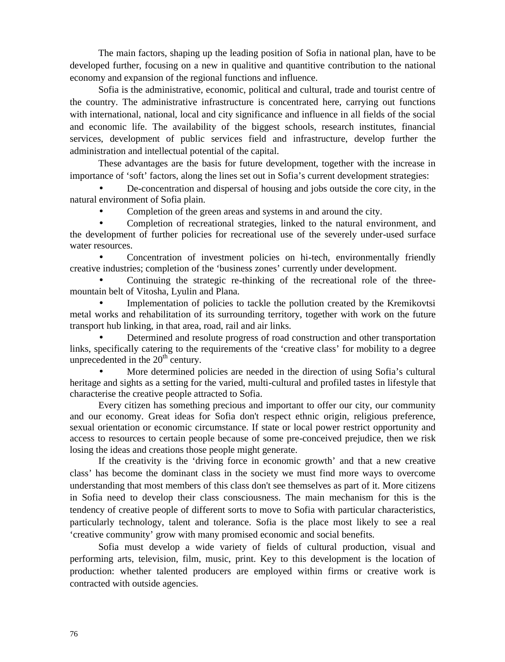The main factors, shaping up the leading position of Sofia in national plan, have to be developed further, focusing on a new in qualitive and quantitive contribution to the national economy and expansion of the regional functions and influence.

Sofia is the administrative, economic, political and cultural, trade and tourist centre of the country. The administrative infrastructure is concentrated here, carrying out functions with international, national, local and city significance and influence in all fields of the social and economic life. The availability of the biggest schools, research institutes, financial services, development of public services field and infrastructure, develop further the administration and intellectual potential of the capital.

These advantages are the basis for future development, together with the increase in importance of 'soft' factors, along the lines set out in Sofia's current development strategies:

 De-concentration and dispersal of housing and jobs outside the core city, in the natural environment of Sofia plain.

Completion of the green areas and systems in and around the city.

 Completion of recreational strategies, linked to the natural environment, and the development of further policies for recreational use of the severely under-used surface water resources.

 Concentration of investment policies on hi-tech, environmentally friendly creative industries; completion of the 'business zones' currently under development.

 Continuing the strategic re-thinking of the recreational role of the threemountain belt of Vitosha, Lyulin and Plana.

 Implementation of policies to tackle the pollution created by the Kremikovtsi metal works and rehabilitation of its surrounding territory, together with work on the future transport hub linking, in that area, road, rail and air links.

 Determined and resolute progress of road construction and other transportation links, specifically catering to the requirements of the 'creative class' for mobility to a degree unprecedented in the  $20<sup>th</sup>$  century.

 More determined policies are needed in the direction of using Sofia's cultural heritage and sights as a setting for the varied, multi-cultural and profiled tastes in lifestyle that characterise the creative people attracted to Sofia.

Every citizen has something precious and important to offer our city, our community and our economy. Great ideas for Sofia don't respect ethnic origin, religious preference, sexual orientation or economic circumstance. If state or local power restrict opportunity and access to resources to certain people because of some pre-conceived prejudice, then we risk losing the ideas and creations those people might generate.

If the creativity is the 'driving force in economic growth' and that a new creative class' has become the dominant class in the society we must find more ways to overcome understanding that most members of this class don't see themselves as part of it. More citizens in Sofia need to develop their class consciousness. The main mechanism for this is the tendency of creative people of different sorts to move to Sofia with particular characteristics, particularly technology, talent and tolerance. Sofia is the place most likely to see a real 'creative community' grow with many promised economic and social benefits.

Sofia must develop a wide variety of fields of cultural production, visual and performing arts, television, film, music, print. Key to this development is the location of production: whether talented producers are employed within firms or creative work is contracted with outside agencies.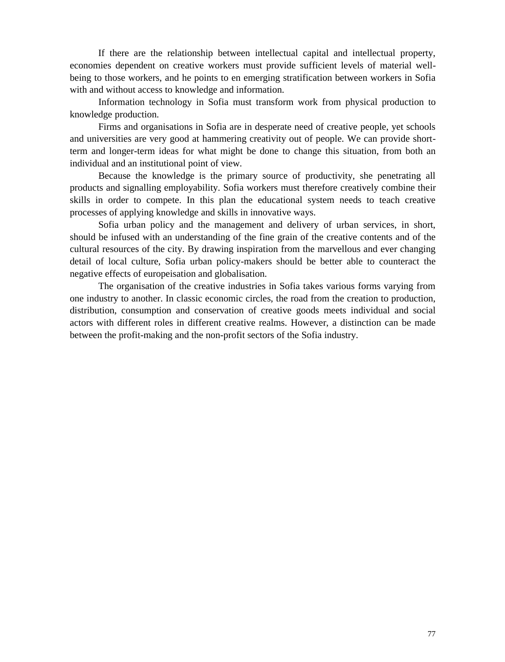If there are the relationship between intellectual capital and intellectual property, economies dependent on creative workers must provide sufficient levels of material wellbeing to those workers, and he points to en emerging stratification between workers in Sofia with and without access to knowledge and information.

Information technology in Sofia must transform work from physical production to knowledge production.

Firms and organisations in Sofia are in desperate need of creative people, yet schools and universities are very good at hammering creativity out of people. We can provide shortterm and longer-term ideas for what might be done to change this situation, from both an individual and an institutional point of view.

Because the knowledge is the primary source of productivity, she penetrating all products and signalling employability. Sofia workers must therefore creatively combine their skills in order to compete. In this plan the educational system needs to teach creative processes of applying knowledge and skills in innovative ways.

Sofia urban policy and the management and delivery of urban services, in short, should be infused with an understanding of the fine grain of the creative contents and of the cultural resources of the city. By drawing inspiration from the marvellous and ever changing detail of local culture, Sofia urban policy-makers should be better able to counteract the negative effects of europeisation and globalisation.

The organisation of the creative industries in Sofia takes various forms varying from one industry to another. In classic economic circles, the road from the creation to production, distribution, consumption and conservation of creative goods meets individual and social actors with different roles in different creative realms. However, a distinction can be made between the profit-making and the non-profit sectors of the Sofia industry.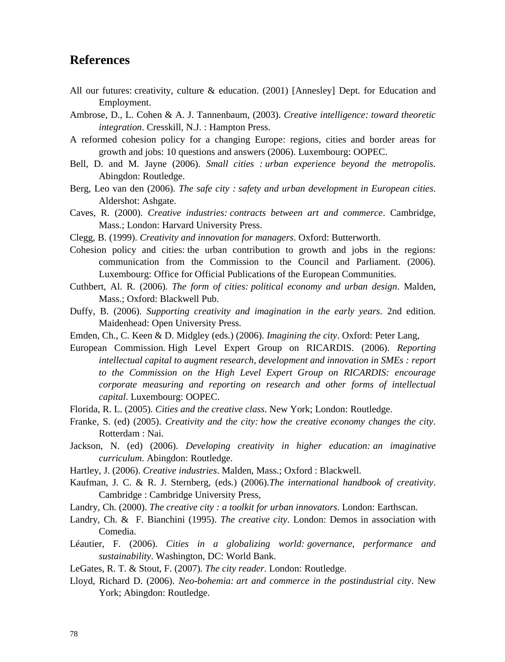# **References**

- All our futures: creativity, culture & education. (2001) [Annesley] Dept. for Education and Employment.
- Ambrose, D., L. Cohen & A. J. Tannenbaum, (2003). *Creative intelligence: toward theoretic integration*. Cresskill, N.J. : Hampton Press.
- A reformed cohesion policy for a changing Europe: regions, cities and border areas for growth and jobs: 10 questions and answers (2006). Luxembourg: OOPEC.
- Bell, D. and M. Jayne (2006). *Small cities : urban experience beyond the metropolis*. Abingdon: Routledge.
- Berg, Leo van den (2006). *The safe city : safety and urban development in European cities*. Aldershot: Ashgate.
- Caves, R. (2000). *Creative industries: contracts between art and commerce*. Cambridge, Mass.; London: Harvard University Press.
- Clegg, B. (1999). *Creativity and innovation for managers*. Oxford: Butterworth.
- Cohesion policy and cities: the urban contribution to growth and jobs in the regions: communication from the Commission to the Council and Parliament. (2006). Luxembourg: Office for Official Publications of the European Communities.
- Cuthbert, Al. R. (2006). *The form of cities: political economy and urban design*. Malden, Mass.; Oxford: Blackwell Pub.
- Duffy, B. (2006). *Supporting creativity and imagination in the early years*. 2nd edition. Maidenhead: Open University Press.
- Emden, Ch., C. Keen & D. Midgley (eds.) (2006). *Imagining the city*. Oxford: Peter Lang,
- European Commission. High Level Expert Group on RICARDIS. (2006). *Reporting intellectual capital to augment research, development and innovation in SMEs : report to the Commission on the High Level Expert Group on RICARDIS: encourage corporate measuring and reporting on research and other forms of intellectual capital*. Luxembourg: OOPEC.
- Florida, R. L. (2005). *Cities and the creative class*. New York; London: Routledge.
- Franke, S. (ed) (2005). *Creativity and the city: how the creative economy changes the city*. Rotterdam : Nai.
- Jackson, N. (ed) (2006). *Developing creativity in higher education: an imaginative curriculum*. Abingdon: Routledge.
- Hartley, J. (2006). *Creative industries*. Malden, Mass.; Oxford : Blackwell.
- Kaufman, J. C. & R. J. Sternberg, (eds.) (2006).*The international handbook of creativity*. Cambridge : Cambridge University Press,
- Landry, Ch. (2000). *The creative city : a toolkit for urban innovators*. London: Earthscan.
- Landry, Ch. & F. Bianchini (1995). *The creative city*. London: Demos in association with Comedia.
- Léautier, F. (2006). *Cities in a globalizing world: governance, performance and sustainability*. Washington, DC: World Bank.
- LeGates, R. T. & Stout, F. (2007). *The city reader*. London: Routledge.
- Lloyd, Richard D. (2006). *Neo-bohemia: art and commerce in the postindustrial city*. New York; Abingdon: Routledge.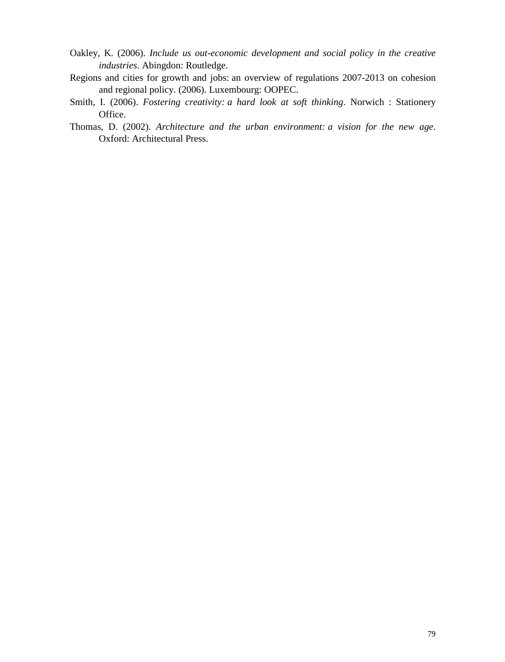- Oakley, K. (2006). *Include us out-economic development and social policy in the creative industries*. Abingdon: Routledge.
- Regions and cities for growth and jobs: an overview of regulations 2007-2013 on cohesion and regional policy. (2006). Luxembourg: OOPEC.
- Smith, I. (2006). *Fostering creativity: a hard look at soft thinking*. Norwich : Stationery Office.
- Thomas, D. (2002). *Architecture and the urban environment: a vision for the new age*. Oxford: Architectural Press.